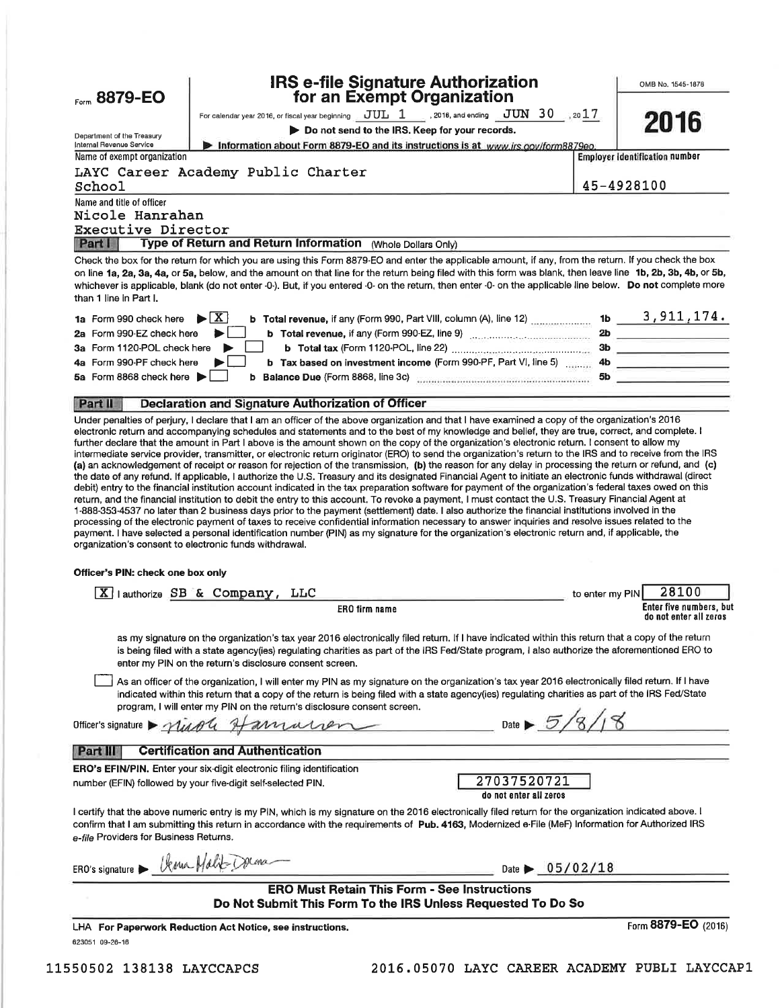| Form 8879-EO                                           | <b>IRS e-file Signature Authorization</b><br>for an Exempt Organization                                                                                                                                                                                                                                                                                                                                                                                                                                                                                                                                         |                 | OMB No. 1545-1878                                 |
|--------------------------------------------------------|-----------------------------------------------------------------------------------------------------------------------------------------------------------------------------------------------------------------------------------------------------------------------------------------------------------------------------------------------------------------------------------------------------------------------------------------------------------------------------------------------------------------------------------------------------------------------------------------------------------------|-----------------|---------------------------------------------------|
|                                                        | For calendar year 2016, or fiscal year beginning $JUL$ 1 2016, and ending $JUN$ 30 2017                                                                                                                                                                                                                                                                                                                                                                                                                                                                                                                         |                 |                                                   |
| Department of the Treasury                             | Do not send to the IRS. Keep for your records.                                                                                                                                                                                                                                                                                                                                                                                                                                                                                                                                                                  |                 | 2016                                              |
| Internal Revenue Service                               | Information about Form 8879-EO and its instructions is at www.irs.gov/form8879eo.                                                                                                                                                                                                                                                                                                                                                                                                                                                                                                                               |                 |                                                   |
| Name of exempt organization                            |                                                                                                                                                                                                                                                                                                                                                                                                                                                                                                                                                                                                                 |                 | <b>Employer identification number</b>             |
|                                                        | LAYC Career Academy Public Charter                                                                                                                                                                                                                                                                                                                                                                                                                                                                                                                                                                              |                 |                                                   |
| School                                                 |                                                                                                                                                                                                                                                                                                                                                                                                                                                                                                                                                                                                                 |                 | 45-4928100                                        |
| Name and title of officer<br>Nicole Hanrahan           |                                                                                                                                                                                                                                                                                                                                                                                                                                                                                                                                                                                                                 |                 |                                                   |
| Executive Director                                     |                                                                                                                                                                                                                                                                                                                                                                                                                                                                                                                                                                                                                 |                 |                                                   |
| Part I                                                 | Type of Return and Return Information (Whole Dollars Only)                                                                                                                                                                                                                                                                                                                                                                                                                                                                                                                                                      |                 |                                                   |
| than 1 line in Part I.                                 | Check the box for the return for which you are using this Form 8879-EO and enter the applicable amount, if any, from the return. If you check the box<br>on line 1a, 2a, 3a, 4a, or 5a, below, and the amount on that line for the return being filed with this form was blank, then leave line 1b, 2b, 3b, 4b, or 5b,<br>whichever is applicable, blank (do not enter -0-). But, if you entered -0- on the return, then enter -0- on the applicable line below. Do not complete more                                                                                                                           |                 |                                                   |
| 1a Form 990 check here                                 | NX                                                                                                                                                                                                                                                                                                                                                                                                                                                                                                                                                                                                              |                 |                                                   |
| 2a Form 990-EZ check here                              |                                                                                                                                                                                                                                                                                                                                                                                                                                                                                                                                                                                                                 |                 |                                                   |
| 3a Form 1120-POL check here                            |                                                                                                                                                                                                                                                                                                                                                                                                                                                                                                                                                                                                                 |                 | 3b                                                |
| 4a Form 990-PF check here                              | b Tax based on investment income (Form 990-PF, Part VI, line 5)  4b                                                                                                                                                                                                                                                                                                                                                                                                                                                                                                                                             |                 |                                                   |
| 5a Form 8868 check here                                |                                                                                                                                                                                                                                                                                                                                                                                                                                                                                                                                                                                                                 |                 | 5b                                                |
|                                                        |                                                                                                                                                                                                                                                                                                                                                                                                                                                                                                                                                                                                                 |                 |                                                   |
| Part II                                                | <b>Declaration and Signature Authorization of Officer</b>                                                                                                                                                                                                                                                                                                                                                                                                                                                                                                                                                       |                 |                                                   |
| organization's consent to electronic funds withdrawal. | return, and the financial institution to debit the entry to this account. To revoke a payment, I must contact the U.S. Treasury Financial Agent at<br>1-888-353-4537 no later than 2 business days prior to the payment (settlement) date. I also authorize the financial institutions involved in the<br>processing of the electronic payment of taxes to receive confidential information necessary to answer inquiries and resolve issues related to the<br>payment. I have selected a personal identification number (PIN) as my signature for the organization's electronic return and, if applicable, the |                 |                                                   |
| Officer's PIN: check one box only                      |                                                                                                                                                                                                                                                                                                                                                                                                                                                                                                                                                                                                                 |                 |                                                   |
| $X$ lauthorize SB & Company,                           | LLC                                                                                                                                                                                                                                                                                                                                                                                                                                                                                                                                                                                                             | to enter my PIN | 28100                                             |
|                                                        | <b>ERO firm name</b>                                                                                                                                                                                                                                                                                                                                                                                                                                                                                                                                                                                            |                 | Enter five numbers, but<br>do not enter all zeros |
|                                                        | as my signature on the organization's tax year 2016 electronically filed return. If I have indicated within this return that a copy of the return<br>is being filed with a state agency(ies) regulating charities as part of the IRS Fed/State program, I also authorize the aforementioned ERO to<br>enter my PIN on the return's disclosure consent screen.                                                                                                                                                                                                                                                   |                 |                                                   |
|                                                        | As an officer of the organization, I will enter my PIN as my signature on the organization's tax year 2016 electronically filed return. If I have<br>indicated within this return that a copy of the return is being filed with a state agency(ies) regulating charities as part of the IRS Fed/State<br>program, I will enter my PIN on the return's disclosure consent screen.                                                                                                                                                                                                                                |                 |                                                   |
|                                                        | Officer's signature > placely Hammunen Date > 5/8/18                                                                                                                                                                                                                                                                                                                                                                                                                                                                                                                                                            |                 |                                                   |
| Part III                                               | <b>Certification and Authentication</b>                                                                                                                                                                                                                                                                                                                                                                                                                                                                                                                                                                         |                 |                                                   |
|                                                        | ERO's EFIN/PIN. Enter your six-digit electronic filing identification                                                                                                                                                                                                                                                                                                                                                                                                                                                                                                                                           |                 |                                                   |
|                                                        | 27037520721<br>number (EFIN) followed by your five-digit self-selected PIN.<br>do not enter all zeros                                                                                                                                                                                                                                                                                                                                                                                                                                                                                                           |                 |                                                   |
| e-file Providers for Business Returns.                 | I certify that the above numeric entry is my PIN, which is my signature on the 2016 electronically filed return for the organization indicated above. I<br>confirm that I am submitting this return in accordance with the requirements of Pub. 4163, Modernized e-File (MeF) Information for Authorized IRS                                                                                                                                                                                                                                                                                                    |                 |                                                   |
| ERO's signature > Ulma Halito Dolma                    | Date $\triangleright$ 05/02/18                                                                                                                                                                                                                                                                                                                                                                                                                                                                                                                                                                                  |                 |                                                   |
|                                                        | <b>ERO Must Retain This Form - See Instructions</b><br>Do Not Submit This Form To the IRS Unless Requested To Do So                                                                                                                                                                                                                                                                                                                                                                                                                                                                                             |                 |                                                   |
|                                                        |                                                                                                                                                                                                                                                                                                                                                                                                                                                                                                                                                                                                                 |                 | Form 8879-EO (2016)                               |
| 623051 09-26-16                                        | LHA For Paperwork Reduction Act Notice, see instructions.                                                                                                                                                                                                                                                                                                                                                                                                                                                                                                                                                       |                 |                                                   |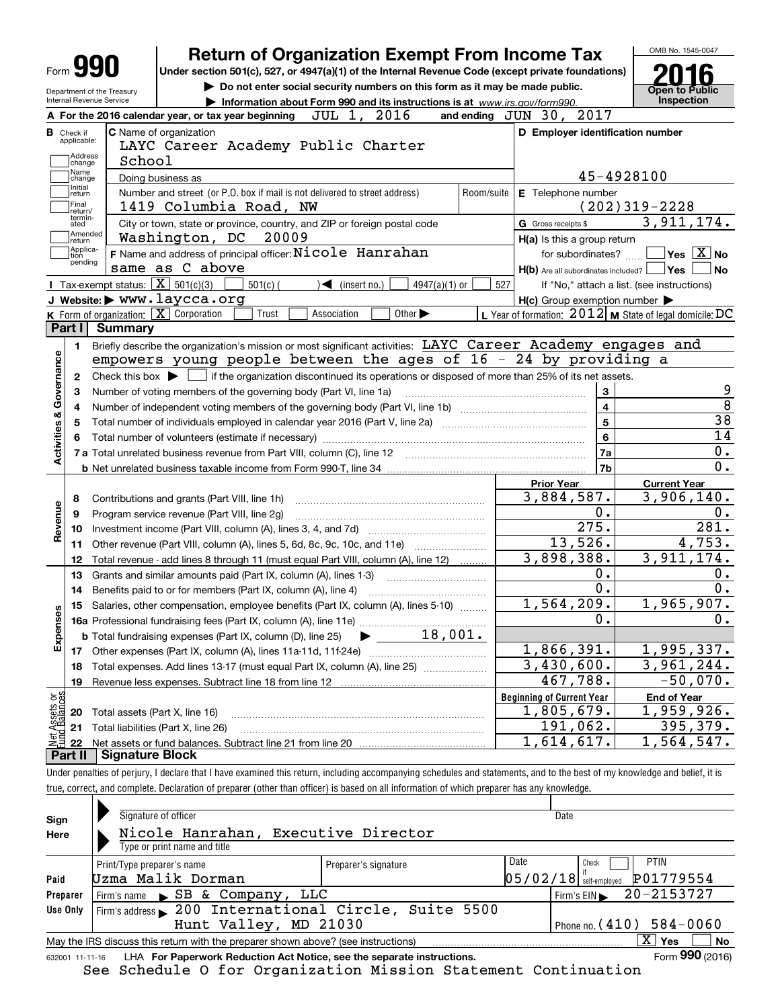|                                      | <b>Return of Organization Exempt From Income Tax</b>                                                                                                |                                                           | OMB No. 1545-0047                                    |
|--------------------------------------|-----------------------------------------------------------------------------------------------------------------------------------------------------|-----------------------------------------------------------|------------------------------------------------------|
| Form YU                              | Under section 501(c), 527, or 4947(a)(1) of the Internal Revenue Code (except private foundations)                                                  |                                                           |                                                      |
| Department of the Treasury           | Do not enter social security numbers on this form as it may be made public.                                                                         |                                                           | <b>Open to Public</b>                                |
| Internal Revenue Service             | Information about Form 990 and its instructions is at www.irs.gov/form990.                                                                          |                                                           | Inspection                                           |
|                                      | A For the 2016 calendar year, or tax year beginning $JUL$ 1, $2016$                                                                                 | and ending JUN 30, 2017                                   |                                                      |
| <b>B</b> Check if<br>applicable:     | C Name of organization                                                                                                                              | D Employer identification number                          |                                                      |
|                                      | LAYC Career Academy Public Charter                                                                                                                  |                                                           |                                                      |
| Address<br>change                    | School                                                                                                                                              |                                                           |                                                      |
| Name<br>change                       | Doing business as                                                                                                                                   | 45-4928100                                                |                                                      |
| Initial<br>return                    | Number and street (or P.O. box if mail is not delivered to street address)                                                                          | Room/suite<br>E Telephone number                          |                                                      |
| Final<br>return/<br>termin-          | 1419 Columbia Road, NW                                                                                                                              |                                                           | $(202)319-2228$                                      |
| ated                                 | City or town, state or province, country, and ZIP or foreign postal code                                                                            | G Gross receipts \$                                       | 3,911,174.                                           |
| Amended<br>return                    | Washington, DC 20009                                                                                                                                | H(a) Is this a group return                               |                                                      |
| Applica-<br>tion<br>pending          | F Name and address of principal officer: Nicole Hanrahan                                                                                            | for subordinates?                                         | $\overline{\mathsf{Yes}}$ $\overline{\mathsf{X}}$ No |
|                                      | same as C above                                                                                                                                     | $H(b)$ Are all subordinates included?                     | ∣Yes<br><b>No</b>                                    |
|                                      | Tax-exempt status: $\boxed{\mathbf{X}}$ 501(c)(3)<br>$\sqrt{\frac{1}{1}}$ (insert no.)<br>4947(a)(1) or<br>$501(c)$ (                               | 527<br>If "No," attach a list. (see instructions)         |                                                      |
|                                      | J Website: > www.laycca.org                                                                                                                         | $H(c)$ Group exemption number $\blacktriangleright$       |                                                      |
|                                      | K Form of organization: X Corporation<br>Association<br>Other $\blacktriangleright$<br>Trust                                                        | L Year of formation: $2012$ M State of legal domicile: DC |                                                      |
| Part I                               | <b>Summary</b>                                                                                                                                      |                                                           |                                                      |
| 1.                                   | Briefly describe the organization's mission or most significant activities: LAYC Career Academy engages and                                         |                                                           |                                                      |
|                                      | empowers young people between the ages of $16 - 24$ by providing a                                                                                  |                                                           |                                                      |
| Governance<br>2                      | Check this box $\blacktriangleright$ $\blacksquare$ if the organization discontinued its operations or disposed of more than 25% of its net assets. |                                                           |                                                      |
| З                                    | Number of voting members of the governing body (Part VI, line 1a)                                                                                   | 3                                                         |                                                      |
| 4                                    |                                                                                                                                                     | 4                                                         |                                                      |
| 5                                    |                                                                                                                                                     | 5                                                         | $\overline{38}$                                      |
| 6                                    |                                                                                                                                                     | 6                                                         | 14                                                   |
| <b>Activities &amp;</b>              | 7 a Total unrelated business revenue from Part VIII, column (C), line 12                                                                            | 7a                                                        | 0.                                                   |
|                                      |                                                                                                                                                     | 7b                                                        | $\overline{0}$ .                                     |
|                                      |                                                                                                                                                     | <b>Prior Year</b>                                         | <b>Current Year</b>                                  |
| 8                                    | Contributions and grants (Part VIII, line 1h)                                                                                                       | 3,884,587.                                                | 3,906,140.                                           |
| Revenue<br>9                         | Program service revenue (Part VIII, line 2g)                                                                                                        | 0.                                                        | 0.                                                   |
| 10                                   |                                                                                                                                                     | 275.                                                      | 281.                                                 |
| 11                                   | Other revenue (Part VIII, column (A), lines 5, 6d, 8c, 9c, 10c, and 11e) <i>mummumm</i>                                                             | 13,526.                                                   | 4,753.                                               |
| 12                                   | Total revenue - add lines 8 through 11 (must equal Part VIII, column (A), line 12)                                                                  | 3,898,388.                                                | 3,911,174.                                           |
| 13                                   | Grants and similar amounts paid (Part IX, column (A), lines 1-3)<br><u> 1986 - Januar Stein, martin a</u>                                           | $0$ .                                                     | 0.                                                   |
| 14                                   | Benefits paid to or for members (Part IX, column (A), line 4)                                                                                       | 0.                                                        | 0.                                                   |
| 15<br>w                              | Salaries, other compensation, employee benefits (Part IX, column (A), lines 5-10)                                                                   | 1,564,209.                                                | 1,965,907.                                           |
|                                      |                                                                                                                                                     | Ο.                                                        | 0.                                                   |
| Expense                              | 18,001.<br><b>b</b> Total fundraising expenses (Part IX, column (D), line 25)                                                                       |                                                           |                                                      |
| 17                                   |                                                                                                                                                     | 1,866,391.                                                | 1,995,337.                                           |
| 18                                   | Total expenses. Add lines 13-17 (must equal Part IX, column (A), line 25)                                                                           | 3,430,600.                                                | 3,961,244.                                           |
| 19                                   |                                                                                                                                                     | 467,788.                                                  | $-50,070.$                                           |
|                                      |                                                                                                                                                     | <b>Beginning of Current Year</b>                          | <b>End of Year</b>                                   |
| 20                                   | Total assets (Part X, line 16)                                                                                                                      | 1,805,679.                                                | 1,959,926.                                           |
| Net Assets or<br>Fund Balances<br>21 | Total liabilities (Part X, line 26)                                                                                                                 | 191,062.                                                  | 395,379.                                             |
|                                      |                                                                                                                                                     | 1,614,617.                                                | 1,564,547.                                           |
| 22                                   | <b>Signature Block</b>                                                                                                                              |                                                           |                                                      |

true, correct, and complete. Declaration of preparer (other than officer) is based on all information of which preparer has any knowledge.

| Sign            | Signature of officer                                                              |                                   | Date                                           |
|-----------------|-----------------------------------------------------------------------------------|-----------------------------------|------------------------------------------------|
| Here            | Nicole Hanrahan, Executive Director                                               |                                   |                                                |
|                 | Type or print name and title                                                      |                                   |                                                |
|                 | Print/Type preparer's name                                                        | Preparer's signature              | Date<br><b>PTIN</b><br>Check                   |
| Paid            | Uzma Malik Dorman                                                                 |                                   | P01779554<br>$05/02/18$ self-employed          |
| Preparer        | Firm's name $\blacktriangleright$ SB & Company, LLC                               |                                   | 20-2153727<br>$Firm's EIN \blacktriangleright$ |
| Use Only        | Firm's address > 200 International Circle, Suite 5500                             |                                   |                                                |
|                 | Hunt Valley, MD 21030                                                             | $584 - 0060$<br>Phone no. $(410)$ |                                                |
|                 | May the IRS discuss this return with the preparer shown above? (see instructions) |                                   | $X \mid Y$ es<br><b>No</b>                     |
| 632001 11-11-16 | LHA For Paperwork Reduction Act Notice, see the separate instructions.            |                                   | Form 990 (2016)                                |

See Schedule O for Organization Mission Statement Continuation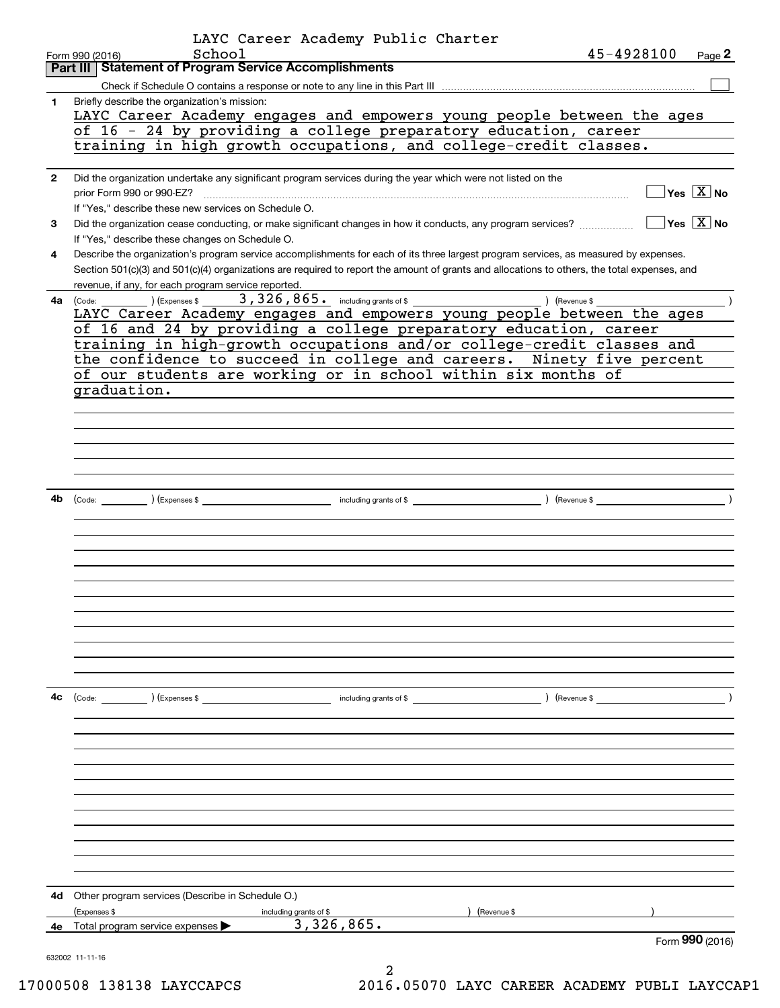|              | LAYC Career Academy Public Charter<br>45-4928100<br>School<br>Form 990 (2016)                                                                                                                                                                                                      | Page 2 |
|--------------|------------------------------------------------------------------------------------------------------------------------------------------------------------------------------------------------------------------------------------------------------------------------------------|--------|
|              | Part III   Statement of Program Service Accomplishments                                                                                                                                                                                                                            |        |
|              |                                                                                                                                                                                                                                                                                    |        |
| 1.           | Briefly describe the organization's mission:                                                                                                                                                                                                                                       |        |
|              | LAYC Career Academy engages and empowers young people between the ages                                                                                                                                                                                                             |        |
|              | of 16 - 24 by providing a college preparatory education, career                                                                                                                                                                                                                    |        |
|              | training in high growth occupations, and college-credit classes.                                                                                                                                                                                                                   |        |
|              |                                                                                                                                                                                                                                                                                    |        |
|              |                                                                                                                                                                                                                                                                                    |        |
| $\mathbf{2}$ | Did the organization undertake any significant program services during the year which were not listed on the                                                                                                                                                                       |        |
|              | $Yes \; X \, No$<br>prior Form 990 or 990-EZ?                                                                                                                                                                                                                                      |        |
|              | If "Yes," describe these new services on Schedule O.                                                                                                                                                                                                                               |        |
| 3            | $\sqrt{}$ Yes $\sqrt{}$ X $\sqrt{}$ No                                                                                                                                                                                                                                             |        |
|              | If "Yes," describe these changes on Schedule O.                                                                                                                                                                                                                                    |        |
| 4            | Describe the organization's program service accomplishments for each of its three largest program services, as measured by expenses.                                                                                                                                               |        |
|              | Section 501(c)(3) and 501(c)(4) organizations are required to report the amount of grants and allocations to others, the total expenses, and                                                                                                                                       |        |
|              | revenue, if any, for each program service reported.                                                                                                                                                                                                                                |        |
|              | 3, 326, 865. including grants of \$<br>) (Expenses \$<br>) (Revenue \$                                                                                                                                                                                                             |        |
|              | <b>4a</b> (Code:<br>LAYC Career Academy engages and empowers young people between the ages                                                                                                                                                                                         |        |
|              |                                                                                                                                                                                                                                                                                    |        |
|              | of 16 and 24 by providing a college preparatory education, career                                                                                                                                                                                                                  |        |
|              | training in high-growth occupations and/or college-credit classes and                                                                                                                                                                                                              |        |
|              | the confidence to succeed in college and careers. Ninety five percent                                                                                                                                                                                                              |        |
|              | of our students are working or in school within six months of                                                                                                                                                                                                                      |        |
|              | graduation.                                                                                                                                                                                                                                                                        |        |
|              |                                                                                                                                                                                                                                                                                    |        |
|              |                                                                                                                                                                                                                                                                                    |        |
|              |                                                                                                                                                                                                                                                                                    |        |
|              |                                                                                                                                                                                                                                                                                    |        |
|              |                                                                                                                                                                                                                                                                                    |        |
|              |                                                                                                                                                                                                                                                                                    |        |
|              |                                                                                                                                                                                                                                                                                    |        |
| 4b.          | $\left(\text{Code:}\ \_\_\_\_\_\_\\right)$ $\left(\text{Expenses $}\ \!\!\!\!\right)$                                                                                                                                                                                              |        |
|              |                                                                                                                                                                                                                                                                                    |        |
|              |                                                                                                                                                                                                                                                                                    |        |
|              |                                                                                                                                                                                                                                                                                    |        |
|              |                                                                                                                                                                                                                                                                                    |        |
|              |                                                                                                                                                                                                                                                                                    |        |
|              |                                                                                                                                                                                                                                                                                    |        |
|              |                                                                                                                                                                                                                                                                                    |        |
|              |                                                                                                                                                                                                                                                                                    |        |
|              |                                                                                                                                                                                                                                                                                    |        |
|              |                                                                                                                                                                                                                                                                                    |        |
|              |                                                                                                                                                                                                                                                                                    |        |
|              |                                                                                                                                                                                                                                                                                    |        |
|              |                                                                                                                                                                                                                                                                                    |        |
| 4c           | and the set of the set of the set of the set of the set of the set of the set of the set of the set of the set o<br>All the set of the set of the set of the set of the set of the set of the set of the set of the set of the se<br>(Code: ) (Expenses \$<br>$\sqrt{$ (Revenue \$ |        |
|              |                                                                                                                                                                                                                                                                                    |        |
|              |                                                                                                                                                                                                                                                                                    |        |
|              |                                                                                                                                                                                                                                                                                    |        |
|              |                                                                                                                                                                                                                                                                                    |        |
|              |                                                                                                                                                                                                                                                                                    |        |
|              |                                                                                                                                                                                                                                                                                    |        |
|              |                                                                                                                                                                                                                                                                                    |        |
|              |                                                                                                                                                                                                                                                                                    |        |
|              |                                                                                                                                                                                                                                                                                    |        |
|              |                                                                                                                                                                                                                                                                                    |        |
|              |                                                                                                                                                                                                                                                                                    |        |
|              |                                                                                                                                                                                                                                                                                    |        |
|              |                                                                                                                                                                                                                                                                                    |        |
|              |                                                                                                                                                                                                                                                                                    |        |
| 4d           | Other program services (Describe in Schedule O.)                                                                                                                                                                                                                                   |        |
|              | (Expenses \$<br>Revenue \$<br>including grants of \$                                                                                                                                                                                                                               |        |
| 4e           | 3,326,865.<br>Total program service expenses                                                                                                                                                                                                                                       |        |
|              | Form 990 (2016)<br>632002 11-11-16                                                                                                                                                                                                                                                 |        |

2 17000508 138138 LAYCCAPCS 2016.05070 LAYC CAREER ACADEMY PUBLI LAYCCAP1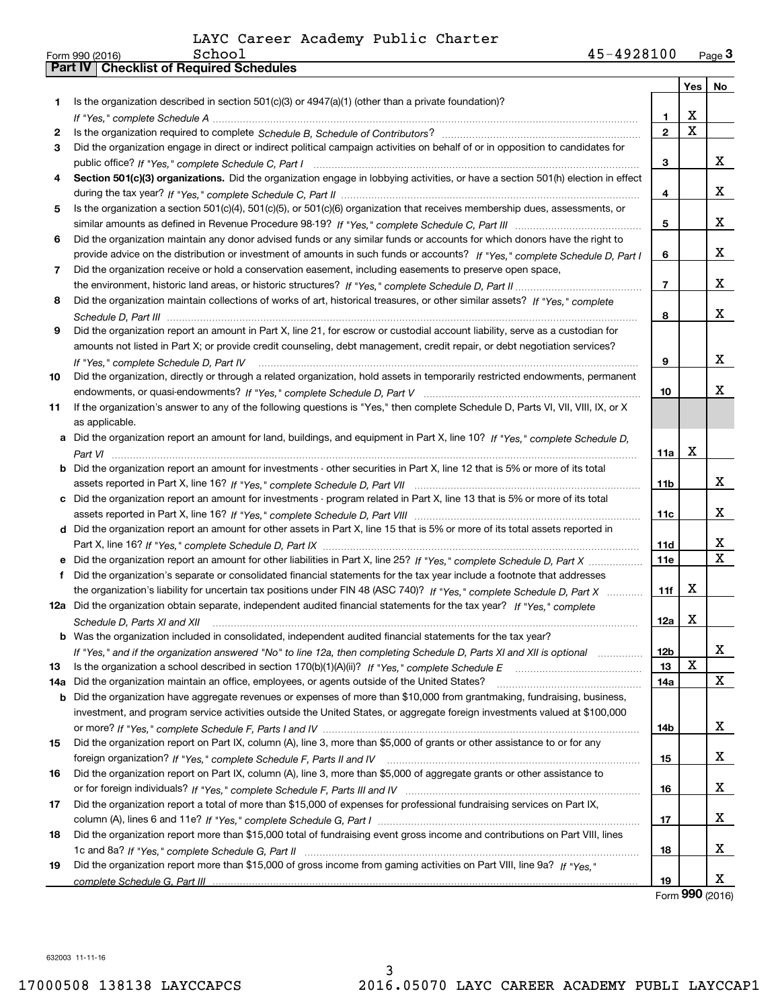|         | School<br>45-4928100<br>Form 990 (2016)                                                                                              |                 |             | Page $3$    |
|---------|--------------------------------------------------------------------------------------------------------------------------------------|-----------------|-------------|-------------|
| Part IV | <b>Checklist of Required Schedules</b>                                                                                               |                 |             |             |
|         |                                                                                                                                      |                 | Yes         | No          |
| 1       | Is the organization described in section $501(c)(3)$ or $4947(a)(1)$ (other than a private foundation)?                              |                 |             |             |
|         | If "Yes," complete Schedule A measured and the complete schedule A measured and the Schedule A measured and the                      | 1               | х           |             |
| 2       |                                                                                                                                      | $\overline{2}$  | $\mathbf X$ |             |
| 3       | Did the organization engage in direct or indirect political campaign activities on behalf of or in opposition to candidates for      |                 |             |             |
|         |                                                                                                                                      | 3               |             | x           |
| 4       | Section 501(c)(3) organizations. Did the organization engage in lobbying activities, or have a section 501(h) election in effect     |                 |             |             |
|         |                                                                                                                                      | 4               |             | x           |
| 5       | Is the organization a section 501(c)(4), 501(c)(5), or 501(c)(6) organization that receives membership dues, assessments, or         |                 |             |             |
|         |                                                                                                                                      | 5               |             | x           |
| 6       | Did the organization maintain any donor advised funds or any similar funds or accounts for which donors have the right to            |                 |             |             |
|         | provide advice on the distribution or investment of amounts in such funds or accounts? If "Yes," complete Schedule D, Part I         | 6               |             | x           |
| 7       | Did the organization receive or hold a conservation easement, including easements to preserve open space,                            |                 |             |             |
|         |                                                                                                                                      | $\overline{7}$  |             | x           |
| 8       | Did the organization maintain collections of works of art, historical treasures, or other similar assets? If "Yes," complete         |                 |             |             |
|         |                                                                                                                                      | 8               |             | x           |
| 9       | Did the organization report an amount in Part X, line 21, for escrow or custodial account liability, serve as a custodian for        |                 |             |             |
|         | amounts not listed in Part X; or provide credit counseling, debt management, credit repair, or debt negotiation services?            |                 |             |             |
|         |                                                                                                                                      | 9               |             | x           |
|         | If "Yes." complete Schedule D, Part IV                                                                                               |                 |             |             |
| 10      | Did the organization, directly or through a related organization, hold assets in temporarily restricted endowments, permanent        |                 |             | x           |
|         |                                                                                                                                      | 10              |             |             |
| 11      | If the organization's answer to any of the following questions is "Yes," then complete Schedule D, Parts VI, VII, VIII, IX, or X     |                 |             |             |
|         | as applicable.                                                                                                                       |                 |             |             |
|         | a Did the organization report an amount for land, buildings, and equipment in Part X, line 10? If "Yes," complete Schedule D.        |                 |             |             |
|         |                                                                                                                                      | 11a             | х           |             |
|         | <b>b</b> Did the organization report an amount for investments - other securities in Part X, line 12 that is 5% or more of its total |                 |             |             |
|         |                                                                                                                                      | 11 <sub>b</sub> |             | x           |
|         | c Did the organization report an amount for investments - program related in Part X, line 13 that is 5% or more of its total         |                 |             |             |
|         |                                                                                                                                      | 11c             |             | x           |
|         | d Did the organization report an amount for other assets in Part X, line 15 that is 5% or more of its total assets reported in       |                 |             |             |
|         |                                                                                                                                      | 11d             |             | x           |
|         |                                                                                                                                      | <b>11e</b>      |             | $\mathbf X$ |
| f       | Did the organization's separate or consolidated financial statements for the tax year include a footnote that addresses              |                 |             |             |
|         | the organization's liability for uncertain tax positions under FIN 48 (ASC 740)? If "Yes," complete Schedule D, Part X               | 11f             | х           |             |
|         | 12a Did the organization obtain separate, independent audited financial statements for the tax year? If "Yes," complete              |                 |             |             |
|         |                                                                                                                                      | 12a             | X           |             |
|         | <b>b</b> Was the organization included in consolidated, independent audited financial statements for the tax year?                   |                 |             |             |
|         | If "Yes," and if the organization answered "No" to line 12a, then completing Schedule D, Parts XI and XII is optional                | 12 <sub>b</sub> |             | x           |
| 13      |                                                                                                                                      | 13              | $\mathbf X$ |             |
| 14a     | Did the organization maintain an office, employees, or agents outside of the United States?                                          | 14a             |             | X           |
|         | <b>b</b> Did the organization have aggregate revenues or expenses of more than \$10,000 from grantmaking, fundraising, business,     |                 |             |             |
|         | investment, and program service activities outside the United States, or aggregate foreign investments valued at \$100,000           |                 |             |             |
|         |                                                                                                                                      | 14b             |             | x           |
| 15      | Did the organization report on Part IX, column (A), line 3, more than \$5,000 of grants or other assistance to or for any            |                 |             |             |
|         |                                                                                                                                      | 15              |             | x           |
| 16      | Did the organization report on Part IX, column (A), line 3, more than \$5,000 of aggregate grants or other assistance to             |                 |             |             |
|         |                                                                                                                                      | 16              |             | x           |
| 17      | Did the organization report a total of more than \$15,000 of expenses for professional fundraising services on Part IX,              |                 |             |             |
|         |                                                                                                                                      | 17              |             | x           |
| 18      | Did the organization report more than \$15,000 total of fundraising event gross income and contributions on Part VIII, lines         |                 |             |             |
|         |                                                                                                                                      | 18              |             | x           |
| 19      | Did the organization report more than \$15,000 of gross income from gaming activities on Part VIII, line 9a? If "Yes."               |                 |             |             |
|         |                                                                                                                                      | 19              |             | x           |

Form (2016) **990**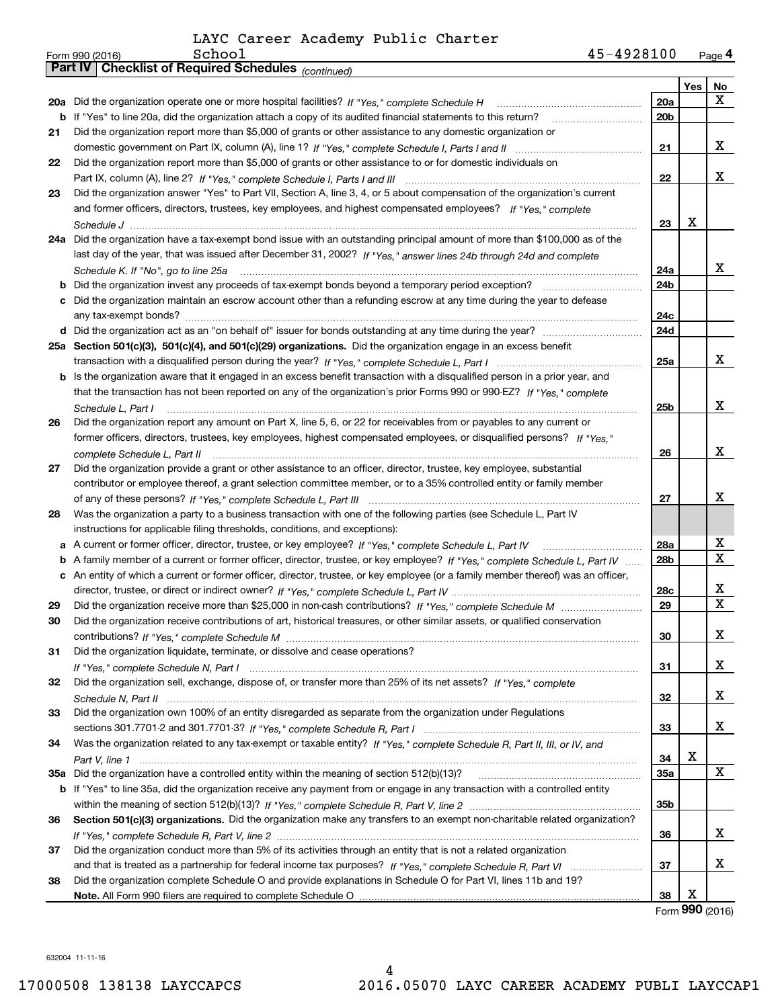|     | 45-4928100<br>School<br>Form 990 (2016)                                                                                         |                 |     | Page 4 |
|-----|---------------------------------------------------------------------------------------------------------------------------------|-----------------|-----|--------|
|     | Part IV   Checklist of Required Schedules (continued)                                                                           |                 |     |        |
|     |                                                                                                                                 |                 | Yes | No     |
|     | 20a Did the organization operate one or more hospital facilities? If "Yes," complete Schedule H                                 | 20a             |     | х      |
|     | <b>b</b> If "Yes" to line 20a, did the organization attach a copy of its audited financial statements to this return?           | 20 <sub>b</sub> |     |        |
| 21  | Did the organization report more than \$5,000 of grants or other assistance to any domestic organization or                     |                 |     |        |
|     |                                                                                                                                 | 21              |     | x      |
| 22  | Did the organization report more than \$5,000 of grants or other assistance to or for domestic individuals on                   |                 |     |        |
|     |                                                                                                                                 | 22              |     | x      |
| 23  | Did the organization answer "Yes" to Part VII, Section A, line 3, 4, or 5 about compensation of the organization's current      |                 |     |        |
|     | and former officers, directors, trustees, key employees, and highest compensated employees? If "Yes," complete                  |                 |     |        |
|     |                                                                                                                                 | 23              | x   |        |
|     | 24a Did the organization have a tax-exempt bond issue with an outstanding principal amount of more than \$100,000 as of the     |                 |     |        |
|     |                                                                                                                                 |                 |     |        |
|     | last day of the year, that was issued after December 31, 2002? If "Yes," answer lines 24b through 24d and complete              |                 |     | x      |
|     | Schedule K. If "No", go to line 25a                                                                                             | 24a             |     |        |
| b   |                                                                                                                                 | 24b             |     |        |
|     | Did the organization maintain an escrow account other than a refunding escrow at any time during the year to defease            |                 |     |        |
|     |                                                                                                                                 | 24c             |     |        |
|     |                                                                                                                                 | 24d             |     |        |
|     | 25a Section 501(c)(3), 501(c)(4), and 501(c)(29) organizations. Did the organization engage in an excess benefit                |                 |     |        |
|     |                                                                                                                                 | 25a             |     | x      |
|     | b Is the organization aware that it engaged in an excess benefit transaction with a disqualified person in a prior year, and    |                 |     |        |
|     | that the transaction has not been reported on any of the organization's prior Forms 990 or 990-EZ? If "Yes," complete           |                 |     |        |
|     | Schedule L, Part I                                                                                                              | 25b             |     | x      |
| 26  | Did the organization report any amount on Part X, line 5, 6, or 22 for receivables from or payables to any current or           |                 |     |        |
|     | former officers, directors, trustees, key employees, highest compensated employees, or disqualified persons? If "Yes."          |                 |     |        |
|     | complete Schedule L, Part II                                                                                                    | 26              |     | x      |
| 27  | Did the organization provide a grant or other assistance to an officer, director, trustee, key employee, substantial            |                 |     |        |
|     | contributor or employee thereof, a grant selection committee member, or to a 35% controlled entity or family member             |                 |     |        |
|     |                                                                                                                                 | 27              |     | x      |
| 28  | Was the organization a party to a business transaction with one of the following parties (see Schedule L, Part IV               |                 |     |        |
|     | instructions for applicable filing thresholds, conditions, and exceptions):                                                     |                 |     |        |
| а   | A current or former officer, director, trustee, or key employee? If "Yes," complete Schedule L, Part IV                         | 28a             |     | х      |
| b   | A family member of a current or former officer, director, trustee, or key employee? If "Yes," complete Schedule L, Part IV      | 28 <sub>b</sub> |     | X      |
| с   | An entity of which a current or former officer, director, trustee, or key employee (or a family member thereof) was an officer, |                 |     |        |
|     |                                                                                                                                 | 28c             |     | x      |
| 29  |                                                                                                                                 | 29              |     | X      |
| 30  | Did the organization receive contributions of art, historical treasures, or other similar assets, or qualified conservation     |                 |     |        |
|     |                                                                                                                                 | 30              |     | X      |
| 31  | Did the organization liquidate, terminate, or dissolve and cease operations?                                                    |                 |     |        |
|     |                                                                                                                                 | 31              |     | x      |
| 32  | Did the organization sell, exchange, dispose of, or transfer more than 25% of its net assets? If "Yes," complete                |                 |     |        |
|     |                                                                                                                                 | 32              |     | x      |
|     | Did the organization own 100% of an entity disregarded as separate from the organization under Regulations                      |                 |     |        |
| 33  |                                                                                                                                 |                 |     | x      |
|     |                                                                                                                                 | 33              |     |        |
| 34  | Was the organization related to any tax-exempt or taxable entity? If "Yes," complete Schedule R, Part II, III, or IV, and       |                 |     |        |
|     |                                                                                                                                 | 34              | х   |        |
| 35a |                                                                                                                                 | 35a             |     | X      |
|     | b If "Yes" to line 35a, did the organization receive any payment from or engage in any transaction with a controlled entity     |                 |     |        |
|     |                                                                                                                                 | 35b             |     |        |
| 36  | Section 501(c)(3) organizations. Did the organization make any transfers to an exempt non-charitable related organization?      |                 |     |        |
|     |                                                                                                                                 | 36              |     | x      |
| 37  | Did the organization conduct more than 5% of its activities through an entity that is not a related organization                |                 |     |        |
|     |                                                                                                                                 | 37              |     | x      |
| 38  | Did the organization complete Schedule O and provide explanations in Schedule O for Part VI, lines 11b and 19?                  |                 |     |        |
|     |                                                                                                                                 | 38              | X   |        |

Form (2016) **990**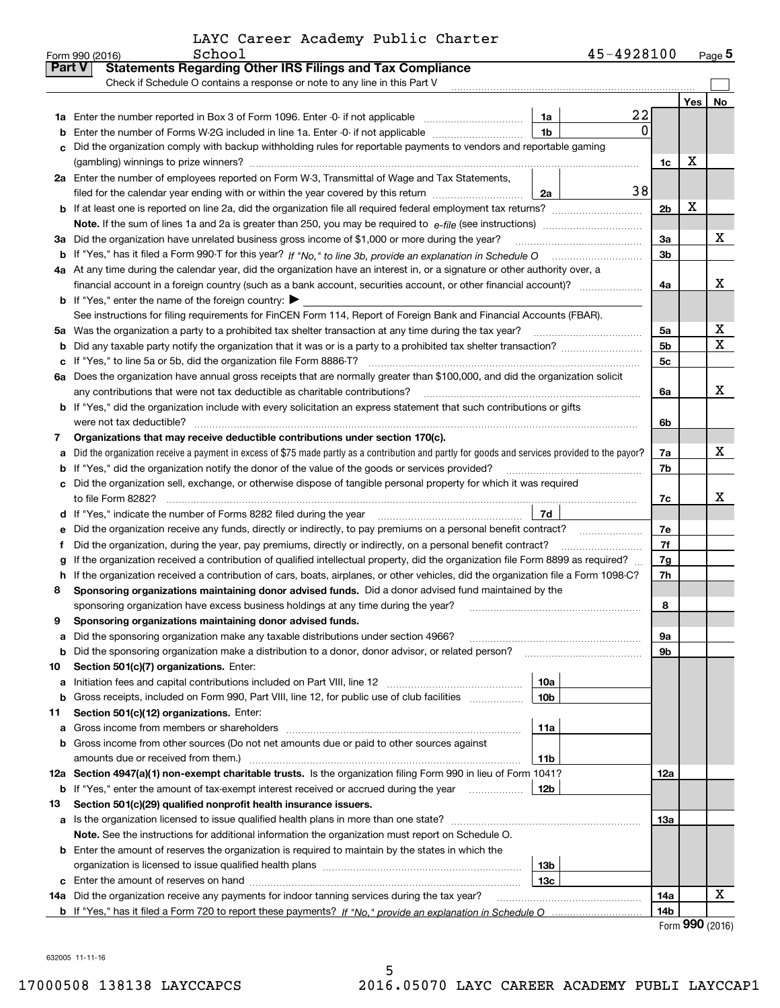|        | LAYC Career Academy Public Charter |  |                |
|--------|------------------------------------|--|----------------|
| Schon1 |                                    |  | $A5 - A998100$ |

|         | School<br>Form 990 (2016)                                                                                                                       | 45-4928100 |                |     | <u>Page</u> 5 |
|---------|-------------------------------------------------------------------------------------------------------------------------------------------------|------------|----------------|-----|---------------|
| Part V  | <b>Statements Regarding Other IRS Filings and Tax Compliance</b>                                                                                |            |                |     |               |
|         | Check if Schedule O contains a response or note to any line in this Part V                                                                      |            |                |     |               |
|         |                                                                                                                                                 |            |                | Yes | No            |
| 1a      | Enter the number reported in Box 3 of Form 1096. Enter -0- if not applicable<br>1a                                                              | 22         |                |     |               |
| b       | 1 <sub>b</sub><br>Enter the number of Forms W-2G included in line 1a. Enter -0- if not applicable                                               | 0          |                |     |               |
| c       | Did the organization comply with backup withholding rules for reportable payments to vendors and reportable gaming                              |            |                |     |               |
|         |                                                                                                                                                 |            | 1c             | х   |               |
|         | 2a Enter the number of employees reported on Form W-3, Transmittal of Wage and Tax Statements,                                                  |            |                |     |               |
|         | filed for the calendar year ending with or within the year covered by this return<br>2a                                                         | 38         |                |     |               |
|         |                                                                                                                                                 |            | 2 <sub>b</sub> | х   |               |
|         |                                                                                                                                                 |            |                |     |               |
| За      | Did the organization have unrelated business gross income of \$1,000 or more during the year?                                                   |            | 3a             |     | x             |
|         |                                                                                                                                                 |            | 3b             |     |               |
|         | 4a At any time during the calendar year, did the organization have an interest in, or a signature or other authority over, a                    |            |                |     |               |
|         |                                                                                                                                                 |            | 4a             |     | х             |
|         | <b>b</b> If "Yes," enter the name of the foreign country:                                                                                       |            |                |     |               |
|         | See instructions for filing requirements for FinCEN Form 114, Report of Foreign Bank and Financial Accounts (FBAR).                             |            |                |     |               |
| 5a      | Was the organization a party to a prohibited tax shelter transaction at any time during the tax year?                                           |            | 5a             |     | x             |
| b       |                                                                                                                                                 |            | 5 <sub>b</sub> |     | $\mathbf x$   |
| c       | If "Yes," to line 5a or 5b, did the organization file Form 8886-T?                                                                              |            | 5c             |     |               |
| ба      | Does the organization have annual gross receipts that are normally greater than \$100,000, and did the organization solicit                     |            |                |     |               |
|         | any contributions that were not tax deductible as charitable contributions?                                                                     |            | 6a             |     | x             |
|         | <b>b</b> If "Yes," did the organization include with every solicitation an express statement that such contributions or gifts                   |            |                |     |               |
|         | were not tax deductible?                                                                                                                        |            | 6b             |     |               |
| 7       | Organizations that may receive deductible contributions under section 170(c).                                                                   |            |                |     |               |
| a       | Did the organization receive a payment in excess of \$75 made partly as a contribution and partly for goods and services provided to the payor? |            | 7a             |     | x             |
| b       | If "Yes," did the organization notify the donor of the value of the goods or services provided?                                                 |            | 7b             |     |               |
| c       | Did the organization sell, exchange, or otherwise dispose of tangible personal property for which it was required                               |            |                |     |               |
|         | to file Form 8282?                                                                                                                              |            | 7c             |     | х             |
| d       | 7d                                                                                                                                              |            |                |     |               |
| е       | Did the organization receive any funds, directly or indirectly, to pay premiums on a personal benefit contract?                                 |            | 7e             |     |               |
| f       | Did the organization, during the year, pay premiums, directly or indirectly, on a personal benefit contract?                                    |            | 7f             |     |               |
| g       | If the organization received a contribution of qualified intellectual property, did the organization file Form 8899 as required?                |            | 7g             |     |               |
| h.      | If the organization received a contribution of cars, boats, airplanes, or other vehicles, did the organization file a Form 1098-C?              |            | 7h             |     |               |
| 8       | Sponsoring organizations maintaining donor advised funds. Did a donor advised fund maintained by the                                            |            |                |     |               |
|         | sponsoring organization have excess business holdings at any time during the year?                                                              |            | 8              |     |               |
|         | ponsoring organizations maintaining donor advised funds.                                                                                        |            |                |     |               |
|         | Did the sponsoring organization make any taxable distributions under section 4966?                                                              |            | 9a             |     |               |
| b<br>10 | Did the sponsoring organization make a distribution to a donor, donor advisor, or related person?<br>Section 501(c)(7) organizations. Enter:    |            | 9b             |     |               |
| а       | 10a                                                                                                                                             |            |                |     |               |
| b       | Gross receipts, included on Form 990, Part VIII, line 12, for public use of club facilities<br>10 <sub>b</sub>                                  |            |                |     |               |
| 11      | Section 501(c)(12) organizations. Enter:                                                                                                        |            |                |     |               |
| a       | 11a<br>Gross income from members or shareholders                                                                                                |            |                |     |               |
| b       | Gross income from other sources (Do not net amounts due or paid to other sources against                                                        |            |                |     |               |
|         | amounts due or received from them.)<br>11b                                                                                                      |            |                |     |               |
| 12a     | Section 4947(a)(1) non-exempt charitable trusts. Is the organization filing Form 990 in lieu of Form 1041?                                      |            | 12a            |     |               |
|         | <b>12b</b><br><b>b</b> If "Yes," enter the amount of tax-exempt interest received or accrued during the year                                    |            |                |     |               |
| 13      | Section 501(c)(29) qualified nonprofit health insurance issuers.                                                                                |            |                |     |               |
| a       | Is the organization licensed to issue qualified health plans in more than one state?                                                            |            | 13а            |     |               |
|         | Note. See the instructions for additional information the organization must report on Schedule O.                                               |            |                |     |               |
| b       | Enter the amount of reserves the organization is required to maintain by the states in which the                                                |            |                |     |               |
|         | 13 <sub>b</sub>                                                                                                                                 |            |                |     |               |
|         | 13с                                                                                                                                             |            |                |     |               |
|         | 14a Did the organization receive any payments for indoor tanning services during the tax year?                                                  |            | 14a            |     | X             |
|         |                                                                                                                                                 |            | 14b            |     |               |
|         |                                                                                                                                                 |            |                |     |               |

Form (2016) **990**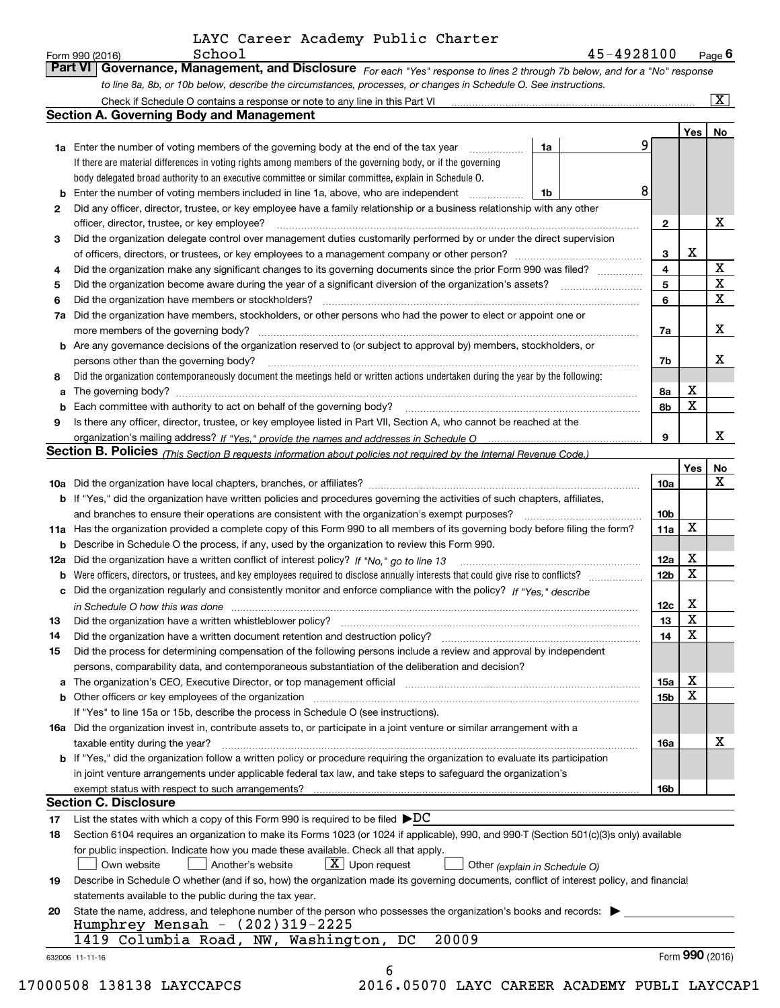*For each "Yes" response to lines 2 through 7b below, and for a "No" response to line 8a, 8b, or 10b below, describe the circumstances, processes, or changes in Schedule O. See instructions.* Form 990 (2016) **Carry Book Book 1 (2016)**<br>**Part VI Governance, Management, and Disclosure** For each "Yes" response to lines 2 through 7b below, and for a "No" response

|          |                                                                                                                                                                               |    |    |                 | Yes   No        |             |
|----------|-------------------------------------------------------------------------------------------------------------------------------------------------------------------------------|----|----|-----------------|-----------------|-------------|
|          | <b>1a</b> Enter the number of voting members of the governing body at the end of the tax year                                                                                 | 1a | 9. |                 |                 |             |
|          | If there are material differences in voting rights among members of the governing body, or if the governing                                                                   |    |    |                 |                 |             |
|          | body delegated broad authority to an executive committee or similar committee, explain in Schedule O.                                                                         |    |    |                 |                 |             |
|          | <b>b</b> Enter the number of voting members included in line 1a, above, who are independent <i>manumum</i>                                                                    | 1b | 8  |                 |                 |             |
| 2        | Did any officer, director, trustee, or key employee have a family relationship or a business relationship with any other                                                      |    |    |                 |                 |             |
|          | officer, director, trustee, or key employee?                                                                                                                                  |    |    | $\mathbf{2}$    |                 | х           |
| 3        | Did the organization delegate control over management duties customarily performed by or under the direct supervision                                                         |    |    |                 |                 |             |
|          |                                                                                                                                                                               |    |    | 3               | х               |             |
| 4        | Did the organization make any significant changes to its governing documents since the prior Form 990 was filed?                                                              |    |    | 4               |                 | X           |
| 5        |                                                                                                                                                                               |    |    | 5               |                 | X           |
| 6        |                                                                                                                                                                               |    |    | 6               |                 | $\mathbf X$ |
| 7a       | Did the organization have members, stockholders, or other persons who had the power to elect or appoint one or                                                                |    |    |                 |                 |             |
|          |                                                                                                                                                                               |    |    | 7a              |                 | x           |
|          | <b>b</b> Are any governance decisions of the organization reserved to (or subject to approval by) members, stockholders, or                                                   |    |    |                 |                 |             |
|          | persons other than the governing body?                                                                                                                                        |    |    | 7b              |                 | х           |
| 8        | Did the organization contemporaneously document the meetings held or written actions undertaken during the year by the following:                                             |    |    |                 |                 |             |
| a        |                                                                                                                                                                               |    |    | 8a              | X               |             |
|          |                                                                                                                                                                               |    |    | 8b              | X               |             |
| 9        | Is there any officer, director, trustee, or key employee listed in Part VII, Section A, who cannot be reached at the                                                          |    |    |                 |                 |             |
|          |                                                                                                                                                                               |    |    | 9               |                 | x           |
|          | Section B. Policies (This Section B requests information about policies not required by the Internal Revenue Code.)                                                           |    |    |                 |                 |             |
|          |                                                                                                                                                                               |    |    |                 | Yes             | No          |
|          |                                                                                                                                                                               |    |    | 10a             |                 | X           |
|          | <b>b</b> If "Yes," did the organization have written policies and procedures governing the activities of such chapters, affiliates,                                           |    |    |                 |                 |             |
|          |                                                                                                                                                                               |    |    | 10 <sub>b</sub> |                 |             |
|          | 11a Has the organization provided a complete copy of this Form 990 to all members of its governing body before filing the form?                                               |    |    | 11a             | X               |             |
|          | <b>b</b> Describe in Schedule O the process, if any, used by the organization to review this Form 990.                                                                        |    |    |                 |                 |             |
|          |                                                                                                                                                                               |    |    | 12a             | X               |             |
| b        |                                                                                                                                                                               |    |    | 12 <sub>b</sub> | X               |             |
|          | c Did the organization regularly and consistently monitor and enforce compliance with the policy? If "Yes." describe                                                          |    |    |                 |                 |             |
|          |                                                                                                                                                                               |    |    | 12c             | X               |             |
|          | in Schedule O how this was done manufactured and continuum control of the Schedule O how this was done manufactured and continuum control of the Schedule O how this was done |    |    | 13              | X               |             |
| 13<br>14 |                                                                                                                                                                               |    |    | 14              | X               |             |
|          | Did the organization have a written document retention and destruction policy? manufactured and the organization have a written document retention and destruction policy?    |    |    |                 |                 |             |
| 15       | Did the process for determining compensation of the following persons include a review and approval by independent                                                            |    |    |                 |                 |             |
|          | persons, comparability data, and contemporaneous substantiation of the deliberation and decision?                                                                             |    |    |                 | X               |             |
|          |                                                                                                                                                                               |    |    | 15a             | X               |             |
|          |                                                                                                                                                                               |    |    | 15 <sub>b</sub> |                 |             |
|          | If "Yes" to line 15a or 15b, describe the process in Schedule O (see instructions).                                                                                           |    |    |                 |                 |             |
|          | 16a Did the organization invest in, contribute assets to, or participate in a joint venture or similar arrangement with a                                                     |    |    |                 |                 |             |
|          | taxable entity during the year?                                                                                                                                               |    |    | 16a             |                 | X           |
|          | <b>b</b> If "Yes," did the organization follow a written policy or procedure requiring the organization to evaluate its participation                                         |    |    |                 |                 |             |
|          | in joint venture arrangements under applicable federal tax law, and take steps to safequard the organization's                                                                |    |    |                 |                 |             |
|          | exempt status with respect to such arrangements?                                                                                                                              |    |    | 16 <sub>b</sub> |                 |             |
|          | <b>Section C. Disclosure</b>                                                                                                                                                  |    |    |                 |                 |             |
| 17       | List the states with which a copy of this Form 990 is required to be filed $\blacktriangleright$ DC                                                                           |    |    |                 |                 |             |
| 18       | Section 6104 requires an organization to make its Forms 1023 (or 1024 if applicable), 990, and 990-T (Section 501(c)(3)s only) available                                      |    |    |                 |                 |             |
|          | for public inspection. Indicate how you made these available. Check all that apply.                                                                                           |    |    |                 |                 |             |
|          | $X$ Upon request<br>Another's website<br>Own website<br>Other (explain in Schedule O)                                                                                         |    |    |                 |                 |             |
| 19       | Describe in Schedule O whether (and if so, how) the organization made its governing documents, conflict of interest policy, and financial                                     |    |    |                 |                 |             |
|          | statements available to the public during the tax year.                                                                                                                       |    |    |                 |                 |             |
| 20       | State the name, address, and telephone number of the person who possesses the organization's books and records:                                                               |    |    |                 |                 |             |
|          | Humphrey Mensah $ (202)319-2225$                                                                                                                                              |    |    |                 |                 |             |
|          | 20009<br>1419 Columbia Road, NW, Washington, DC                                                                                                                               |    |    |                 |                 |             |
|          | 632006 11-11-16                                                                                                                                                               |    |    |                 | Form 990 (2016) |             |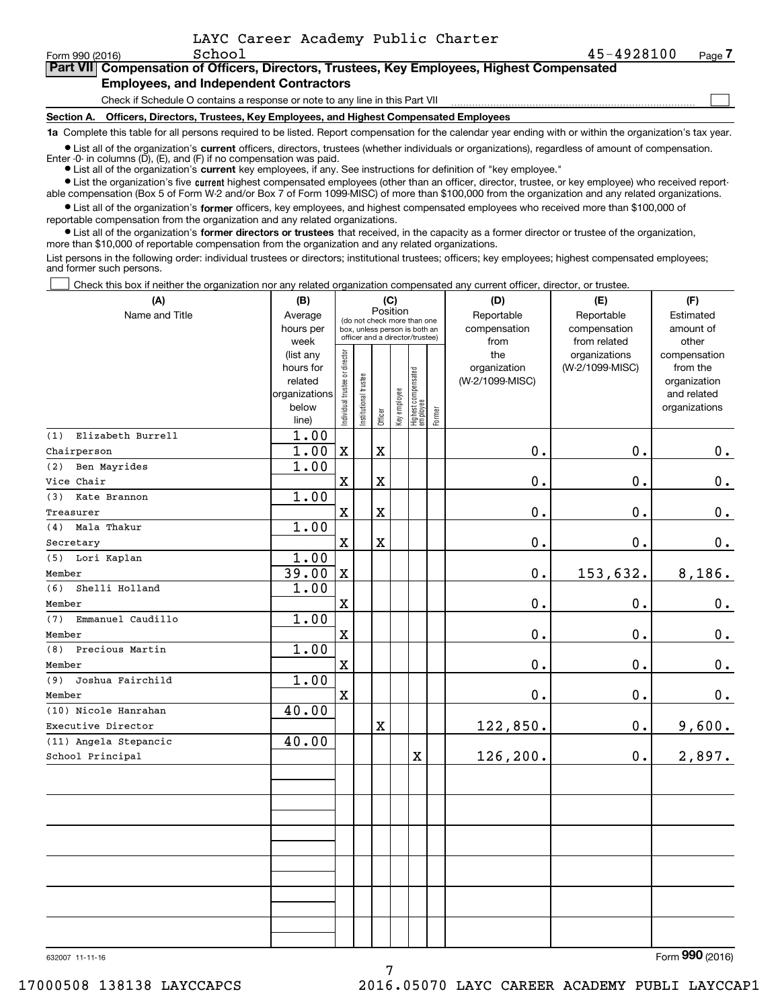$\mathcal{L}^{\text{max}}$ 

| orm 990 (2016) <sup>.</sup> | School | 45-4928100                                                                                  | Page $\overline{I}$ |
|-----------------------------|--------|---------------------------------------------------------------------------------------------|---------------------|
|                             |        | Part VII  Compensation of Officers, Directors, Trustees, Key Employees, Highest Compensated |                     |

### **Employees, and Independent Contractors**

**(A)**

Check if Schedule O contains a response or note to any line in this Part VII

**Section A. Officers, Directors, Trustees, Key Employees, and Highest Compensated Employees**

**1a**  Complete this table for all persons required to be listed. Report compensation for the calendar year ending with or within the organization's tax year.

**•** List all of the organization's current officers, directors, trustees (whether individuals or organizations), regardless of amount of compensation. Enter -0- in columns  $(D)$ ,  $(E)$ , and  $(F)$  if no compensation was paid.

● List all of the organization's **current** key employees, if any. See instructions for definition of "key employee."

**•** List the organization's five current highest compensated employees (other than an officer, director, trustee, or key employee) who received reportable compensation (Box 5 of Form W-2 and/or Box 7 of Form 1099-MISC) of more than \$100,000 from the organization and any related organizations.

 $\bullet$  List all of the organization's **former** officers, key employees, and highest compensated employees who received more than \$100,000 of reportable compensation from the organization and any related organizations.

**•** List all of the organization's former directors or trustees that received, in the capacity as a former director or trustee of the organization, more than \$10,000 of reportable compensation from the organization and any related organizations.

List persons in the following order: individual trustees or directors; institutional trustees; officers; key employees; highest compensated employees; and former such persons.

Check this box if neither the organization nor any related organization compensated any current officer, director, or trustee.  $\mathcal{L}^{\text{max}}$ 

| (A)                      | (B)                                                                  |                                |                                                                  | (C)                     |              |                                  |        | (D)                                    | (E)                              | (F)                                                                      |  |  |  |
|--------------------------|----------------------------------------------------------------------|--------------------------------|------------------------------------------------------------------|-------------------------|--------------|----------------------------------|--------|----------------------------------------|----------------------------------|--------------------------------------------------------------------------|--|--|--|
| Name and Title           | Average                                                              |                                | (do not check more than one                                      | Position                |              |                                  |        | Reportable                             | Reportable                       | Estimated                                                                |  |  |  |
|                          | hours per<br>week                                                    |                                | box, unless person is both an<br>officer and a director/trustee) |                         |              |                                  |        | compensation<br>from                   | compensation<br>from related     | amount of<br>other                                                       |  |  |  |
|                          | (list any<br>hours for<br>related<br>organizations<br>below<br>line) | Individual trustee or director | Institutional trustee                                            | Officer                 | Key employee | Highest compensated<br> employee | Former | the<br>organization<br>(W-2/1099-MISC) | organizations<br>(W-2/1099-MISC) | compensation<br>from the<br>organization<br>and related<br>organizations |  |  |  |
| Elizabeth Burrell<br>(1) | 1.00                                                                 |                                |                                                                  |                         |              |                                  |        |                                        |                                  |                                                                          |  |  |  |
| Chairperson              | 1.00                                                                 | $\mathbf X$                    |                                                                  | X                       |              |                                  |        | 0.                                     | 0.                               | 0.                                                                       |  |  |  |
| Ben Mayrides<br>(2)      | 1.00                                                                 |                                |                                                                  |                         |              |                                  |        |                                        |                                  |                                                                          |  |  |  |
| Vice Chair               |                                                                      | $\mathbf X$                    |                                                                  | $\overline{\textbf{X}}$ |              |                                  |        | 0.                                     | 0.                               | 0.                                                                       |  |  |  |
| Kate Brannon<br>(3)      | 1.00                                                                 |                                |                                                                  |                         |              |                                  |        |                                        |                                  |                                                                          |  |  |  |
| Treasurer                |                                                                      | $\mathbf x$                    |                                                                  | $\mathbf X$             |              |                                  |        | 0.                                     | 0.                               | $0_{.}$                                                                  |  |  |  |
| Mala Thakur<br>(4)       | 1.00                                                                 |                                |                                                                  |                         |              |                                  |        |                                        |                                  |                                                                          |  |  |  |
| Secretary                |                                                                      | $\mathbf X$                    |                                                                  | $\mathbf X$             |              |                                  |        | 0.                                     | 0.                               | 0.                                                                       |  |  |  |
| (5) Lori Kaplan          | 1.00                                                                 |                                |                                                                  |                         |              |                                  |        |                                        |                                  |                                                                          |  |  |  |
| Member                   | 39.00                                                                | $\mathbf X$                    |                                                                  |                         |              |                                  |        | 0.                                     | 153,632.                         | 8,186.                                                                   |  |  |  |
| Shelli Holland<br>(6)    | 1.00                                                                 |                                |                                                                  |                         |              |                                  |        |                                        |                                  |                                                                          |  |  |  |
| Member                   |                                                                      | $\mathbf x$                    |                                                                  |                         |              |                                  |        | 0.                                     | 0.                               | $\mathbf 0$ .                                                            |  |  |  |
| Emmanuel Caudillo<br>(7) | 1.00                                                                 |                                |                                                                  |                         |              |                                  |        |                                        |                                  |                                                                          |  |  |  |
| Member                   |                                                                      | $\mathbf X$                    |                                                                  |                         |              |                                  |        | $0$ .                                  | $0$ .                            | $0_{.}$                                                                  |  |  |  |
| Precious Martin<br>(8)   | 1.00                                                                 |                                |                                                                  |                         |              |                                  |        |                                        |                                  |                                                                          |  |  |  |
| Member                   |                                                                      | $\mathbf x$                    |                                                                  |                         |              |                                  |        | 0.                                     | 0.                               | $\mathbf 0$ .                                                            |  |  |  |
| Joshua Fairchild<br>(9)  | 1.00                                                                 |                                |                                                                  |                         |              |                                  |        |                                        |                                  |                                                                          |  |  |  |
| Member                   |                                                                      | $\mathbf x$                    |                                                                  |                         |              |                                  |        | 0.                                     | 0.                               | 0.                                                                       |  |  |  |
| (10) Nicole Hanrahan     | 40.00                                                                |                                |                                                                  |                         |              |                                  |        |                                        |                                  |                                                                          |  |  |  |
| Executive Director       |                                                                      |                                |                                                                  | X                       |              |                                  |        | 122,850.                               | 0.                               | 9,600.                                                                   |  |  |  |
| (11) Angela Stepancic    | 40.00                                                                |                                |                                                                  |                         |              |                                  |        |                                        |                                  |                                                                          |  |  |  |
| School Principal         |                                                                      |                                |                                                                  |                         |              | X                                |        | 126,200.                               | 0.                               | 2,897.                                                                   |  |  |  |
|                          |                                                                      |                                |                                                                  |                         |              |                                  |        |                                        |                                  |                                                                          |  |  |  |
|                          |                                                                      |                                |                                                                  |                         |              |                                  |        |                                        |                                  |                                                                          |  |  |  |
|                          |                                                                      |                                |                                                                  |                         |              |                                  |        |                                        |                                  |                                                                          |  |  |  |
|                          |                                                                      |                                |                                                                  |                         |              |                                  |        |                                        |                                  |                                                                          |  |  |  |
|                          |                                                                      |                                |                                                                  |                         |              |                                  |        |                                        |                                  |                                                                          |  |  |  |
|                          |                                                                      |                                |                                                                  |                         |              |                                  |        |                                        |                                  |                                                                          |  |  |  |
|                          |                                                                      |                                |                                                                  |                         |              |                                  |        |                                        |                                  | $\overline{2}$                                                           |  |  |  |

632007 11-11-16

Form (2016) **990**

7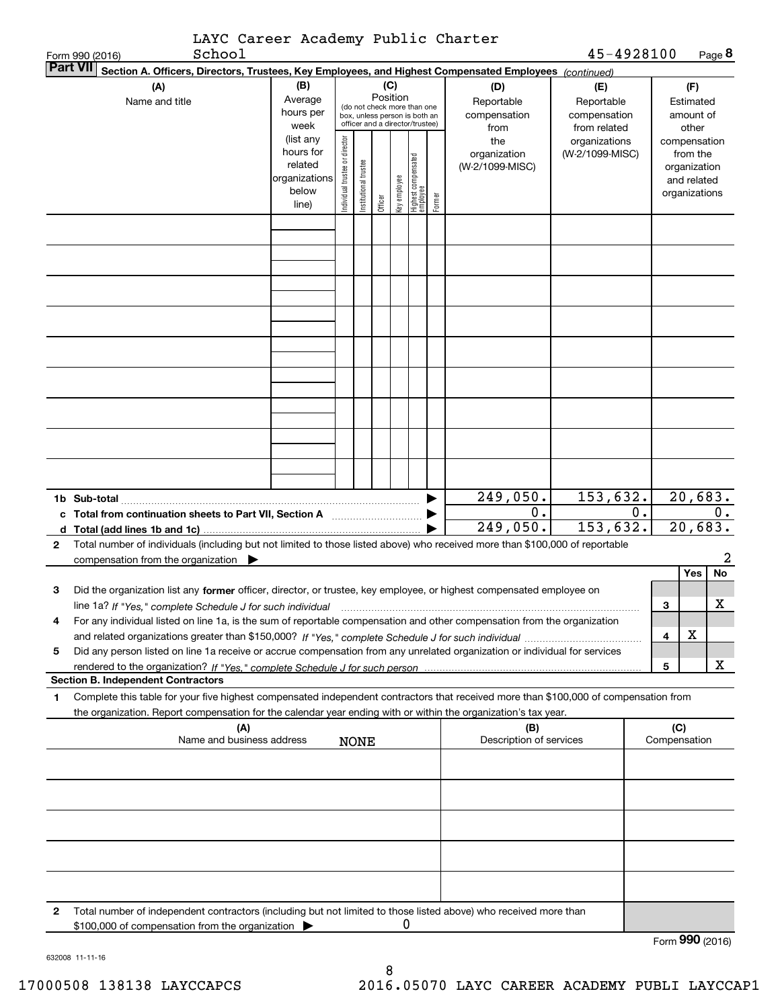|   | LAYC Career Academy Public Charter<br>School                                                                                                                                                                                                                                |                                                                      |                                |                       |                                                                                                             |              |                                   |        |                                                |                                                   |                                        |                               |                                         |               |
|---|-----------------------------------------------------------------------------------------------------------------------------------------------------------------------------------------------------------------------------------------------------------------------------|----------------------------------------------------------------------|--------------------------------|-----------------------|-------------------------------------------------------------------------------------------------------------|--------------|-----------------------------------|--------|------------------------------------------------|---------------------------------------------------|----------------------------------------|-------------------------------|-----------------------------------------|---------------|
|   | Form 990 (2016)<br><b>Part VII</b><br>Section A. Officers, Directors, Trustees, Key Employees, and Highest Compensated Employees (continued)                                                                                                                                |                                                                      |                                |                       |                                                                                                             |              |                                   |        |                                                | 45-4928100                                        |                                        |                               |                                         | Page 8        |
|   | (A)<br>Name and title                                                                                                                                                                                                                                                       | (B)<br>Average<br>hours per<br>week                                  |                                |                       | Position<br>(do not check more than one<br>box, unless person is both an<br>officer and a director/trustee) | (C)          |                                   |        | (D)<br>Reportable<br>compensation              | (E)<br>Reportable<br>compensation<br>from related | (F)<br>Estimated<br>amount of<br>other |                               |                                         |               |
|   |                                                                                                                                                                                                                                                                             | (list any<br>hours for<br>related<br>organizations<br>below<br>line) | Individual trustee or director | Institutional trustee | Officer                                                                                                     | Key employee | Highest compensated<br>  employee | Former | from<br>the<br>organization<br>(W-2/1099-MISC) | organizations<br>(W-2/1099-MISC)                  |                                        | compensation<br>organizations | from the<br>organization<br>and related |               |
|   |                                                                                                                                                                                                                                                                             |                                                                      |                                |                       |                                                                                                             |              |                                   |        |                                                |                                                   |                                        |                               |                                         |               |
|   |                                                                                                                                                                                                                                                                             |                                                                      |                                |                       |                                                                                                             |              |                                   |        |                                                |                                                   |                                        |                               |                                         |               |
|   |                                                                                                                                                                                                                                                                             |                                                                      |                                |                       |                                                                                                             |              |                                   |        |                                                |                                                   |                                        |                               |                                         |               |
|   |                                                                                                                                                                                                                                                                             |                                                                      |                                |                       |                                                                                                             |              |                                   |        |                                                |                                                   |                                        |                               |                                         |               |
|   |                                                                                                                                                                                                                                                                             |                                                                      |                                |                       |                                                                                                             |              |                                   |        |                                                |                                                   |                                        |                               |                                         |               |
|   |                                                                                                                                                                                                                                                                             |                                                                      |                                |                       |                                                                                                             |              |                                   |        |                                                |                                                   |                                        |                               |                                         |               |
|   | c Total from continuation sheets to Part VII, Section A                                                                                                                                                                                                                     |                                                                      |                                |                       |                                                                                                             |              |                                   |        | $\overline{249,050}$ .<br>$0$ .                | 153,632.                                          | 0.                                     |                               |                                         | 20,683.<br>0. |
| 2 | Total number of individuals (including but not limited to those listed above) who received more than \$100,000 of reportable<br>compensation from the organization $\blacktriangleright$                                                                                    |                                                                      |                                |                       |                                                                                                             |              |                                   |        | 249,050.                                       | 153,632.                                          |                                        |                               |                                         | 20,683.<br>2  |
| 3 | Did the organization list any former officer, director, or trustee, key employee, or highest compensated employee on                                                                                                                                                        |                                                                      |                                |                       |                                                                                                             |              |                                   |        |                                                |                                                   |                                        |                               | <b>Yes</b>                              | No            |
| 4 | line 1a? If "Yes," complete Schedule J for such individual manufactured contained and the 1a? If "Yes," complete Schedule J for such individual<br>For any individual listed on line 1a, is the sum of reportable compensation and other compensation from the organization |                                                                      |                                |                       |                                                                                                             |              |                                   |        |                                                |                                                   |                                        | 3                             |                                         | X             |
| 5 | Did any person listed on line 1a receive or accrue compensation from any unrelated organization or individual for services                                                                                                                                                  |                                                                      |                                |                       |                                                                                                             |              |                                   |        |                                                |                                                   |                                        | 4                             | х                                       |               |
|   | <b>Section B. Independent Contractors</b>                                                                                                                                                                                                                                   |                                                                      |                                |                       |                                                                                                             |              |                                   |        |                                                |                                                   |                                        | 5                             |                                         | х             |
| 1 | Complete this table for your five highest compensated independent contractors that received more than \$100,000 of compensation from<br>the organization. Report compensation for the calendar year ending with or within the organization's tax year.                      |                                                                      |                                |                       |                                                                                                             |              |                                   |        |                                                |                                                   |                                        |                               |                                         |               |
|   | (A)<br>Name and business address                                                                                                                                                                                                                                            |                                                                      | <b>NONE</b>                    |                       |                                                                                                             |              |                                   |        | (B)<br>Description of services                 |                                                   |                                        | (C)<br>Compensation           |                                         |               |
|   |                                                                                                                                                                                                                                                                             |                                                                      |                                |                       |                                                                                                             |              |                                   |        |                                                |                                                   |                                        |                               |                                         |               |
|   |                                                                                                                                                                                                                                                                             |                                                                      |                                |                       |                                                                                                             |              |                                   |        |                                                |                                                   |                                        |                               |                                         |               |
|   |                                                                                                                                                                                                                                                                             |                                                                      |                                |                       |                                                                                                             |              |                                   |        |                                                |                                                   |                                        |                               |                                         |               |
|   |                                                                                                                                                                                                                                                                             |                                                                      |                                |                       |                                                                                                             |              |                                   |        |                                                |                                                   |                                        |                               |                                         |               |
| 2 | Total number of independent contractors (including but not limited to those listed above) who received more than                                                                                                                                                            |                                                                      |                                |                       |                                                                                                             |              |                                   |        |                                                |                                                   |                                        |                               |                                         |               |
|   | \$100,000 of compensation from the organization                                                                                                                                                                                                                             |                                                                      |                                |                       |                                                                                                             | U            |                                   |        |                                                |                                                   |                                        |                               |                                         |               |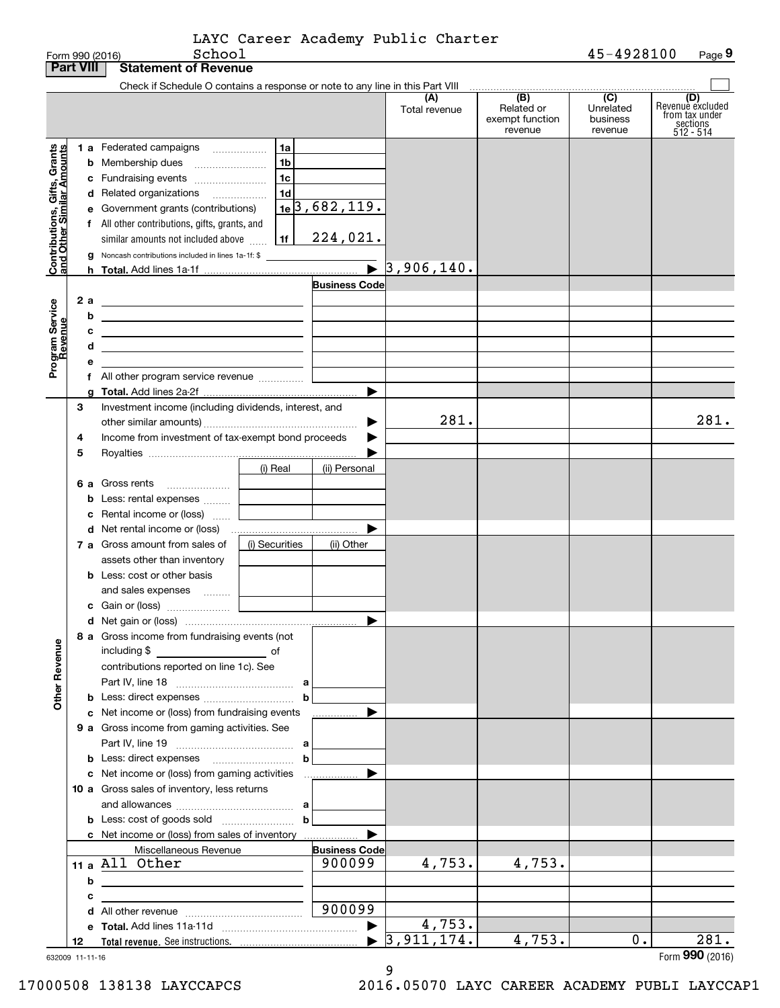|                                                           | <b>Part VIII</b> | <b>Statement of Revenue</b>                                                                                           |                |                                  |               |                                          |                                  |                                         |
|-----------------------------------------------------------|------------------|-----------------------------------------------------------------------------------------------------------------------|----------------|----------------------------------|---------------|------------------------------------------|----------------------------------|-----------------------------------------|
|                                                           |                  | Check if Schedule O contains a response or note to any line in this Part VIII                                         |                |                                  | (A)           | (B)                                      | (C)                              | (D)<br>Revenuè excluded                 |
|                                                           |                  |                                                                                                                       |                |                                  | Total revenue | Related or<br>exempt function<br>revenue | Unrelated<br>business<br>revenue | from tax under<br>sections<br>512 - 514 |
|                                                           |                  | 1 a Federated campaigns                                                                                               | 1a             |                                  |               |                                          |                                  |                                         |
| Contributions, Gifts, Grants<br>and Other Similar Amounts |                  | <b>b</b> Membership dues                                                                                              | 1 <sub>b</sub> |                                  |               |                                          |                                  |                                         |
|                                                           |                  | c Fundraising events                                                                                                  | 1 <sub>c</sub> |                                  |               |                                          |                                  |                                         |
|                                                           |                  | d Related organizations                                                                                               | 1 <sub>d</sub> |                                  |               |                                          |                                  |                                         |
|                                                           |                  | e Government grants (contributions)                                                                                   |                | $1e$ 3, 682, 119.                |               |                                          |                                  |                                         |
|                                                           |                  | f All other contributions, gifts, grants, and                                                                         |                |                                  |               |                                          |                                  |                                         |
|                                                           |                  | similar amounts not included above                                                                                    | 1f             | 224,021.                         |               |                                          |                                  |                                         |
|                                                           |                  | Noncash contributions included in lines 1a-1f: \$                                                                     |                |                                  |               |                                          |                                  |                                         |
|                                                           |                  |                                                                                                                       |                | $\overline{\blacktriangleright}$ | 3,906,140.    |                                          |                                  |                                         |
|                                                           |                  |                                                                                                                       |                | <b>Business Code</b>             |               |                                          |                                  |                                         |
|                                                           | 2a               | <u> 1989 - Johann Stoff, deutscher Stoff, der Stoff, der Stoff, der Stoff, der Stoff, der Stoff, der Stoff, der S</u> |                |                                  |               |                                          |                                  |                                         |
|                                                           | b                | <u> 1989 - Johann Barbara, martin amerikan basar dan berasal dalam basa dalam pengaran basar dalam basa dalam ba</u>  |                |                                  |               |                                          |                                  |                                         |
|                                                           | с                | <u> 1989 - Johann John Stone, meil in der Stone aus der Stone aus der Stone aus der Stone aus der Stone anderen S</u> |                |                                  |               |                                          |                                  |                                         |
|                                                           | d                | <u> 1989 - Johann Stein, marwolaethau a bhann an t-Amhair an t-Amhair an t-Amhair an t-Amhair an t-Amhair an t-A</u>  |                |                                  |               |                                          |                                  |                                         |
| Program Service<br>Revenue                                |                  |                                                                                                                       |                |                                  |               |                                          |                                  |                                         |
|                                                           |                  | f All other program service revenue                                                                                   |                |                                  |               |                                          |                                  |                                         |
|                                                           |                  |                                                                                                                       |                | ▶                                |               |                                          |                                  |                                         |
|                                                           | 3                | Investment income (including dividends, interest, and                                                                 |                |                                  |               |                                          |                                  |                                         |
|                                                           |                  |                                                                                                                       |                |                                  | 281.          |                                          |                                  | 281.                                    |
|                                                           | 4                | Income from investment of tax-exempt bond proceeds                                                                    |                |                                  |               |                                          |                                  |                                         |
|                                                           | 5                |                                                                                                                       |                |                                  |               |                                          |                                  |                                         |
|                                                           |                  |                                                                                                                       | (i) Real       | (ii) Personal                    |               |                                          |                                  |                                         |
|                                                           | 6а               | Gross rents                                                                                                           |                |                                  |               |                                          |                                  |                                         |
|                                                           | b                | Less: rental expenses                                                                                                 |                |                                  |               |                                          |                                  |                                         |
|                                                           |                  | Rental income or (loss)                                                                                               |                |                                  |               |                                          |                                  |                                         |
|                                                           |                  |                                                                                                                       |                |                                  |               |                                          |                                  |                                         |
|                                                           |                  | 7 a Gross amount from sales of                                                                                        | (i) Securities | (ii) Other                       |               |                                          |                                  |                                         |
|                                                           |                  | assets other than inventory                                                                                           |                |                                  |               |                                          |                                  |                                         |
|                                                           |                  | <b>b</b> Less: cost or other basis                                                                                    |                |                                  |               |                                          |                                  |                                         |
|                                                           |                  | and sales expenses                                                                                                    |                |                                  |               |                                          |                                  |                                         |
|                                                           |                  |                                                                                                                       |                |                                  |               |                                          |                                  |                                         |
|                                                           |                  |                                                                                                                       |                |                                  |               |                                          |                                  |                                         |
|                                                           |                  | 8 a Gross income from fundraising events (not                                                                         |                |                                  |               |                                          |                                  |                                         |
|                                                           |                  | including \$                                                                                                          |                |                                  |               |                                          |                                  |                                         |
|                                                           |                  | contributions reported on line 1c). See                                                                               |                |                                  |               |                                          |                                  |                                         |
| <b>Other Revenue</b>                                      |                  |                                                                                                                       |                |                                  |               |                                          |                                  |                                         |
|                                                           |                  |                                                                                                                       | b              |                                  |               |                                          |                                  |                                         |
|                                                           |                  | c Net income or (loss) from fundraising events                                                                        |                | .                                |               |                                          |                                  |                                         |
|                                                           |                  | 9 a Gross income from gaming activities. See                                                                          |                |                                  |               |                                          |                                  |                                         |
|                                                           |                  |                                                                                                                       |                |                                  |               |                                          |                                  |                                         |
|                                                           |                  |                                                                                                                       | $\mathbf b$    |                                  |               |                                          |                                  |                                         |
|                                                           |                  | c Net income or (loss) from gaming activities                                                                         |                | .                                |               |                                          |                                  |                                         |
|                                                           |                  | 10 a Gross sales of inventory, less returns                                                                           |                |                                  |               |                                          |                                  |                                         |
|                                                           |                  |                                                                                                                       | $\mathbf b$    |                                  |               |                                          |                                  |                                         |
|                                                           |                  |                                                                                                                       |                |                                  |               |                                          |                                  |                                         |
|                                                           |                  | c Net income or (loss) from sales of inventory<br>Miscellaneous Revenue                                               |                | <b>Business Code</b>             |               |                                          |                                  |                                         |
|                                                           |                  | 11 a All Other                                                                                                        |                | 900099                           | 4,753.        | 4,753.                                   |                                  |                                         |
|                                                           | þ                |                                                                                                                       |                |                                  |               |                                          |                                  |                                         |
|                                                           | с                | <u> 1980 - Johann John Stone, markin fizik eta idazlea (</u>                                                          |                |                                  |               |                                          |                                  |                                         |
|                                                           |                  |                                                                                                                       |                | 900099                           |               |                                          |                                  |                                         |
|                                                           |                  |                                                                                                                       |                | ▶                                | 4,753.        |                                          |                                  |                                         |
|                                                           | 12               |                                                                                                                       |                |                                  | 3,911,174.    | $\overline{4,753}$ .                     | 0.                               | 281.                                    |
|                                                           | 632009 11-11-16  |                                                                                                                       |                |                                  |               |                                          |                                  | Form 990 (2016)                         |

632009 11-11-16

9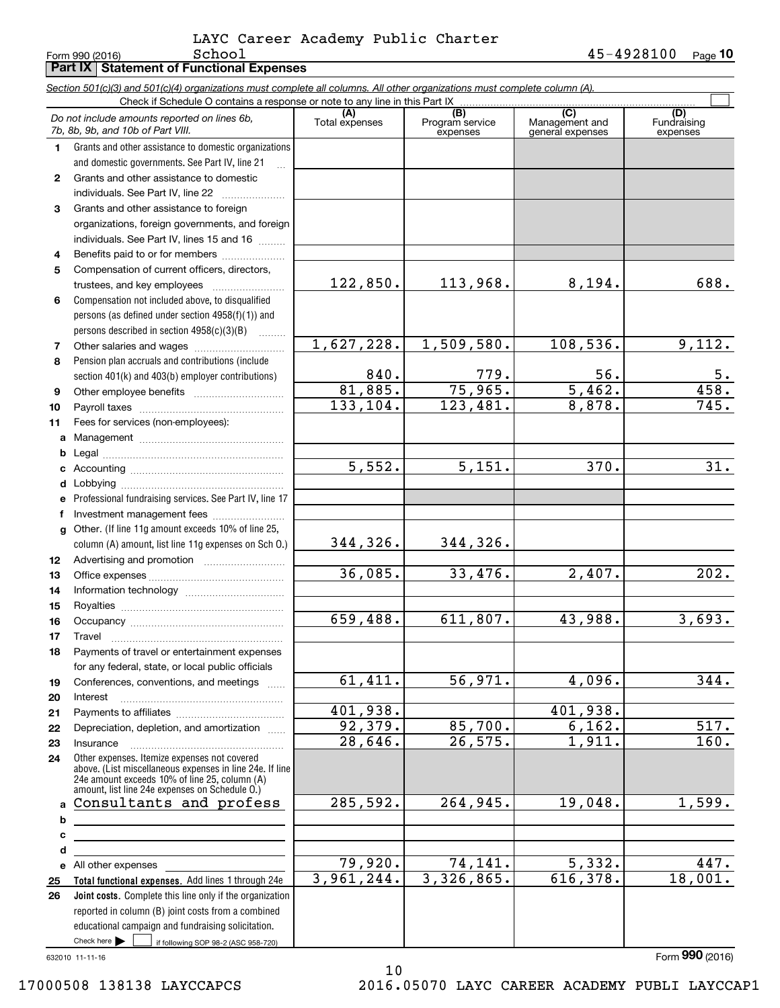|  | LAYC Career Academy Public Charter |  |
|--|------------------------------------|--|
|  |                                    |  |

Form 990 (2016) Page **10** School 45-4928100

|              | Part IX   Statement of Functional Expenses                                                                                                                                                                  |                      |                                    |                                           |                                |
|--------------|-------------------------------------------------------------------------------------------------------------------------------------------------------------------------------------------------------------|----------------------|------------------------------------|-------------------------------------------|--------------------------------|
|              | Section 501(c)(3) and 501(c)(4) organizations must complete all columns. All other organizations must complete column (A).                                                                                  |                      |                                    |                                           |                                |
|              | Check if Schedule O contains a response or note to any line in this Part IX                                                                                                                                 |                      |                                    |                                           |                                |
|              | Do not include amounts reported on lines 6b,<br>7b, 8b, 9b, and 10b of Part VIII.                                                                                                                           | Total expenses       | (B)<br>Program service<br>expenses | (C)<br>Management and<br>general expenses | (D)<br>Fundraising<br>expenses |
| 1.           | Grants and other assistance to domestic organizations                                                                                                                                                       |                      |                                    |                                           |                                |
|              | and domestic governments. See Part IV, line 21                                                                                                                                                              |                      |                                    |                                           |                                |
| $\mathbf{2}$ | Grants and other assistance to domestic                                                                                                                                                                     |                      |                                    |                                           |                                |
|              | individuals. See Part IV, line 22                                                                                                                                                                           |                      |                                    |                                           |                                |
| 3            | Grants and other assistance to foreign                                                                                                                                                                      |                      |                                    |                                           |                                |
|              | organizations, foreign governments, and foreign                                                                                                                                                             |                      |                                    |                                           |                                |
|              | individuals. See Part IV, lines 15 and 16                                                                                                                                                                   |                      |                                    |                                           |                                |
| 4            | Benefits paid to or for members                                                                                                                                                                             |                      |                                    |                                           |                                |
| 5            | Compensation of current officers, directors,                                                                                                                                                                |                      |                                    |                                           |                                |
|              |                                                                                                                                                                                                             | 122,850.             | 113,968.                           | 8,194.                                    | 688.                           |
| 6            | Compensation not included above, to disqualified                                                                                                                                                            |                      |                                    |                                           |                                |
|              | persons (as defined under section 4958(f)(1)) and                                                                                                                                                           |                      |                                    |                                           |                                |
|              | persons described in section 4958(c)(3)(B)                                                                                                                                                                  |                      |                                    |                                           |                                |
| 7            |                                                                                                                                                                                                             | 1,627,228.           | 1,509,580.                         | 108,536.                                  | 9,112.                         |
| 8            | Pension plan accruals and contributions (include                                                                                                                                                            |                      |                                    |                                           |                                |
|              | section 401(k) and 403(b) employer contributions)                                                                                                                                                           | 840.                 | 779.<br>75,965.                    | 56.                                       | 5.<br>458.                     |
| 9            |                                                                                                                                                                                                             | 81,885.<br>133, 104. | 123,481.                           | 5,462.<br>8,878.                          | 745.                           |
| 10           |                                                                                                                                                                                                             |                      |                                    |                                           |                                |
| 11           | Fees for services (non-employees):                                                                                                                                                                          |                      |                                    |                                           |                                |
| a            |                                                                                                                                                                                                             |                      |                                    |                                           |                                |
| b            |                                                                                                                                                                                                             | 5,552.               | 5,151.                             | 370.                                      | 31.                            |
| c            |                                                                                                                                                                                                             |                      |                                    |                                           |                                |
| d<br>e       | Professional fundraising services. See Part IV, line 17                                                                                                                                                     |                      |                                    |                                           |                                |
| f            | Investment management fees                                                                                                                                                                                  |                      |                                    |                                           |                                |
| $\mathbf{q}$ | Other. (If line 11g amount exceeds 10% of line 25,                                                                                                                                                          |                      |                                    |                                           |                                |
|              | column (A) amount, list line 11g expenses on Sch 0.)                                                                                                                                                        | 344,326.             | 344,326.                           |                                           |                                |
| 12           |                                                                                                                                                                                                             |                      |                                    |                                           |                                |
| 13           |                                                                                                                                                                                                             | 36,085.              | 33,476.                            | 2,407.                                    | 202.                           |
| 14           |                                                                                                                                                                                                             |                      |                                    |                                           |                                |
| 15           |                                                                                                                                                                                                             |                      |                                    |                                           |                                |
| 16           |                                                                                                                                                                                                             | 659,488.             | 611,807.                           | 43,988.                                   | 3,693.                         |
| 17           | Travel                                                                                                                                                                                                      |                      |                                    |                                           |                                |
| 18           | Payments of travel or entertainment expenses                                                                                                                                                                |                      |                                    |                                           |                                |
|              | for any federal, state, or local public officials                                                                                                                                                           |                      |                                    |                                           |                                |
| 19           | Conferences, conventions, and meetings                                                                                                                                                                      | 61,411.              | 56,971.                            | 4,096.                                    | $\overline{344}$ .             |
| 20           | Interest                                                                                                                                                                                                    |                      |                                    |                                           |                                |
| 21           |                                                                                                                                                                                                             | 401,938.             |                                    | 401,938.                                  |                                |
| 22           | Depreciation, depletion, and amortization                                                                                                                                                                   | 92,379.              | 85,700.                            | 6,162.                                    | 517.                           |
| 23           | Insurance                                                                                                                                                                                                   | 28,646.              | 26,575.                            | 1,911.                                    | 160.                           |
| 24           | Other expenses. Itemize expenses not covered<br>above. (List miscellaneous expenses in line 24e. If line<br>24e amount exceeds 10% of line 25, column (A)<br>amount, list line 24e expenses on Schedule O.) |                      |                                    |                                           |                                |
| a            | Consultants and profess                                                                                                                                                                                     | 285,592.             | 264,945.                           | 19,048.                                   | 1,599.                         |
| b            |                                                                                                                                                                                                             |                      |                                    |                                           |                                |
| c            |                                                                                                                                                                                                             |                      |                                    |                                           |                                |
| d            |                                                                                                                                                                                                             |                      |                                    |                                           |                                |
| е            | All other expenses                                                                                                                                                                                          | 79,920.              | 74,141.                            | 5,332.                                    | 447.                           |
| 25           | Total functional expenses. Add lines 1 through 24e                                                                                                                                                          | 3,961,244.           | 3,326,865.                         | 616,378.                                  | 18,001.                        |
| 26           | Joint costs. Complete this line only if the organization<br>reported in column (B) joint costs from a combined<br>educational campaign and fundraising solicitation.                                        |                      |                                    |                                           |                                |
|              | Check here $\blacktriangleright$<br>if following SOP 98-2 (ASC 958-720)                                                                                                                                     |                      |                                    |                                           |                                |
|              |                                                                                                                                                                                                             |                      |                                    |                                           | ~~~                            |

10

632010 11-11-16

Form (2016) **990**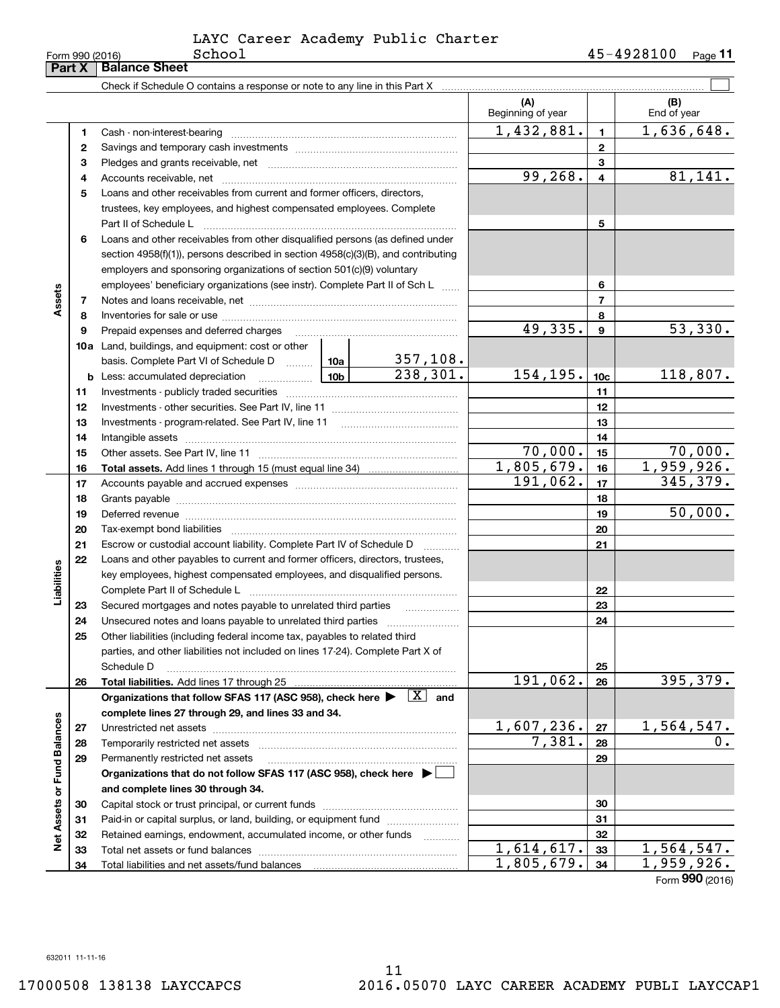| Form 990 (2016) |  |  |
|-----------------|--|--|

|                             | Part X | <b>Balance Sheet</b>                                                                                                                                                                                                           |                        |                          |                         |                    |
|-----------------------------|--------|--------------------------------------------------------------------------------------------------------------------------------------------------------------------------------------------------------------------------------|------------------------|--------------------------|-------------------------|--------------------|
|                             |        |                                                                                                                                                                                                                                |                        |                          |                         |                    |
|                             |        |                                                                                                                                                                                                                                |                        | (A)<br>Beginning of year |                         | (B)<br>End of year |
|                             | 1      |                                                                                                                                                                                                                                |                        | 1,432,881.               | $\blacksquare$          | 1,636,648.         |
|                             | 2      |                                                                                                                                                                                                                                |                        |                          | $\overline{2}$          |                    |
|                             | з      |                                                                                                                                                                                                                                |                        | 3                        |                         |                    |
|                             | 4      |                                                                                                                                                                                                                                |                        | 99,268.                  | $\overline{\mathbf{4}}$ | 81,141.            |
|                             | 5      | Loans and other receivables from current and former officers, directors,                                                                                                                                                       |                        |                          |                         |                    |
|                             |        | trustees, key employees, and highest compensated employees. Complete                                                                                                                                                           |                        |                          |                         |                    |
|                             |        | Part II of Schedule L                                                                                                                                                                                                          |                        |                          | 5                       |                    |
|                             | 6      | Loans and other receivables from other disqualified persons (as defined under                                                                                                                                                  |                        |                          |                         |                    |
|                             |        | section $4958(f)(1)$ , persons described in section $4958(c)(3)(B)$ , and contributing                                                                                                                                         |                        |                          |                         |                    |
|                             |        | employers and sponsoring organizations of section 501(c)(9) voluntary                                                                                                                                                          |                        |                          |                         |                    |
|                             |        | employees' beneficiary organizations (see instr). Complete Part II of Sch L                                                                                                                                                    |                        |                          | 6                       |                    |
| Assets                      | 7      |                                                                                                                                                                                                                                |                        |                          | $\overline{7}$          |                    |
|                             | 8      |                                                                                                                                                                                                                                |                        |                          | 8                       |                    |
|                             | 9      | Prepaid expenses and deferred charges                                                                                                                                                                                          |                        | 49,335.                  | $\mathbf{9}$            | 53,330.            |
|                             |        | <b>10a</b> Land, buildings, and equipment: cost or other                                                                                                                                                                       |                        |                          |                         |                    |
|                             |        | basis. Complete Part VI of Schedule D  10a                                                                                                                                                                                     | 357,108.               |                          |                         |                    |
|                             |        | <u>  1</u> 0b  <br><b>b</b> Less: accumulated depreciation                                                                                                                                                                     | $\overline{238,301}$ . | 154,195.                 | 10 <sub>c</sub>         | 118,807.           |
|                             | 11     |                                                                                                                                                                                                                                |                        |                          | 11                      |                    |
|                             | 12     |                                                                                                                                                                                                                                |                        |                          | 12                      |                    |
|                             | 13     |                                                                                                                                                                                                                                |                        |                          | 13                      |                    |
|                             | 14     |                                                                                                                                                                                                                                |                        | 14                       |                         |                    |
|                             | 15     |                                                                                                                                                                                                                                |                        | 70,000.                  | 15                      | 70,000.            |
|                             | 16     |                                                                                                                                                                                                                                |                        | 1,805,679.               | 16                      | 1,959,926.         |
|                             | 17     |                                                                                                                                                                                                                                |                        | 191,062.                 | 17                      | 345,379.           |
|                             | 18     |                                                                                                                                                                                                                                |                        |                          | 18                      |                    |
|                             | 19     | Deferred revenue manual contracts and contracts are all the contracts and contracts are contracted and contracts are contracted and contract are contracted and contract are contracted and contract are contracted and contra |                        |                          | 19                      | 50,000.            |
|                             | 20     |                                                                                                                                                                                                                                |                        |                          | 20                      |                    |
|                             | 21     | Escrow or custodial account liability. Complete Part IV of Schedule D                                                                                                                                                          | $\ddotsc$              |                          | 21                      |                    |
|                             | 22     | Loans and other payables to current and former officers, directors, trustees,                                                                                                                                                  |                        |                          |                         |                    |
|                             |        | key employees, highest compensated employees, and disqualified persons.                                                                                                                                                        |                        |                          |                         |                    |
| Liabilities                 |        | Complete Part II of Schedule L                                                                                                                                                                                                 |                        |                          | 22                      |                    |
|                             | 23     | Secured mortgages and notes payable to unrelated third parties                                                                                                                                                                 |                        |                          | 23                      |                    |
|                             | 24     | Other liabilities (including federal income tax, payables to related third                                                                                                                                                     |                        |                          | 24                      |                    |
|                             | 25     | parties, and other liabilities not included on lines 17-24). Complete Part X of                                                                                                                                                |                        |                          |                         |                    |
|                             |        | Schedule D                                                                                                                                                                                                                     |                        |                          | 25                      |                    |
|                             | 26     | Total liabilities. Add lines 17 through 25                                                                                                                                                                                     |                        | 191,062.                 | 26                      | 395,379.           |
|                             |        | Organizations that follow SFAS 117 (ASC 958), check here $\blacktriangleright \begin{array}{ c } \hline X & \text{and} \end{array}$                                                                                            |                        |                          |                         |                    |
|                             |        | complete lines 27 through 29, and lines 33 and 34.                                                                                                                                                                             |                        |                          |                         |                    |
|                             | 27     | Unrestricted net assets                                                                                                                                                                                                        |                        | 1,607,236.               | 27                      | 1,564,547.         |
|                             | 28     | Temporarily restricted net assets                                                                                                                                                                                              |                        | 7,381.                   | 28                      | 0.                 |
|                             | 29     | Permanently restricted net assets                                                                                                                                                                                              |                        |                          | 29                      |                    |
|                             |        | Organizations that do not follow SFAS 117 (ASC 958), check here ▶ □                                                                                                                                                            |                        |                          |                         |                    |
| Net Assets or Fund Balances |        | and complete lines 30 through 34.                                                                                                                                                                                              |                        |                          |                         |                    |
|                             | 30     |                                                                                                                                                                                                                                |                        |                          | 30                      |                    |
|                             | 31     | Paid-in or capital surplus, or land, building, or equipment fund                                                                                                                                                               |                        |                          | 31                      |                    |
|                             | 32     | Retained earnings, endowment, accumulated income, or other funds                                                                                                                                                               | .                      |                          | 32                      |                    |
|                             | 33     | Total net assets or fund balances                                                                                                                                                                                              |                        | $\overline{1,614},617.$  | 33                      | 1,564,547.         |
|                             | 34     |                                                                                                                                                                                                                                |                        | 1,805,679.               | 34                      | 1,959,926.         |

Form (2016) **990**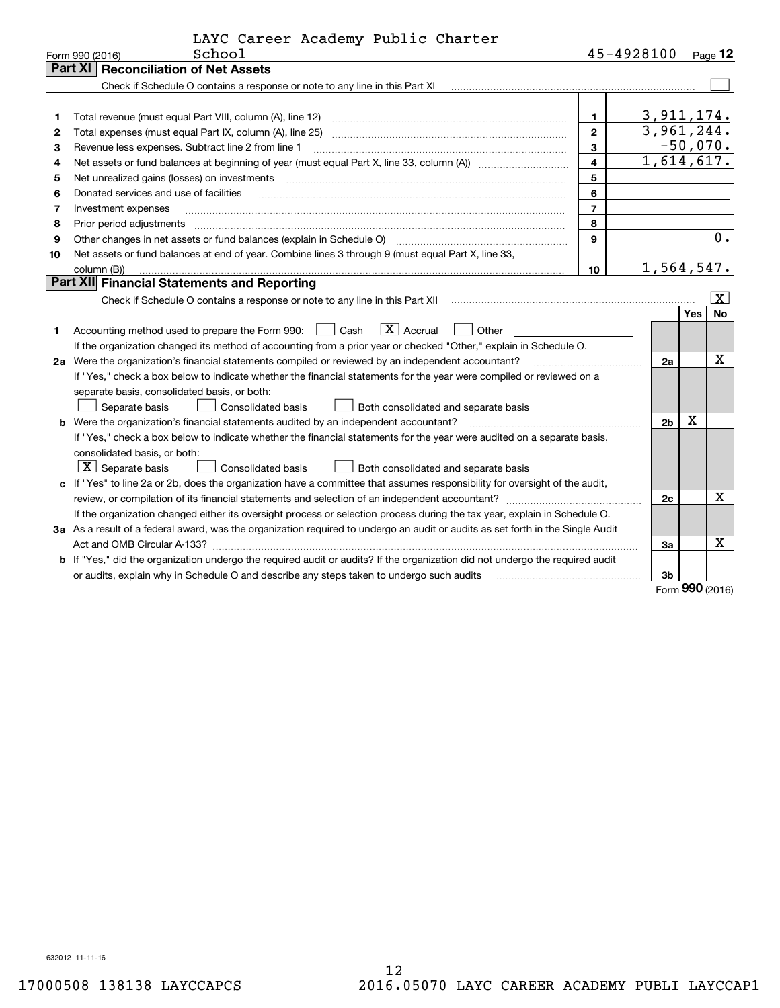| School<br>45-4928100<br>$_{\sf Page}$ 12<br>Form 990 (2016)<br><b>Part XI   Reconciliation of Net Assets</b><br>Check if Schedule O contains a response or note to any line in this Part XI [11] [12] [12] [12] [12] Check if Schedule O contains a response or note to any line in this Part XI<br>3,911,174.<br>Total revenue (must equal Part VIII, column (A), line 12)<br>1.<br>1<br>3,961,244.<br>$\mathbf{2}$<br>2<br>$-50,070.$<br>3<br>з<br>Revenue less expenses. Subtract line 2 from line 1<br>1,614,617.<br>$\overline{4}$<br>4<br>5<br>Net unrealized gains (losses) on investments<br>5<br>$\overline{a_1, \ldots, a_n, \ldots, a_n, \ldots, a_n, \ldots, a_n, \ldots, \ldots, a_n, \ldots, a_n, \ldots, a_n, \ldots, a_n, \ldots, a_n, \ldots, a_n, \ldots, a_n, \ldots, a_n, \ldots, a_n, \ldots, a_n, \ldots, a_n, \ldots, a_n, \ldots, a_n, \ldots, a_n, \ldots, a_n, \ldots, a_n, \ldots, a_n, \ldots, a_n, \ldots, a_n, \ldots, a_n, \ldots, a_n, \ldots, a_n, \ldots, a_n, \ldots, a_n, \ldots, a_n, \ldots, a$<br>6<br>Donated services and use of facilities<br>6<br>$\overline{7}$<br>7<br>Investment expenses<br>8<br>8<br>Prior period adjustments<br>0.<br>9<br>Other changes in net assets or fund balances (explain in Schedule O)<br>9<br>Net assets or fund balances at end of year. Combine lines 3 through 9 (must equal Part X, line 33,<br>10<br>1,564,547.<br>10<br>column (B))<br>Part XII Financial Statements and Reporting<br>x<br>No<br>Yes<br>$\boxed{\text{X}}$ Accrual<br>Cash<br>Other<br>Accounting method used to prepare the Form 990:<br>1<br>If the organization changed its method of accounting from a prior year or checked "Other," explain in Schedule O.<br>x<br>2a Were the organization's financial statements compiled or reviewed by an independent accountant?<br>2a<br>If "Yes," check a box below to indicate whether the financial statements for the year were compiled or reviewed on a<br>separate basis, consolidated basis, or both:<br>Separate basis<br><b>Consolidated basis</b><br>Both consolidated and separate basis<br>x<br>2 <sub>b</sub><br><b>b</b> Were the organization's financial statements audited by an independent accountant?<br>If "Yes," check a box below to indicate whether the financial statements for the year were audited on a separate basis,<br>consolidated basis, or both:<br>$\boxed{\mathrm{X}}$ Separate basis<br><b>Consolidated basis</b><br>Both consolidated and separate basis<br>c If "Yes" to line 2a or 2b, does the organization have a committee that assumes responsibility for oversight of the audit,<br>Х<br>2c<br>If the organization changed either its oversight process or selection process during the tax year, explain in Schedule O.<br>3a As a result of a federal award, was the organization required to undergo an audit or audits as set forth in the Single Audit<br>x<br>За<br>b If "Yes," did the organization undergo the required audit or audits? If the organization did not undergo the required audit<br>or audits, explain why in Schedule O and describe any steps taken to undergo such audits<br>3b<br>מחח | LAYC Career Academy Public Charter |  |  |
|---------------------------------------------------------------------------------------------------------------------------------------------------------------------------------------------------------------------------------------------------------------------------------------------------------------------------------------------------------------------------------------------------------------------------------------------------------------------------------------------------------------------------------------------------------------------------------------------------------------------------------------------------------------------------------------------------------------------------------------------------------------------------------------------------------------------------------------------------------------------------------------------------------------------------------------------------------------------------------------------------------------------------------------------------------------------------------------------------------------------------------------------------------------------------------------------------------------------------------------------------------------------------------------------------------------------------------------------------------------------------------------------------------------------------------------------------------------------------------------------------------------------------------------------------------------------------------------------------------------------------------------------------------------------------------------------------------------------------------------------------------------------------------------------------------------------------------------------------------------------------------------------------------------------------------------------------------------------------------------------------------------------------------------------------------------------------------------------------------------------------------------------------------------------------------------------------------------------------------------------------------------------------------------------------------------------------------------------------------------------------------------------------------------------------------------------------------------------------------------------------------------------------------------------------------------------------------------------------------------------------------------------------------------------------------------------------------------------------------------------------------------------------------------------------------------------------------------------------------------------------------------------------------------------------------------------------------------------------------------------------------------------------------------------------------------------------------------------------------------------------------------------------------------|------------------------------------|--|--|
|                                                                                                                                                                                                                                                                                                                                                                                                                                                                                                                                                                                                                                                                                                                                                                                                                                                                                                                                                                                                                                                                                                                                                                                                                                                                                                                                                                                                                                                                                                                                                                                                                                                                                                                                                                                                                                                                                                                                                                                                                                                                                                                                                                                                                                                                                                                                                                                                                                                                                                                                                                                                                                                                                                                                                                                                                                                                                                                                                                                                                                                                                                                                                               |                                    |  |  |
|                                                                                                                                                                                                                                                                                                                                                                                                                                                                                                                                                                                                                                                                                                                                                                                                                                                                                                                                                                                                                                                                                                                                                                                                                                                                                                                                                                                                                                                                                                                                                                                                                                                                                                                                                                                                                                                                                                                                                                                                                                                                                                                                                                                                                                                                                                                                                                                                                                                                                                                                                                                                                                                                                                                                                                                                                                                                                                                                                                                                                                                                                                                                                               |                                    |  |  |
|                                                                                                                                                                                                                                                                                                                                                                                                                                                                                                                                                                                                                                                                                                                                                                                                                                                                                                                                                                                                                                                                                                                                                                                                                                                                                                                                                                                                                                                                                                                                                                                                                                                                                                                                                                                                                                                                                                                                                                                                                                                                                                                                                                                                                                                                                                                                                                                                                                                                                                                                                                                                                                                                                                                                                                                                                                                                                                                                                                                                                                                                                                                                                               |                                    |  |  |
|                                                                                                                                                                                                                                                                                                                                                                                                                                                                                                                                                                                                                                                                                                                                                                                                                                                                                                                                                                                                                                                                                                                                                                                                                                                                                                                                                                                                                                                                                                                                                                                                                                                                                                                                                                                                                                                                                                                                                                                                                                                                                                                                                                                                                                                                                                                                                                                                                                                                                                                                                                                                                                                                                                                                                                                                                                                                                                                                                                                                                                                                                                                                                               |                                    |  |  |
|                                                                                                                                                                                                                                                                                                                                                                                                                                                                                                                                                                                                                                                                                                                                                                                                                                                                                                                                                                                                                                                                                                                                                                                                                                                                                                                                                                                                                                                                                                                                                                                                                                                                                                                                                                                                                                                                                                                                                                                                                                                                                                                                                                                                                                                                                                                                                                                                                                                                                                                                                                                                                                                                                                                                                                                                                                                                                                                                                                                                                                                                                                                                                               |                                    |  |  |
|                                                                                                                                                                                                                                                                                                                                                                                                                                                                                                                                                                                                                                                                                                                                                                                                                                                                                                                                                                                                                                                                                                                                                                                                                                                                                                                                                                                                                                                                                                                                                                                                                                                                                                                                                                                                                                                                                                                                                                                                                                                                                                                                                                                                                                                                                                                                                                                                                                                                                                                                                                                                                                                                                                                                                                                                                                                                                                                                                                                                                                                                                                                                                               |                                    |  |  |
|                                                                                                                                                                                                                                                                                                                                                                                                                                                                                                                                                                                                                                                                                                                                                                                                                                                                                                                                                                                                                                                                                                                                                                                                                                                                                                                                                                                                                                                                                                                                                                                                                                                                                                                                                                                                                                                                                                                                                                                                                                                                                                                                                                                                                                                                                                                                                                                                                                                                                                                                                                                                                                                                                                                                                                                                                                                                                                                                                                                                                                                                                                                                                               |                                    |  |  |
|                                                                                                                                                                                                                                                                                                                                                                                                                                                                                                                                                                                                                                                                                                                                                                                                                                                                                                                                                                                                                                                                                                                                                                                                                                                                                                                                                                                                                                                                                                                                                                                                                                                                                                                                                                                                                                                                                                                                                                                                                                                                                                                                                                                                                                                                                                                                                                                                                                                                                                                                                                                                                                                                                                                                                                                                                                                                                                                                                                                                                                                                                                                                                               |                                    |  |  |
|                                                                                                                                                                                                                                                                                                                                                                                                                                                                                                                                                                                                                                                                                                                                                                                                                                                                                                                                                                                                                                                                                                                                                                                                                                                                                                                                                                                                                                                                                                                                                                                                                                                                                                                                                                                                                                                                                                                                                                                                                                                                                                                                                                                                                                                                                                                                                                                                                                                                                                                                                                                                                                                                                                                                                                                                                                                                                                                                                                                                                                                                                                                                                               |                                    |  |  |
|                                                                                                                                                                                                                                                                                                                                                                                                                                                                                                                                                                                                                                                                                                                                                                                                                                                                                                                                                                                                                                                                                                                                                                                                                                                                                                                                                                                                                                                                                                                                                                                                                                                                                                                                                                                                                                                                                                                                                                                                                                                                                                                                                                                                                                                                                                                                                                                                                                                                                                                                                                                                                                                                                                                                                                                                                                                                                                                                                                                                                                                                                                                                                               |                                    |  |  |
|                                                                                                                                                                                                                                                                                                                                                                                                                                                                                                                                                                                                                                                                                                                                                                                                                                                                                                                                                                                                                                                                                                                                                                                                                                                                                                                                                                                                                                                                                                                                                                                                                                                                                                                                                                                                                                                                                                                                                                                                                                                                                                                                                                                                                                                                                                                                                                                                                                                                                                                                                                                                                                                                                                                                                                                                                                                                                                                                                                                                                                                                                                                                                               |                                    |  |  |
|                                                                                                                                                                                                                                                                                                                                                                                                                                                                                                                                                                                                                                                                                                                                                                                                                                                                                                                                                                                                                                                                                                                                                                                                                                                                                                                                                                                                                                                                                                                                                                                                                                                                                                                                                                                                                                                                                                                                                                                                                                                                                                                                                                                                                                                                                                                                                                                                                                                                                                                                                                                                                                                                                                                                                                                                                                                                                                                                                                                                                                                                                                                                                               |                                    |  |  |
|                                                                                                                                                                                                                                                                                                                                                                                                                                                                                                                                                                                                                                                                                                                                                                                                                                                                                                                                                                                                                                                                                                                                                                                                                                                                                                                                                                                                                                                                                                                                                                                                                                                                                                                                                                                                                                                                                                                                                                                                                                                                                                                                                                                                                                                                                                                                                                                                                                                                                                                                                                                                                                                                                                                                                                                                                                                                                                                                                                                                                                                                                                                                                               |                                    |  |  |
|                                                                                                                                                                                                                                                                                                                                                                                                                                                                                                                                                                                                                                                                                                                                                                                                                                                                                                                                                                                                                                                                                                                                                                                                                                                                                                                                                                                                                                                                                                                                                                                                                                                                                                                                                                                                                                                                                                                                                                                                                                                                                                                                                                                                                                                                                                                                                                                                                                                                                                                                                                                                                                                                                                                                                                                                                                                                                                                                                                                                                                                                                                                                                               |                                    |  |  |
|                                                                                                                                                                                                                                                                                                                                                                                                                                                                                                                                                                                                                                                                                                                                                                                                                                                                                                                                                                                                                                                                                                                                                                                                                                                                                                                                                                                                                                                                                                                                                                                                                                                                                                                                                                                                                                                                                                                                                                                                                                                                                                                                                                                                                                                                                                                                                                                                                                                                                                                                                                                                                                                                                                                                                                                                                                                                                                                                                                                                                                                                                                                                                               |                                    |  |  |
|                                                                                                                                                                                                                                                                                                                                                                                                                                                                                                                                                                                                                                                                                                                                                                                                                                                                                                                                                                                                                                                                                                                                                                                                                                                                                                                                                                                                                                                                                                                                                                                                                                                                                                                                                                                                                                                                                                                                                                                                                                                                                                                                                                                                                                                                                                                                                                                                                                                                                                                                                                                                                                                                                                                                                                                                                                                                                                                                                                                                                                                                                                                                                               |                                    |  |  |
|                                                                                                                                                                                                                                                                                                                                                                                                                                                                                                                                                                                                                                                                                                                                                                                                                                                                                                                                                                                                                                                                                                                                                                                                                                                                                                                                                                                                                                                                                                                                                                                                                                                                                                                                                                                                                                                                                                                                                                                                                                                                                                                                                                                                                                                                                                                                                                                                                                                                                                                                                                                                                                                                                                                                                                                                                                                                                                                                                                                                                                                                                                                                                               |                                    |  |  |
|                                                                                                                                                                                                                                                                                                                                                                                                                                                                                                                                                                                                                                                                                                                                                                                                                                                                                                                                                                                                                                                                                                                                                                                                                                                                                                                                                                                                                                                                                                                                                                                                                                                                                                                                                                                                                                                                                                                                                                                                                                                                                                                                                                                                                                                                                                                                                                                                                                                                                                                                                                                                                                                                                                                                                                                                                                                                                                                                                                                                                                                                                                                                                               |                                    |  |  |
|                                                                                                                                                                                                                                                                                                                                                                                                                                                                                                                                                                                                                                                                                                                                                                                                                                                                                                                                                                                                                                                                                                                                                                                                                                                                                                                                                                                                                                                                                                                                                                                                                                                                                                                                                                                                                                                                                                                                                                                                                                                                                                                                                                                                                                                                                                                                                                                                                                                                                                                                                                                                                                                                                                                                                                                                                                                                                                                                                                                                                                                                                                                                                               |                                    |  |  |
|                                                                                                                                                                                                                                                                                                                                                                                                                                                                                                                                                                                                                                                                                                                                                                                                                                                                                                                                                                                                                                                                                                                                                                                                                                                                                                                                                                                                                                                                                                                                                                                                                                                                                                                                                                                                                                                                                                                                                                                                                                                                                                                                                                                                                                                                                                                                                                                                                                                                                                                                                                                                                                                                                                                                                                                                                                                                                                                                                                                                                                                                                                                                                               |                                    |  |  |
|                                                                                                                                                                                                                                                                                                                                                                                                                                                                                                                                                                                                                                                                                                                                                                                                                                                                                                                                                                                                                                                                                                                                                                                                                                                                                                                                                                                                                                                                                                                                                                                                                                                                                                                                                                                                                                                                                                                                                                                                                                                                                                                                                                                                                                                                                                                                                                                                                                                                                                                                                                                                                                                                                                                                                                                                                                                                                                                                                                                                                                                                                                                                                               |                                    |  |  |
|                                                                                                                                                                                                                                                                                                                                                                                                                                                                                                                                                                                                                                                                                                                                                                                                                                                                                                                                                                                                                                                                                                                                                                                                                                                                                                                                                                                                                                                                                                                                                                                                                                                                                                                                                                                                                                                                                                                                                                                                                                                                                                                                                                                                                                                                                                                                                                                                                                                                                                                                                                                                                                                                                                                                                                                                                                                                                                                                                                                                                                                                                                                                                               |                                    |  |  |
|                                                                                                                                                                                                                                                                                                                                                                                                                                                                                                                                                                                                                                                                                                                                                                                                                                                                                                                                                                                                                                                                                                                                                                                                                                                                                                                                                                                                                                                                                                                                                                                                                                                                                                                                                                                                                                                                                                                                                                                                                                                                                                                                                                                                                                                                                                                                                                                                                                                                                                                                                                                                                                                                                                                                                                                                                                                                                                                                                                                                                                                                                                                                                               |                                    |  |  |
|                                                                                                                                                                                                                                                                                                                                                                                                                                                                                                                                                                                                                                                                                                                                                                                                                                                                                                                                                                                                                                                                                                                                                                                                                                                                                                                                                                                                                                                                                                                                                                                                                                                                                                                                                                                                                                                                                                                                                                                                                                                                                                                                                                                                                                                                                                                                                                                                                                                                                                                                                                                                                                                                                                                                                                                                                                                                                                                                                                                                                                                                                                                                                               |                                    |  |  |
|                                                                                                                                                                                                                                                                                                                                                                                                                                                                                                                                                                                                                                                                                                                                                                                                                                                                                                                                                                                                                                                                                                                                                                                                                                                                                                                                                                                                                                                                                                                                                                                                                                                                                                                                                                                                                                                                                                                                                                                                                                                                                                                                                                                                                                                                                                                                                                                                                                                                                                                                                                                                                                                                                                                                                                                                                                                                                                                                                                                                                                                                                                                                                               |                                    |  |  |
|                                                                                                                                                                                                                                                                                                                                                                                                                                                                                                                                                                                                                                                                                                                                                                                                                                                                                                                                                                                                                                                                                                                                                                                                                                                                                                                                                                                                                                                                                                                                                                                                                                                                                                                                                                                                                                                                                                                                                                                                                                                                                                                                                                                                                                                                                                                                                                                                                                                                                                                                                                                                                                                                                                                                                                                                                                                                                                                                                                                                                                                                                                                                                               |                                    |  |  |
|                                                                                                                                                                                                                                                                                                                                                                                                                                                                                                                                                                                                                                                                                                                                                                                                                                                                                                                                                                                                                                                                                                                                                                                                                                                                                                                                                                                                                                                                                                                                                                                                                                                                                                                                                                                                                                                                                                                                                                                                                                                                                                                                                                                                                                                                                                                                                                                                                                                                                                                                                                                                                                                                                                                                                                                                                                                                                                                                                                                                                                                                                                                                                               |                                    |  |  |
|                                                                                                                                                                                                                                                                                                                                                                                                                                                                                                                                                                                                                                                                                                                                                                                                                                                                                                                                                                                                                                                                                                                                                                                                                                                                                                                                                                                                                                                                                                                                                                                                                                                                                                                                                                                                                                                                                                                                                                                                                                                                                                                                                                                                                                                                                                                                                                                                                                                                                                                                                                                                                                                                                                                                                                                                                                                                                                                                                                                                                                                                                                                                                               |                                    |  |  |
|                                                                                                                                                                                                                                                                                                                                                                                                                                                                                                                                                                                                                                                                                                                                                                                                                                                                                                                                                                                                                                                                                                                                                                                                                                                                                                                                                                                                                                                                                                                                                                                                                                                                                                                                                                                                                                                                                                                                                                                                                                                                                                                                                                                                                                                                                                                                                                                                                                                                                                                                                                                                                                                                                                                                                                                                                                                                                                                                                                                                                                                                                                                                                               |                                    |  |  |
|                                                                                                                                                                                                                                                                                                                                                                                                                                                                                                                                                                                                                                                                                                                                                                                                                                                                                                                                                                                                                                                                                                                                                                                                                                                                                                                                                                                                                                                                                                                                                                                                                                                                                                                                                                                                                                                                                                                                                                                                                                                                                                                                                                                                                                                                                                                                                                                                                                                                                                                                                                                                                                                                                                                                                                                                                                                                                                                                                                                                                                                                                                                                                               |                                    |  |  |
|                                                                                                                                                                                                                                                                                                                                                                                                                                                                                                                                                                                                                                                                                                                                                                                                                                                                                                                                                                                                                                                                                                                                                                                                                                                                                                                                                                                                                                                                                                                                                                                                                                                                                                                                                                                                                                                                                                                                                                                                                                                                                                                                                                                                                                                                                                                                                                                                                                                                                                                                                                                                                                                                                                                                                                                                                                                                                                                                                                                                                                                                                                                                                               |                                    |  |  |
|                                                                                                                                                                                                                                                                                                                                                                                                                                                                                                                                                                                                                                                                                                                                                                                                                                                                                                                                                                                                                                                                                                                                                                                                                                                                                                                                                                                                                                                                                                                                                                                                                                                                                                                                                                                                                                                                                                                                                                                                                                                                                                                                                                                                                                                                                                                                                                                                                                                                                                                                                                                                                                                                                                                                                                                                                                                                                                                                                                                                                                                                                                                                                               |                                    |  |  |
|                                                                                                                                                                                                                                                                                                                                                                                                                                                                                                                                                                                                                                                                                                                                                                                                                                                                                                                                                                                                                                                                                                                                                                                                                                                                                                                                                                                                                                                                                                                                                                                                                                                                                                                                                                                                                                                                                                                                                                                                                                                                                                                                                                                                                                                                                                                                                                                                                                                                                                                                                                                                                                                                                                                                                                                                                                                                                                                                                                                                                                                                                                                                                               |                                    |  |  |
|                                                                                                                                                                                                                                                                                                                                                                                                                                                                                                                                                                                                                                                                                                                                                                                                                                                                                                                                                                                                                                                                                                                                                                                                                                                                                                                                                                                                                                                                                                                                                                                                                                                                                                                                                                                                                                                                                                                                                                                                                                                                                                                                                                                                                                                                                                                                                                                                                                                                                                                                                                                                                                                                                                                                                                                                                                                                                                                                                                                                                                                                                                                                                               |                                    |  |  |
|                                                                                                                                                                                                                                                                                                                                                                                                                                                                                                                                                                                                                                                                                                                                                                                                                                                                                                                                                                                                                                                                                                                                                                                                                                                                                                                                                                                                                                                                                                                                                                                                                                                                                                                                                                                                                                                                                                                                                                                                                                                                                                                                                                                                                                                                                                                                                                                                                                                                                                                                                                                                                                                                                                                                                                                                                                                                                                                                                                                                                                                                                                                                                               |                                    |  |  |

Form (2016) **990**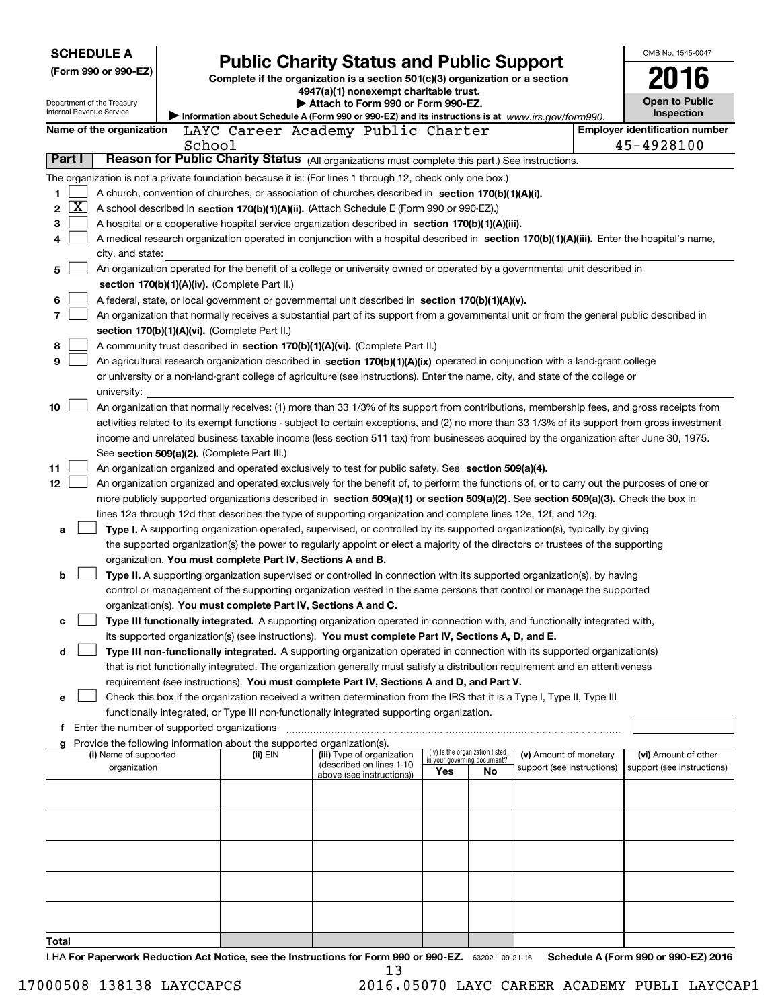| <b>SCHEDULE A</b>                                                                                                                                                                                                                                              | <b>Public Charity Status and Public Support</b> |                                                                                                                                                                                                                                  |                                 |    |                            |  |                                       |
|----------------------------------------------------------------------------------------------------------------------------------------------------------------------------------------------------------------------------------------------------------------|-------------------------------------------------|----------------------------------------------------------------------------------------------------------------------------------------------------------------------------------------------------------------------------------|---------------------------------|----|----------------------------|--|---------------------------------------|
| (Form 990 or 990-EZ)                                                                                                                                                                                                                                           |                                                 |                                                                                                                                                                                                                                  |                                 |    |                            |  |                                       |
|                                                                                                                                                                                                                                                                |                                                 | Complete if the organization is a section 501(c)(3) organization or a section<br>4947(a)(1) nonexempt charitable trust.                                                                                                          |                                 |    |                            |  |                                       |
| Department of the Treasury<br>Internal Revenue Service                                                                                                                                                                                                         |                                                 | Attach to Form 990 or Form 990-EZ.<br>Information about Schedule A (Form 990 or 990-EZ) and its instructions is at www.irs.gov/form990.                                                                                          |                                 |    |                            |  | <b>Open to Public</b><br>Inspection   |
| Name of the organization                                                                                                                                                                                                                                       |                                                 | LAYC Career Academy Public Charter                                                                                                                                                                                               |                                 |    |                            |  | <b>Employer identification number</b> |
| School                                                                                                                                                                                                                                                         |                                                 |                                                                                                                                                                                                                                  |                                 |    |                            |  | 45-4928100                            |
| Part I                                                                                                                                                                                                                                                         |                                                 | Reason for Public Charity Status (All organizations must complete this part.) See instructions.                                                                                                                                  |                                 |    |                            |  |                                       |
| The organization is not a private foundation because it is: (For lines 1 through 12, check only one box.)                                                                                                                                                      |                                                 |                                                                                                                                                                                                                                  |                                 |    |                            |  |                                       |
| A church, convention of churches, or association of churches described in section 170(b)(1)(A)(i).<br>1                                                                                                                                                        |                                                 |                                                                                                                                                                                                                                  |                                 |    |                            |  |                                       |
| $\overline{\text{X}}$<br>$\mathbf{2}$<br>A school described in section 170(b)(1)(A)(ii). (Attach Schedule E (Form 990 or 990-EZ).)                                                                                                                             |                                                 |                                                                                                                                                                                                                                  |                                 |    |                            |  |                                       |
| 3<br>A hospital or a cooperative hospital service organization described in section 170(b)(1)(A)(iii).                                                                                                                                                         |                                                 |                                                                                                                                                                                                                                  |                                 |    |                            |  |                                       |
| A medical research organization operated in conjunction with a hospital described in section 170(b)(1)(A)(iii). Enter the hospital's name,<br>4                                                                                                                |                                                 |                                                                                                                                                                                                                                  |                                 |    |                            |  |                                       |
| city, and state:                                                                                                                                                                                                                                               |                                                 |                                                                                                                                                                                                                                  |                                 |    |                            |  |                                       |
| An organization operated for the benefit of a college or university owned or operated by a governmental unit described in<br>5                                                                                                                                 |                                                 |                                                                                                                                                                                                                                  |                                 |    |                            |  |                                       |
| section 170(b)(1)(A)(iv). (Complete Part II.)<br>6<br>A federal, state, or local government or governmental unit described in section 170(b)(1)(A)(v).                                                                                                         |                                                 |                                                                                                                                                                                                                                  |                                 |    |                            |  |                                       |
| 7<br>An organization that normally receives a substantial part of its support from a governmental unit or from the general public described in                                                                                                                 |                                                 |                                                                                                                                                                                                                                  |                                 |    |                            |  |                                       |
| section 170(b)(1)(A)(vi). (Complete Part II.)                                                                                                                                                                                                                  |                                                 |                                                                                                                                                                                                                                  |                                 |    |                            |  |                                       |
| 8<br>A community trust described in section 170(b)(1)(A)(vi). (Complete Part II.)                                                                                                                                                                              |                                                 |                                                                                                                                                                                                                                  |                                 |    |                            |  |                                       |
| 9<br>An agricultural research organization described in section 170(b)(1)(A)(ix) operated in conjunction with a land-grant college                                                                                                                             |                                                 |                                                                                                                                                                                                                                  |                                 |    |                            |  |                                       |
| or university or a non-land-grant college of agriculture (see instructions). Enter the name, city, and state of the college or                                                                                                                                 |                                                 |                                                                                                                                                                                                                                  |                                 |    |                            |  |                                       |
| university:                                                                                                                                                                                                                                                    |                                                 |                                                                                                                                                                                                                                  |                                 |    |                            |  |                                       |
| 10<br>An organization that normally receives: (1) more than 33 1/3% of its support from contributions, membership fees, and gross receipts from                                                                                                                |                                                 |                                                                                                                                                                                                                                  |                                 |    |                            |  |                                       |
| activities related to its exempt functions - subject to certain exceptions, and (2) no more than 33 1/3% of its support from gross investment                                                                                                                  |                                                 |                                                                                                                                                                                                                                  |                                 |    |                            |  |                                       |
| income and unrelated business taxable income (less section 511 tax) from businesses acquired by the organization after June 30, 1975.                                                                                                                          |                                                 |                                                                                                                                                                                                                                  |                                 |    |                            |  |                                       |
| See section 509(a)(2). (Complete Part III.)                                                                                                                                                                                                                    |                                                 |                                                                                                                                                                                                                                  |                                 |    |                            |  |                                       |
| 11<br>An organization organized and operated exclusively to test for public safety. See section 509(a)(4).<br>12<br>An organization organized and operated exclusively for the benefit of, to perform the functions of, or to carry out the purposes of one or |                                                 |                                                                                                                                                                                                                                  |                                 |    |                            |  |                                       |
| more publicly supported organizations described in section 509(a)(1) or section 509(a)(2). See section 509(a)(3). Check the box in                                                                                                                             |                                                 |                                                                                                                                                                                                                                  |                                 |    |                            |  |                                       |
| lines 12a through 12d that describes the type of supporting organization and complete lines 12e, 12f, and 12g.                                                                                                                                                 |                                                 |                                                                                                                                                                                                                                  |                                 |    |                            |  |                                       |
| a                                                                                                                                                                                                                                                              |                                                 | Type I. A supporting organization operated, supervised, or controlled by its supported organization(s), typically by giving                                                                                                      |                                 |    |                            |  |                                       |
|                                                                                                                                                                                                                                                                |                                                 | the supported organization(s) the power to regularly appoint or elect a majority of the directors or trustees of the supporting                                                                                                  |                                 |    |                            |  |                                       |
| organization. You must complete Part IV, Sections A and B.                                                                                                                                                                                                     |                                                 |                                                                                                                                                                                                                                  |                                 |    |                            |  |                                       |
| b                                                                                                                                                                                                                                                              |                                                 | Type II. A supporting organization supervised or controlled in connection with its supported organization(s), by having                                                                                                          |                                 |    |                            |  |                                       |
|                                                                                                                                                                                                                                                                |                                                 | control or management of the supporting organization vested in the same persons that control or manage the supported                                                                                                             |                                 |    |                            |  |                                       |
| organization(s). You must complete Part IV, Sections A and C.                                                                                                                                                                                                  |                                                 |                                                                                                                                                                                                                                  |                                 |    |                            |  |                                       |
| c                                                                                                                                                                                                                                                              |                                                 | Type III functionally integrated. A supporting organization operated in connection with, and functionally integrated with,<br>its supported organization(s) (see instructions). You must complete Part IV, Sections A, D, and E. |                                 |    |                            |  |                                       |
| d                                                                                                                                                                                                                                                              |                                                 | Type III non-functionally integrated. A supporting organization operated in connection with its supported organization(s)                                                                                                        |                                 |    |                            |  |                                       |
|                                                                                                                                                                                                                                                                |                                                 | that is not functionally integrated. The organization generally must satisfy a distribution requirement and an attentiveness                                                                                                     |                                 |    |                            |  |                                       |
|                                                                                                                                                                                                                                                                |                                                 | requirement (see instructions). You must complete Part IV, Sections A and D, and Part V.                                                                                                                                         |                                 |    |                            |  |                                       |
| е                                                                                                                                                                                                                                                              |                                                 | Check this box if the organization received a written determination from the IRS that it is a Type I, Type II, Type III                                                                                                          |                                 |    |                            |  |                                       |
|                                                                                                                                                                                                                                                                |                                                 | functionally integrated, or Type III non-functionally integrated supporting organization.                                                                                                                                        |                                 |    |                            |  |                                       |
| f Enter the number of supported organizations                                                                                                                                                                                                                  |                                                 |                                                                                                                                                                                                                                  |                                 |    |                            |  |                                       |
| Provide the following information about the supported organization(s).<br>(i) Name of supported                                                                                                                                                                | (ii) EIN                                        | (iii) Type of organization                                                                                                                                                                                                       | (iv) Is the organization listed |    | (v) Amount of monetary     |  | (vi) Amount of other                  |
| organization                                                                                                                                                                                                                                                   |                                                 | (described on lines 1-10                                                                                                                                                                                                         | in your governing document?     | No | support (see instructions) |  | support (see instructions)            |
|                                                                                                                                                                                                                                                                |                                                 | above (see instructions))                                                                                                                                                                                                        | Yes                             |    |                            |  |                                       |
|                                                                                                                                                                                                                                                                |                                                 |                                                                                                                                                                                                                                  |                                 |    |                            |  |                                       |
|                                                                                                                                                                                                                                                                |                                                 |                                                                                                                                                                                                                                  |                                 |    |                            |  |                                       |
|                                                                                                                                                                                                                                                                |                                                 |                                                                                                                                                                                                                                  |                                 |    |                            |  |                                       |
|                                                                                                                                                                                                                                                                |                                                 |                                                                                                                                                                                                                                  |                                 |    |                            |  |                                       |
|                                                                                                                                                                                                                                                                |                                                 |                                                                                                                                                                                                                                  |                                 |    |                            |  |                                       |
|                                                                                                                                                                                                                                                                |                                                 |                                                                                                                                                                                                                                  |                                 |    |                            |  |                                       |
|                                                                                                                                                                                                                                                                |                                                 |                                                                                                                                                                                                                                  |                                 |    |                            |  |                                       |
|                                                                                                                                                                                                                                                                |                                                 |                                                                                                                                                                                                                                  |                                 |    |                            |  |                                       |
|                                                                                                                                                                                                                                                                |                                                 |                                                                                                                                                                                                                                  |                                 |    |                            |  |                                       |
| Total                                                                                                                                                                                                                                                          |                                                 |                                                                                                                                                                                                                                  |                                 |    |                            |  | EEN OO                                |

LHA For Paperwork Reduction Act Notice, see the Instructions for Form 990 or 990-EZ. 632021 09-21-16 Schedule A (Form 990 or 990-EZ) 2016 13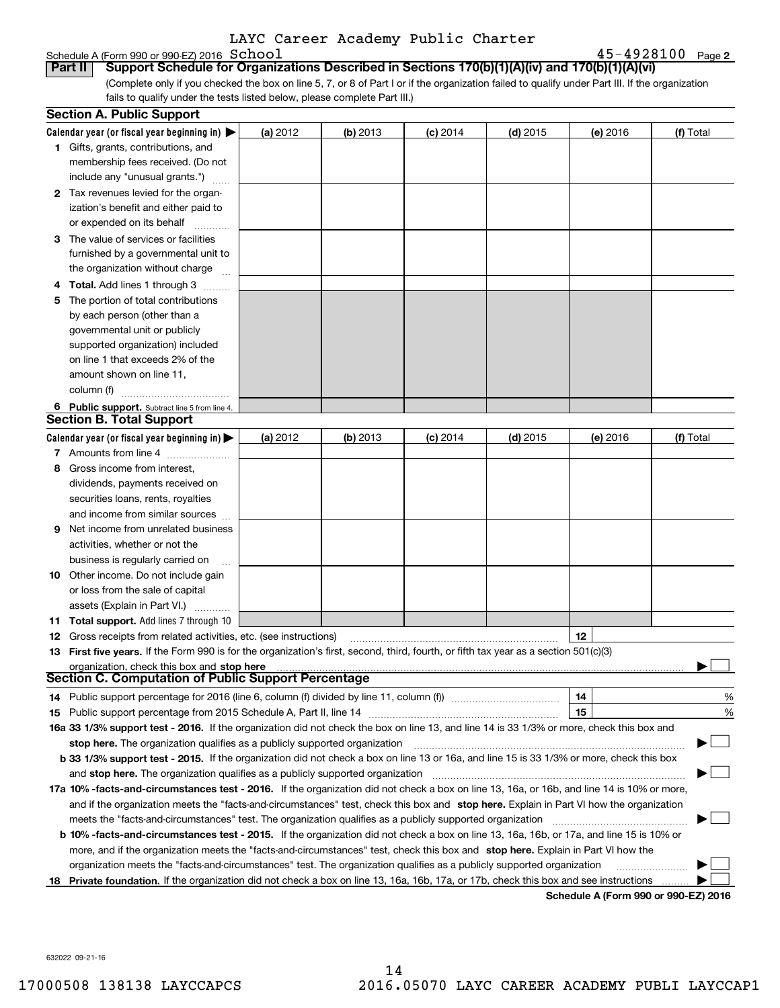#### Schedule A (Form 990 or 990-EZ) 2016 Page School 45-4928100

| $45 - 4928100$ Page 2 |  |
|-----------------------|--|
|-----------------------|--|

(Complete only if you checked the box on line 5, 7, or 8 of Part I or if the organization failed to qualify under Part III. If the organization fails to qualify under the tests listed below, please complete Part III.) **Part II Support Schedule for Organizations Described in Sections 170(b)(1)(A)(iv) and 170(b)(1)(A)(vi)**

|    | <b>Section A. Public Support</b>                                                                                                               |          |            |            |            |          |                                      |
|----|------------------------------------------------------------------------------------------------------------------------------------------------|----------|------------|------------|------------|----------|--------------------------------------|
|    | Calendar year (or fiscal year beginning in) $\blacktriangleright$                                                                              | (a) 2012 | $(b)$ 2013 | $(c)$ 2014 | $(d)$ 2015 | (e) 2016 | (f) Total                            |
|    | 1 Gifts, grants, contributions, and                                                                                                            |          |            |            |            |          |                                      |
|    | membership fees received. (Do not                                                                                                              |          |            |            |            |          |                                      |
|    | include any "unusual grants.")                                                                                                                 |          |            |            |            |          |                                      |
|    | 2 Tax revenues levied for the organ-                                                                                                           |          |            |            |            |          |                                      |
|    | ization's benefit and either paid to                                                                                                           |          |            |            |            |          |                                      |
|    | or expended on its behalf                                                                                                                      |          |            |            |            |          |                                      |
|    | 3 The value of services or facilities                                                                                                          |          |            |            |            |          |                                      |
|    | furnished by a governmental unit to                                                                                                            |          |            |            |            |          |                                      |
|    | the organization without charge                                                                                                                |          |            |            |            |          |                                      |
|    | 4 Total. Add lines 1 through 3                                                                                                                 |          |            |            |            |          |                                      |
| 5. | The portion of total contributions                                                                                                             |          |            |            |            |          |                                      |
|    | by each person (other than a                                                                                                                   |          |            |            |            |          |                                      |
|    | governmental unit or publicly                                                                                                                  |          |            |            |            |          |                                      |
|    | supported organization) included                                                                                                               |          |            |            |            |          |                                      |
|    | on line 1 that exceeds 2% of the                                                                                                               |          |            |            |            |          |                                      |
|    | amount shown on line 11,                                                                                                                       |          |            |            |            |          |                                      |
|    | column (f)                                                                                                                                     |          |            |            |            |          |                                      |
|    | 6 Public support. Subtract line 5 from line 4.                                                                                                 |          |            |            |            |          |                                      |
|    | <b>Section B. Total Support</b>                                                                                                                |          |            |            |            |          |                                      |
|    | Calendar year (or fiscal year beginning in) $\blacktriangleright$                                                                              | (a) 2012 | (b) $2013$ | $(c)$ 2014 | $(d)$ 2015 | (e) 2016 | (f) Total                            |
|    | 7 Amounts from line 4                                                                                                                          |          |            |            |            |          |                                      |
|    | 8 Gross income from interest,                                                                                                                  |          |            |            |            |          |                                      |
|    | dividends, payments received on                                                                                                                |          |            |            |            |          |                                      |
|    | securities loans, rents, royalties                                                                                                             |          |            |            |            |          |                                      |
|    | and income from similar sources                                                                                                                |          |            |            |            |          |                                      |
| 9. | Net income from unrelated business                                                                                                             |          |            |            |            |          |                                      |
|    | activities, whether or not the                                                                                                                 |          |            |            |            |          |                                      |
|    | business is regularly carried on                                                                                                               |          |            |            |            |          |                                      |
|    | <b>10</b> Other income. Do not include gain                                                                                                    |          |            |            |            |          |                                      |
|    | or loss from the sale of capital                                                                                                               |          |            |            |            |          |                                      |
|    | assets (Explain in Part VI.)                                                                                                                   |          |            |            |            |          |                                      |
|    | 11 Total support. Add lines 7 through 10                                                                                                       |          |            |            |            |          |                                      |
|    | <b>12</b> Gross receipts from related activities, etc. (see instructions)                                                                      |          |            |            |            | 12       |                                      |
|    | 13 First five years. If the Form 990 is for the organization's first, second, third, fourth, or fifth tax year as a section 501(c)(3)          |          |            |            |            |          |                                      |
|    | organization, check this box and stop here                                                                                                     |          |            |            |            |          |                                      |
|    | Section C. Computation of Public Support Percentage                                                                                            |          |            |            |            |          |                                      |
|    | 14 Public support percentage for 2016 (line 6, column (f) divided by line 11, column (f) <i>mummeronom</i>                                     |          |            |            |            | 14       | %                                    |
|    |                                                                                                                                                |          |            |            |            | 15       | %                                    |
|    | 16a 33 1/3% support test - 2016. If the organization did not check the box on line 13, and line 14 is 33 1/3% or more, check this box and      |          |            |            |            |          |                                      |
|    | stop here. The organization qualifies as a publicly supported organization                                                                     |          |            |            |            |          | ▔▁▏                                  |
|    | b 33 1/3% support test - 2015. If the organization did not check a box on line 13 or 16a, and line 15 is 33 1/3% or more, check this box       |          |            |            |            |          |                                      |
|    | and stop here. The organization qualifies as a publicly supported organization                                                                 |          |            |            |            |          |                                      |
|    | 17a 10% -facts-and-circumstances test - 2016. If the organization did not check a box on line 13, 16a, or 16b, and line 14 is 10% or more,     |          |            |            |            |          |                                      |
|    | and if the organization meets the "facts-and-circumstances" test, check this box and stop here. Explain in Part VI how the organization        |          |            |            |            |          |                                      |
|    | meets the "facts-and-circumstances" test. The organization qualifies as a publicly supported organization                                      |          |            |            |            |          |                                      |
|    | <b>b 10% -facts-and-circumstances test - 2015.</b> If the organization did not check a box on line 13, 16a, 16b, or 17a, and line 15 is 10% or |          |            |            |            |          |                                      |
|    | more, and if the organization meets the "facts-and-circumstances" test, check this box and stop here. Explain in Part VI how the               |          |            |            |            |          |                                      |
|    | organization meets the "facts-and-circumstances" test. The organization qualifies as a publicly supported organization                         |          |            |            |            |          |                                      |
| 18 | Private foundation. If the organization did not check a box on line 13, 16a, 16b, 17a, or 17b, check this box and see instructions             |          |            |            |            |          | Schodule A (Form 000 or 000 F7) 2016 |

**Schedule A (Form 990 or 990-EZ) 2016**

632022 09-21-16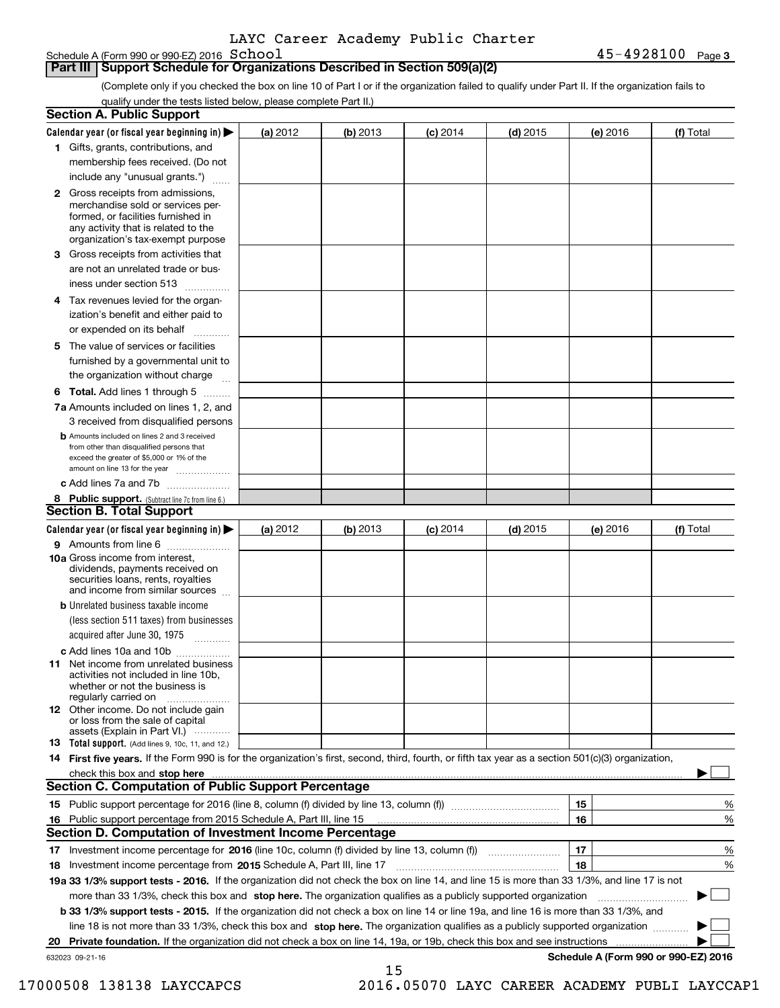### Schedule A (Form 990 or 990-EZ) 2016  $School$

**Part III Support Schedule for Organizations Described in Section 509(a)(2)** 

(Complete only if you checked the box on line 10 of Part I or if the organization failed to qualify under Part II. If the organization fails to qualify under the tests listed below, please complete Part II.)

|    | <b>Section A. Public Support</b>                                                                                                                                                                                                                                                             |          |          |            |            |          |                                      |
|----|----------------------------------------------------------------------------------------------------------------------------------------------------------------------------------------------------------------------------------------------------------------------------------------------|----------|----------|------------|------------|----------|--------------------------------------|
|    | Calendar year (or fiscal year beginning in) $\blacktriangleright$                                                                                                                                                                                                                            | (a) 2012 | (b) 2013 | $(c)$ 2014 | $(d)$ 2015 | (e) 2016 | (f) Total                            |
|    | 1 Gifts, grants, contributions, and                                                                                                                                                                                                                                                          |          |          |            |            |          |                                      |
|    | membership fees received. (Do not                                                                                                                                                                                                                                                            |          |          |            |            |          |                                      |
|    | include any "unusual grants.")                                                                                                                                                                                                                                                               |          |          |            |            |          |                                      |
|    | <b>2</b> Gross receipts from admissions,<br>merchandise sold or services per-<br>formed, or facilities furnished in<br>any activity that is related to the<br>organization's tax-exempt purpose                                                                                              |          |          |            |            |          |                                      |
|    | 3 Gross receipts from activities that<br>are not an unrelated trade or bus-                                                                                                                                                                                                                  |          |          |            |            |          |                                      |
|    | iness under section 513                                                                                                                                                                                                                                                                      |          |          |            |            |          |                                      |
|    | 4 Tax revenues levied for the organ-<br>ization's benefit and either paid to                                                                                                                                                                                                                 |          |          |            |            |          |                                      |
|    | or expended on its behalf<br>.                                                                                                                                                                                                                                                               |          |          |            |            |          |                                      |
|    | 5 The value of services or facilities<br>furnished by a governmental unit to<br>the organization without charge                                                                                                                                                                              |          |          |            |            |          |                                      |
|    |                                                                                                                                                                                                                                                                                              |          |          |            |            |          |                                      |
|    | <b>6 Total.</b> Add lines 1 through 5<br>7a Amounts included on lines 1, 2, and                                                                                                                                                                                                              |          |          |            |            |          |                                      |
|    | 3 received from disqualified persons<br><b>b</b> Amounts included on lines 2 and 3 received<br>from other than disqualified persons that<br>exceed the greater of \$5,000 or 1% of the<br>amount on line 13 for the year                                                                     |          |          |            |            |          |                                      |
|    | c Add lines 7a and 7b                                                                                                                                                                                                                                                                        |          |          |            |            |          |                                      |
|    | 8 Public support. (Subtract line 7c from line 6.)<br><b>Section B. Total Support</b>                                                                                                                                                                                                         |          |          |            |            |          |                                      |
|    |                                                                                                                                                                                                                                                                                              |          |          |            |            |          |                                      |
|    | Calendar year (or fiscal year beginning in)<br>9 Amounts from line 6                                                                                                                                                                                                                         | (a) 2012 | (b) 2013 | $(c)$ 2014 | $(d)$ 2015 | (e) 2016 | (f) Total                            |
|    | 10a Gross income from interest,<br>dividends, payments received on<br>securities loans, rents, royalties<br>and income from similar sources                                                                                                                                                  |          |          |            |            |          |                                      |
|    | <b>b</b> Unrelated business taxable income<br>(less section 511 taxes) from businesses<br>acquired after June 30, 1975<br>$\overline{\phantom{a}}$                                                                                                                                           |          |          |            |            |          |                                      |
|    | c Add lines 10a and 10b                                                                                                                                                                                                                                                                      |          |          |            |            |          |                                      |
|    | 11 Net income from unrelated business<br>activities not included in line 10b,<br>whether or not the business is<br>regularly carried on                                                                                                                                                      |          |          |            |            |          |                                      |
|    | <b>12</b> Other income. Do not include gain<br>or loss from the sale of capital<br>assets (Explain in Part VI.)                                                                                                                                                                              |          |          |            |            |          |                                      |
|    | 13 Total support. (Add lines 9, 10c, 11, and 12.)                                                                                                                                                                                                                                            |          |          |            |            |          |                                      |
|    | 14 First five years. If the Form 990 is for the organization's first, second, third, fourth, or fifth tax year as a section 501(c)(3) organization,                                                                                                                                          |          |          |            |            |          |                                      |
|    | check this box and stop here with the continuum control to the change of the state of the state of the change of the state of the change of the change of the state of the change of the change of the change of the change of<br><b>Section C. Computation of Public Support Percentage</b> |          |          |            |            |          |                                      |
|    |                                                                                                                                                                                                                                                                                              |          |          |            |            | 15       | %                                    |
|    | 16 Public support percentage from 2015 Schedule A, Part III, line 15                                                                                                                                                                                                                         |          |          |            |            | 16       | %                                    |
|    | <b>Section D. Computation of Investment Income Percentage</b>                                                                                                                                                                                                                                |          |          |            |            |          |                                      |
|    | 17 Investment income percentage for 2016 (line 10c, column (f) divided by line 13, column (f))                                                                                                                                                                                               |          |          |            |            | 17       | %                                    |
|    | <b>18</b> Investment income percentage from <b>2015</b> Schedule A, Part III, line 17                                                                                                                                                                                                        |          |          |            |            | 18       | %                                    |
|    | 19a 33 1/3% support tests - 2016. If the organization did not check the box on line 14, and line 15 is more than 33 1/3%, and line 17 is not                                                                                                                                                 |          |          |            |            |          |                                      |
|    | more than 33 1/3%, check this box and stop here. The organization qualifies as a publicly supported organization                                                                                                                                                                             |          |          |            |            |          | $\sim$ 1                             |
|    | b 33 1/3% support tests - 2015. If the organization did not check a box on line 14 or line 19a, and line 16 is more than 33 1/3%, and                                                                                                                                                        |          |          |            |            |          |                                      |
|    | line 18 is not more than 33 1/3%, check this box and stop here. The organization qualifies as a publicly supported organization                                                                                                                                                              |          |          |            |            |          |                                      |
| 20 | <b>Private foundation.</b> If the organization did not check a box on line 14, 19a, or 19b, check this box and see instructions                                                                                                                                                              |          |          |            |            |          |                                      |
|    | 632023 09-21-16                                                                                                                                                                                                                                                                              |          | 15       |            |            |          | Schedule A (Form 990 or 990-EZ) 2016 |

17000508 138138 LAYCCAPCS 2016.05070 LAYC CAREER ACADEMY PUBLI LAYCCAP1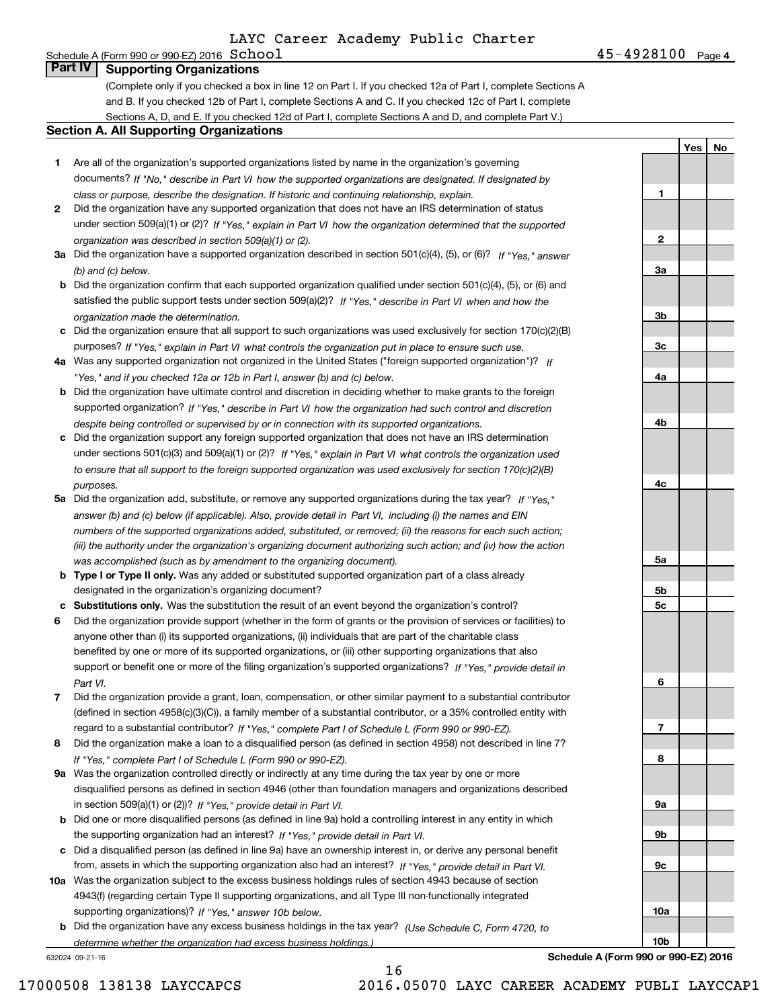## Schedule A (Form 990 or 990-EZ) 2016  $\,$  SC $\,$ h $\,$ o $1$ **Part IV Supporting Organizations**

(Complete only if you checked a box in line 12 on Part I. If you checked 12a of Part I, complete Sections A and B. If you checked 12b of Part I, complete Sections A and C. If you checked 12c of Part I, complete Sections A, D, and E. If you checked 12d of Part I, complete Sections A and D, and complete Part V.)

#### **Section A. All Supporting Organizations**

- **1** Are all of the organization's supported organizations listed by name in the organization's governing documents? If "No," describe in Part VI how the supported organizations are designated. If designated by *class or purpose, describe the designation. If historic and continuing relationship, explain.*
- **2** Did the organization have any supported organization that does not have an IRS determination of status under section 509(a)(1) or (2)? If "Yes," explain in Part VI how the organization determined that the supported *organization was described in section 509(a)(1) or (2).*
- **3a** Did the organization have a supported organization described in section 501(c)(4), (5), or (6)? If "Yes," answer *(b) and (c) below.*
- **b** Did the organization confirm that each supported organization qualified under section 501(c)(4), (5), or (6) and satisfied the public support tests under section 509(a)(2)? If "Yes," describe in Part VI when and how the *organization made the determination.*
- **c**Did the organization ensure that all support to such organizations was used exclusively for section 170(c)(2)(B) purposes? If "Yes," explain in Part VI what controls the organization put in place to ensure such use.
- **4a***If* Was any supported organization not organized in the United States ("foreign supported organization")? *"Yes," and if you checked 12a or 12b in Part I, answer (b) and (c) below.*
- **b** Did the organization have ultimate control and discretion in deciding whether to make grants to the foreign supported organization? If "Yes," describe in Part VI how the organization had such control and discretion *despite being controlled or supervised by or in connection with its supported organizations.*
- **c** Did the organization support any foreign supported organization that does not have an IRS determination under sections 501(c)(3) and 509(a)(1) or (2)? If "Yes," explain in Part VI what controls the organization used *to ensure that all support to the foreign supported organization was used exclusively for section 170(c)(2)(B) purposes.*
- **5a** Did the organization add, substitute, or remove any supported organizations during the tax year? If "Yes," answer (b) and (c) below (if applicable). Also, provide detail in Part VI, including (i) the names and EIN *numbers of the supported organizations added, substituted, or removed; (ii) the reasons for each such action; (iii) the authority under the organization's organizing document authorizing such action; and (iv) how the action was accomplished (such as by amendment to the organizing document).*
- **b** Type I or Type II only. Was any added or substituted supported organization part of a class already designated in the organization's organizing document?
- **cSubstitutions only.**  Was the substitution the result of an event beyond the organization's control?
- **6** Did the organization provide support (whether in the form of grants or the provision of services or facilities) to *If "Yes," provide detail in* support or benefit one or more of the filing organization's supported organizations? anyone other than (i) its supported organizations, (ii) individuals that are part of the charitable class benefited by one or more of its supported organizations, or (iii) other supporting organizations that also *Part VI.*
- **7**Did the organization provide a grant, loan, compensation, or other similar payment to a substantial contributor *If "Yes," complete Part I of Schedule L (Form 990 or 990-EZ).* regard to a substantial contributor? (defined in section 4958(c)(3)(C)), a family member of a substantial contributor, or a 35% controlled entity with
- **8** Did the organization make a loan to a disqualified person (as defined in section 4958) not described in line 7? *If "Yes," complete Part I of Schedule L (Form 990 or 990-EZ).*
- **9a** Was the organization controlled directly or indirectly at any time during the tax year by one or more in section 509(a)(1) or (2))? If "Yes," *provide detail in Part VI.* disqualified persons as defined in section 4946 (other than foundation managers and organizations described
- **b** Did one or more disqualified persons (as defined in line 9a) hold a controlling interest in any entity in which the supporting organization had an interest? If "Yes," provide detail in Part VI.
- **c**Did a disqualified person (as defined in line 9a) have an ownership interest in, or derive any personal benefit from, assets in which the supporting organization also had an interest? If "Yes," provide detail in Part VI.
- **10a** Was the organization subject to the excess business holdings rules of section 4943 because of section supporting organizations)? If "Yes," answer 10b below. 4943(f) (regarding certain Type II supporting organizations, and all Type III non-functionally integrated
- **b** Did the organization have any excess business holdings in the tax year? (Use Schedule C, Form 4720, to *determine whether the organization had excess business holdings.)*

632024 09-21-16

**Schedule A (Form 990 or 990-EZ) 2016**

**1**

**2**

**3a**

**3b**

**3c**

**4a**

**4b**

**4c**

**5a**

**5b5c**

**6**

**7**

**8**

**9a**

**9b**

**9c**

**10a**

**10b**

**YesNo**

16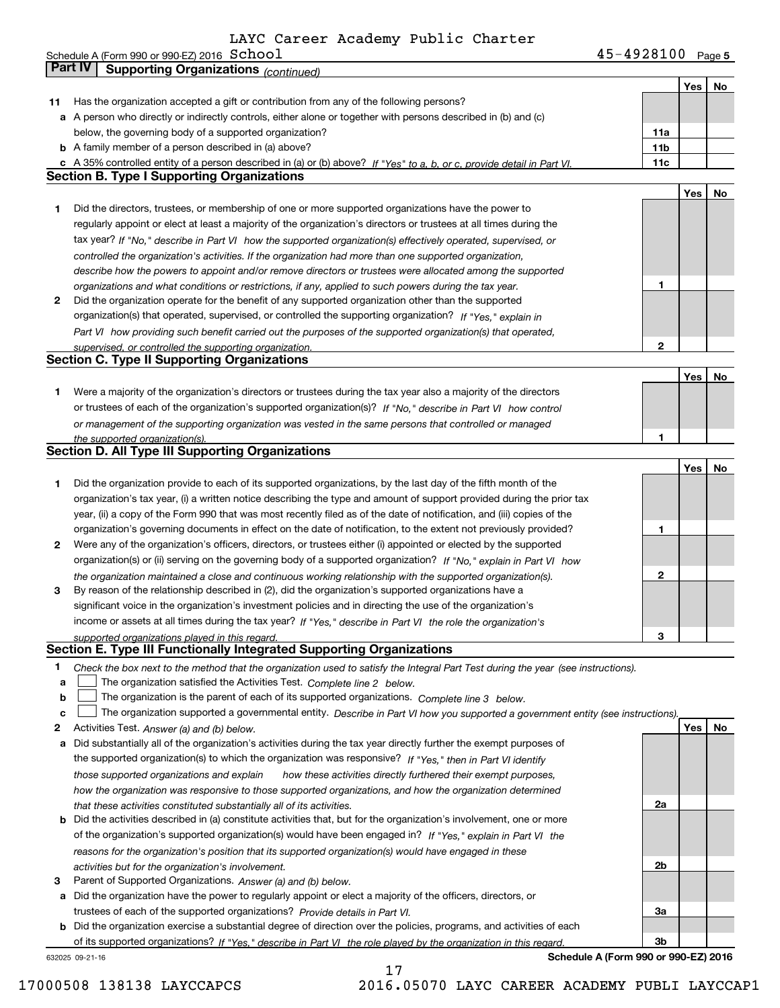|    | Schedule A (Form 990 or 990-EZ) 2016 $School$                                                                                     | $45 - 4928100$ Page 5                |     |     |
|----|-----------------------------------------------------------------------------------------------------------------------------------|--------------------------------------|-----|-----|
|    | <b>Part IV</b><br><b>Supporting Organizations (continued)</b>                                                                     |                                      |     |     |
|    |                                                                                                                                   |                                      | Yes | No  |
| 11 | Has the organization accepted a gift or contribution from any of the following persons?                                           |                                      |     |     |
|    | a A person who directly or indirectly controls, either alone or together with persons described in (b) and (c)                    |                                      |     |     |
|    | below, the governing body of a supported organization?                                                                            | 11a                                  |     |     |
|    |                                                                                                                                   |                                      |     |     |
|    | <b>b</b> A family member of a person described in (a) above?                                                                      | 11 <sub>b</sub>                      |     |     |
|    | c A 35% controlled entity of a person described in (a) or (b) above? If "Yes" to a, b, or c, provide detail in Part VI.           | 11c                                  |     |     |
|    | <b>Section B. Type I Supporting Organizations</b>                                                                                 |                                      |     |     |
|    |                                                                                                                                   |                                      | Yes | No  |
| 1  | Did the directors, trustees, or membership of one or more supported organizations have the power to                               |                                      |     |     |
|    | regularly appoint or elect at least a majority of the organization's directors or trustees at all times during the                |                                      |     |     |
|    | tax year? If "No," describe in Part VI how the supported organization(s) effectively operated, supervised, or                     |                                      |     |     |
|    | controlled the organization's activities. If the organization had more than one supported organization,                           |                                      |     |     |
|    | describe how the powers to appoint and/or remove directors or trustees were allocated among the supported                         |                                      |     |     |
|    | organizations and what conditions or restrictions, if any, applied to such powers during the tax year.                            | 1                                    |     |     |
| 2  | Did the organization operate for the benefit of any supported organization other than the supported                               |                                      |     |     |
|    | organization(s) that operated, supervised, or controlled the supporting organization? If "Yes," explain in                        |                                      |     |     |
|    | Part VI how providing such benefit carried out the purposes of the supported organization(s) that operated,                       |                                      |     |     |
|    |                                                                                                                                   | $\mathbf{2}$                         |     |     |
|    | supervised, or controlled the supporting organization.<br><b>Section C. Type II Supporting Organizations</b>                      |                                      |     |     |
|    |                                                                                                                                   |                                      |     |     |
|    |                                                                                                                                   |                                      | Yes | No  |
| 1  | Were a majority of the organization's directors or trustees during the tax year also a majority of the directors                  |                                      |     |     |
|    | or trustees of each of the organization's supported organization(s)? If "No," describe in Part VI how control                     |                                      |     |     |
|    | or management of the supporting organization was vested in the same persons that controlled or managed                            |                                      |     |     |
|    | the supported organization(s).                                                                                                    | 1                                    |     |     |
|    | <b>Section D. All Type III Supporting Organizations</b>                                                                           |                                      |     |     |
|    |                                                                                                                                   |                                      | Yes | No  |
| 1  | Did the organization provide to each of its supported organizations, by the last day of the fifth month of the                    |                                      |     |     |
|    | organization's tax year, (i) a written notice describing the type and amount of support provided during the prior tax             |                                      |     |     |
|    | year, (ii) a copy of the Form 990 that was most recently filed as of the date of notification, and (iii) copies of the            |                                      |     |     |
|    | organization's governing documents in effect on the date of notification, to the extent not previously provided?                  | 1                                    |     |     |
| 2  | Were any of the organization's officers, directors, or trustees either (i) appointed or elected by the supported                  |                                      |     |     |
|    | organization(s) or (ii) serving on the governing body of a supported organization? If "No," explain in Part VI how                |                                      |     |     |
|    | the organization maintained a close and continuous working relationship with the supported organization(s).                       | $\mathbf{2}$                         |     |     |
| 3  | By reason of the relationship described in (2), did the organization's supported organizations have a                             |                                      |     |     |
|    | significant voice in the organization's investment policies and in directing the use of the organization's                        |                                      |     |     |
|    | income or assets at all times during the tax year? If "Yes," describe in Part VI the role the organization's                      |                                      |     |     |
|    | supported organizations played in this regard.                                                                                    | 3                                    |     |     |
|    | Section E. Type III Functionally Integrated Supporting Organizations                                                              |                                      |     |     |
| 1  |                                                                                                                                   |                                      |     |     |
|    | Check the box next to the method that the organization used to satisfy the Integral Part Test during the year (see instructions). |                                      |     |     |
| a  | The organization satisfied the Activities Test. Complete line 2 below.                                                            |                                      |     |     |
| b  | The organization is the parent of each of its supported organizations. Complete line 3 below.                                     |                                      |     |     |
| c  | The organization supported a governmental entity. Describe in Part VI how you supported a government entity (see instructions).   |                                      |     |     |
| 2  | Activities Test. Answer (a) and (b) below.                                                                                        |                                      | Yes | No. |
| a  | Did substantially all of the organization's activities during the tax year directly further the exempt purposes of                |                                      |     |     |
|    | the supported organization(s) to which the organization was responsive? If "Yes," then in Part VI identify                        |                                      |     |     |
|    | those supported organizations and explain<br>how these activities directly furthered their exempt purposes,                       |                                      |     |     |
|    | how the organization was responsive to those supported organizations, and how the organization determined                         |                                      |     |     |
|    | that these activities constituted substantially all of its activities.                                                            | 2a                                   |     |     |
|    | <b>b</b> Did the activities described in (a) constitute activities that, but for the organization's involvement, one or more      |                                      |     |     |
|    | of the organization's supported organization(s) would have been engaged in? If "Yes," explain in Part VI the                      |                                      |     |     |
|    | reasons for the organization's position that its supported organization(s) would have engaged in these                            |                                      |     |     |
|    | activities but for the organization's involvement.                                                                                | 2b                                   |     |     |
| 3  | Parent of Supported Organizations. Answer (a) and (b) below.                                                                      |                                      |     |     |
| a  | Did the organization have the power to regularly appoint or elect a majority of the officers, directors, or                       |                                      |     |     |
|    | trustees of each of the supported organizations? Provide details in Part VI.                                                      | За                                   |     |     |
|    | <b>b</b> Did the organization exercise a substantial degree of direction over the policies, programs, and activities of each      |                                      |     |     |
|    | of its supported organizations? If "Yes." describe in Part VI the role played by the organization in this regard                  | Зb                                   |     |     |
|    | 632025 09-21-16                                                                                                                   | Schedule A (Form 990 or 990-EZ) 2016 |     |     |
|    |                                                                                                                                   |                                      |     |     |

17 17000508 138138 LAYCCAPCS 2016.05070 LAYC CAREER ACADEMY PUBLI LAYCCAP1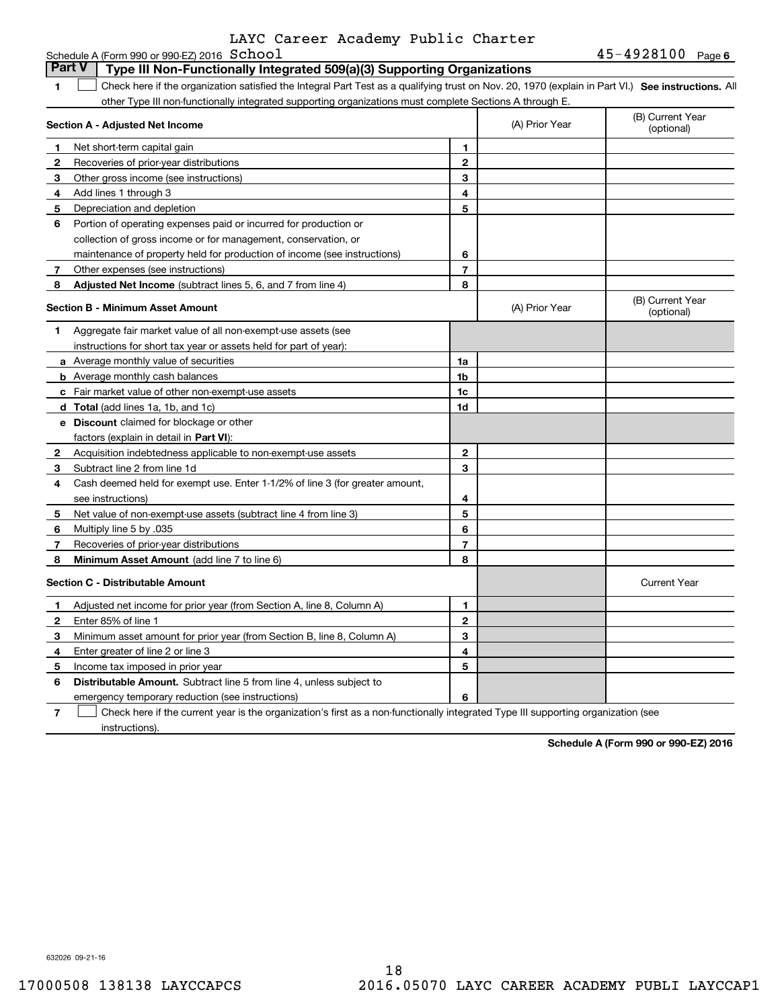|    | Schedule A (Form 990 or 990-EZ) 2016 $School$                                                                                                     |                |                | $45 - 4928100$ Page 6          |
|----|---------------------------------------------------------------------------------------------------------------------------------------------------|----------------|----------------|--------------------------------|
|    | Part V<br>Type III Non-Functionally Integrated 509(a)(3) Supporting Organizations                                                                 |                |                |                                |
| 1  | Check here if the organization satisfied the Integral Part Test as a qualifying trust on Nov. 20, 1970 (explain in Part VI.) See instructions. Al |                |                |                                |
|    | other Type III non-functionally integrated supporting organizations must complete Sections A through E.                                           |                |                |                                |
|    | Section A - Adjusted Net Income                                                                                                                   |                | (A) Prior Year | (B) Current Year<br>(optional) |
| 1. | Net short-term capital gain                                                                                                                       | 1              |                |                                |
| 2  | Recoveries of prior-year distributions                                                                                                            | $\mathbf{2}$   |                |                                |
| 3  | Other gross income (see instructions)                                                                                                             | 3              |                |                                |
| 4  | Add lines 1 through 3                                                                                                                             | 4              |                |                                |
| 5  | Depreciation and depletion                                                                                                                        | 5              |                |                                |
| 6  | Portion of operating expenses paid or incurred for production or                                                                                  |                |                |                                |
|    | collection of gross income or for management, conservation, or                                                                                    |                |                |                                |
|    | maintenance of property held for production of income (see instructions)                                                                          | 6              |                |                                |
| 7  | Other expenses (see instructions)                                                                                                                 | $\overline{7}$ |                |                                |
| 8  | Adjusted Net Income (subtract lines 5, 6, and 7 from line 4)                                                                                      | 8              |                |                                |
|    | <b>Section B - Minimum Asset Amount</b>                                                                                                           |                | (A) Prior Year | (B) Current Year<br>(optional) |
| 1. | Aggregate fair market value of all non-exempt-use assets (see                                                                                     |                |                |                                |
|    | instructions for short tax year or assets held for part of year):                                                                                 |                |                |                                |
|    | <b>a</b> Average monthly value of securities                                                                                                      | 1a             |                |                                |
|    | <b>b</b> Average monthly cash balances                                                                                                            | 1b             |                |                                |
|    | c Fair market value of other non-exempt-use assets                                                                                                | 1c             |                |                                |
|    | <b>d</b> Total (add lines 1a, 1b, and 1c)                                                                                                         | 1d             |                |                                |
|    | <b>e</b> Discount claimed for blockage or other                                                                                                   |                |                |                                |
|    | factors (explain in detail in Part VI):                                                                                                           |                |                |                                |
| 2  | Acquisition indebtedness applicable to non-exempt-use assets                                                                                      | $\mathbf{2}$   |                |                                |
| 3  | Subtract line 2 from line 1d                                                                                                                      | 3              |                |                                |
| 4  | Cash deemed held for exempt use. Enter 1-1/2% of line 3 (for greater amount,                                                                      |                |                |                                |
|    | see instructions)                                                                                                                                 | 4              |                |                                |
| 5  | Net value of non-exempt-use assets (subtract line 4 from line 3)                                                                                  | 5              |                |                                |
| 6  | Multiply line 5 by .035                                                                                                                           | 6              |                |                                |
| 7  | Recoveries of prior-year distributions                                                                                                            | $\overline{7}$ |                |                                |
| 8  | Minimum Asset Amount (add line 7 to line 6)                                                                                                       | 8              |                |                                |
|    | <b>Section C - Distributable Amount</b>                                                                                                           |                |                | <b>Current Year</b>            |
| 1  | Adjusted net income for prior year (from Section A, line 8, Column A)                                                                             | 1              |                |                                |
| 2  | Enter 85% of line 1                                                                                                                               | $\mathbf 2$    |                |                                |
| 3  | Minimum asset amount for prior year (from Section B, line 8, Column A)                                                                            | 3              |                |                                |
| 4  | Enter greater of line 2 or line 3                                                                                                                 | 4              |                |                                |
| 5  | Income tax imposed in prior year                                                                                                                  | 5              |                |                                |
| 6  | <b>Distributable Amount.</b> Subtract line 5 from line 4, unless subject to                                                                       |                |                |                                |

emergency temporary reduction (see instructions)

**7**Check here if the current year is the organization's first as a non-functionally integrated Type III supporting organization (see instructions).

**6**

**Schedule A (Form 990 or 990-EZ) 2016**

632026 09-21-16

# LAYC Career Academy Public Charter

18 17000508 138138 LAYCCAPCS 2016.05070 LAYC CAREER ACADEMY PUBLI LAYCCAP1

**6**School 45-4928100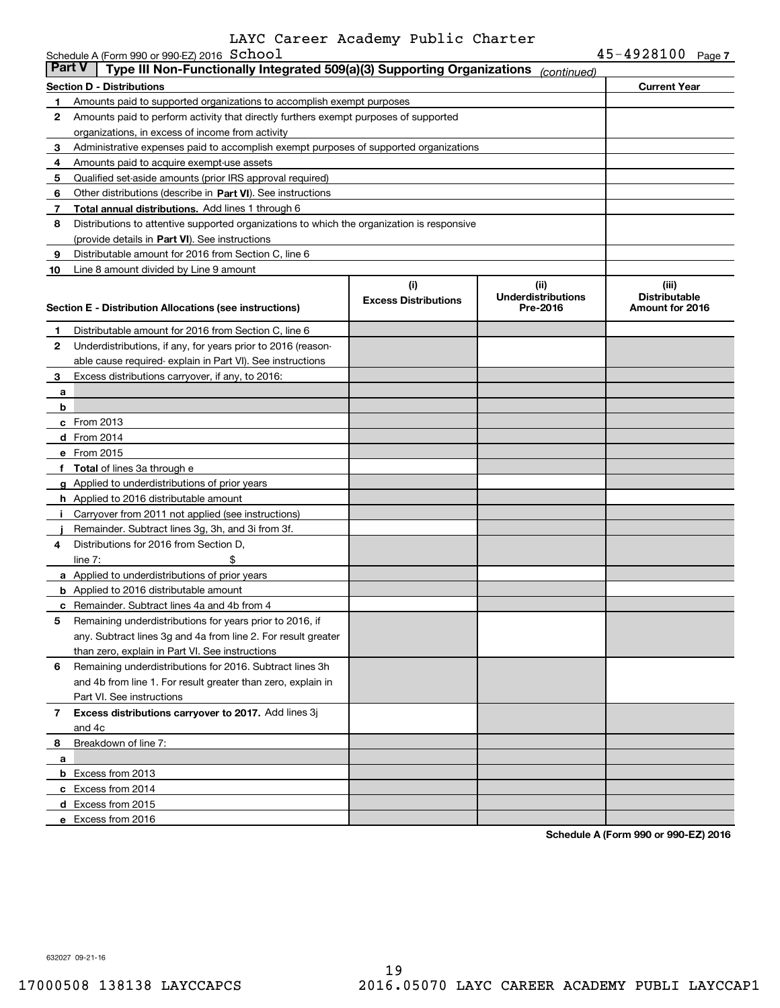|               | Schedule A (Form 990 or 990-EZ) 2016 $School$                                              |                             |                           | 45-4928100 Page 7    |
|---------------|--------------------------------------------------------------------------------------------|-----------------------------|---------------------------|----------------------|
| <b>Part V</b> | Type III Non-Functionally Integrated 509(a)(3) Supporting Organizations                    |                             | (continued)               |                      |
|               | <b>Section D - Distributions</b>                                                           |                             |                           | <b>Current Year</b>  |
| 1             | Amounts paid to supported organizations to accomplish exempt purposes                      |                             |                           |                      |
| $\mathbf{2}$  | Amounts paid to perform activity that directly furthers exempt purposes of supported       |                             |                           |                      |
|               | organizations, in excess of income from activity                                           |                             |                           |                      |
| 3             | Administrative expenses paid to accomplish exempt purposes of supported organizations      |                             |                           |                      |
| 4             | Amounts paid to acquire exempt-use assets                                                  |                             |                           |                      |
| 5             | Qualified set-aside amounts (prior IRS approval required)                                  |                             |                           |                      |
| 6             | Other distributions (describe in Part VI). See instructions                                |                             |                           |                      |
| 7             | Total annual distributions. Add lines 1 through 6                                          |                             |                           |                      |
| 8             | Distributions to attentive supported organizations to which the organization is responsive |                             |                           |                      |
|               | (provide details in Part VI). See instructions                                             |                             |                           |                      |
| 9             | Distributable amount for 2016 from Section C, line 6                                       |                             |                           |                      |
| 10            | Line 8 amount divided by Line 9 amount                                                     |                             |                           |                      |
|               |                                                                                            | (i)                         | (ii)                      | (iii)                |
|               |                                                                                            | <b>Excess Distributions</b> | <b>Underdistributions</b> | <b>Distributable</b> |
|               | Section E - Distribution Allocations (see instructions)                                    |                             | Pre-2016                  | Amount for 2016      |
| 1             | Distributable amount for 2016 from Section C, line 6                                       |                             |                           |                      |
| $\mathbf{2}$  | Underdistributions, if any, for years prior to 2016 (reason-                               |                             |                           |                      |
|               | able cause required- explain in Part VI). See instructions                                 |                             |                           |                      |
| 3             | Excess distributions carryover, if any, to 2016:                                           |                             |                           |                      |
| а             |                                                                                            |                             |                           |                      |
| b             |                                                                                            |                             |                           |                      |
|               | c From 2013                                                                                |                             |                           |                      |
|               | d From 2014                                                                                |                             |                           |                      |
|               | e From 2015                                                                                |                             |                           |                      |
|               | <b>Total</b> of lines 3a through e                                                         |                             |                           |                      |
| g             | Applied to underdistributions of prior years                                               |                             |                           |                      |
|               | <b>h</b> Applied to 2016 distributable amount                                              |                             |                           |                      |
|               | Carryover from 2011 not applied (see instructions)                                         |                             |                           |                      |
|               | Remainder. Subtract lines 3g, 3h, and 3i from 3f.                                          |                             |                           |                      |
| 4             | Distributions for 2016 from Section D,                                                     |                             |                           |                      |
|               | line $7:$                                                                                  |                             |                           |                      |
|               | a Applied to underdistributions of prior years                                             |                             |                           |                      |
|               | <b>b</b> Applied to 2016 distributable amount                                              |                             |                           |                      |
|               | c Remainder. Subtract lines 4a and 4b from 4                                               |                             |                           |                      |
| 5             | Remaining underdistributions for years prior to 2016, if                                   |                             |                           |                      |
|               | any. Subtract lines 3g and 4a from line 2. For result greater                              |                             |                           |                      |
|               | than zero, explain in Part VI. See instructions                                            |                             |                           |                      |
| 6             | Remaining underdistributions for 2016. Subtract lines 3h                                   |                             |                           |                      |
|               | and 4b from line 1. For result greater than zero, explain in                               |                             |                           |                      |
|               | Part VI. See instructions                                                                  |                             |                           |                      |
| 7             | Excess distributions carryover to 2017. Add lines 3j                                       |                             |                           |                      |
|               | and 4c                                                                                     |                             |                           |                      |
| 8             | Breakdown of line 7:                                                                       |                             |                           |                      |
|               |                                                                                            |                             |                           |                      |
| а             | <b>b</b> Excess from 2013                                                                  |                             |                           |                      |
|               |                                                                                            |                             |                           |                      |
|               | c Excess from 2014<br>d Excess from 2015                                                   |                             |                           |                      |
|               | e Excess from 2016                                                                         |                             |                           |                      |
|               |                                                                                            |                             |                           |                      |

**Schedule A (Form 990 or 990-EZ) 2016**

632027 09-21-16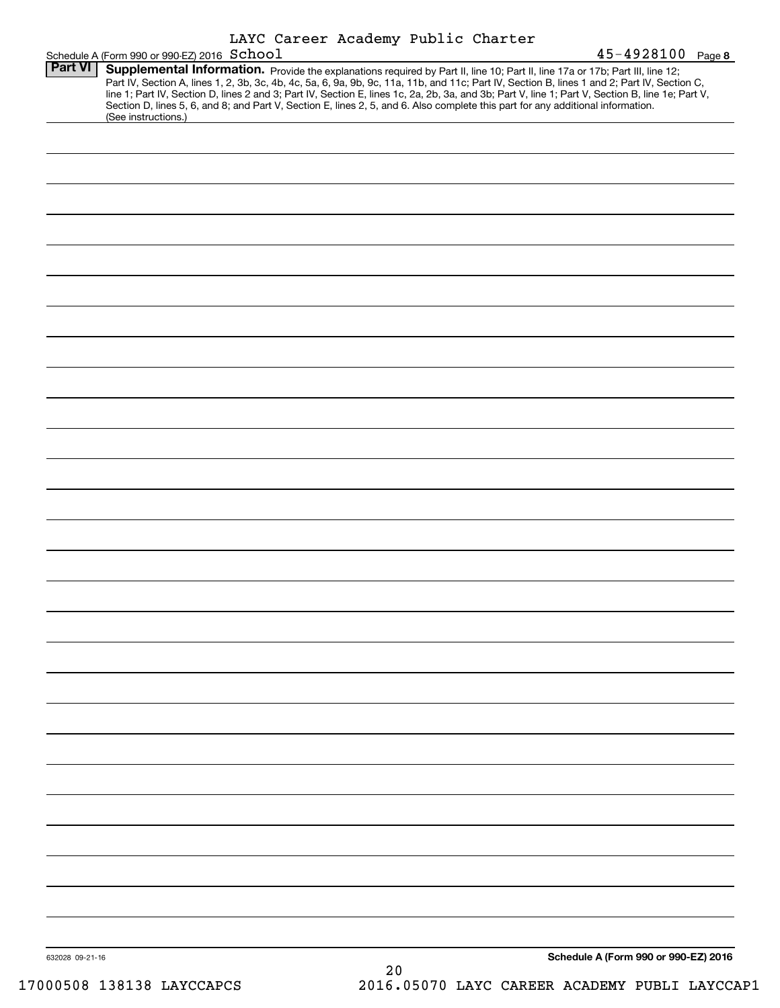|                 |                                             | LAYC Career Academy Public Charter                                                                                                                                                                                                                                                                                                                                                                                                                                                                                                                                   |    |                                      |
|-----------------|---------------------------------------------|----------------------------------------------------------------------------------------------------------------------------------------------------------------------------------------------------------------------------------------------------------------------------------------------------------------------------------------------------------------------------------------------------------------------------------------------------------------------------------------------------------------------------------------------------------------------|----|--------------------------------------|
|                 | Schedule A (Form 990 or 990-EZ) 2016 School |                                                                                                                                                                                                                                                                                                                                                                                                                                                                                                                                                                      |    | $45 - 4928100$ Page 8                |
| <b>Part VI</b>  | (See instructions.)                         | Supplemental Information. Provide the explanations required by Part II, line 10; Part II, line 17a or 17b; Part III, line 12;<br>Part IV, Section A, lines 1, 2, 3b, 3c, 4b, 4c, 5a, 6, 9a, 9b, 9c, 11a, 11b, and 11c; Part IV, Section B, lines 1 and 2; Part IV, Section C,<br>line 1; Part IV, Section D, lines 2 and 3; Part IV, Section E, lines 1c, 2a, 2b, 3a, and 3b; Part V, line 1; Part V, Section B, line 1e; Part V,<br>Section D, lines 5, 6, and 8; and Part V, Section E, lines 2, 5, and 6. Also complete this part for any additional information. |    |                                      |
|                 |                                             |                                                                                                                                                                                                                                                                                                                                                                                                                                                                                                                                                                      |    |                                      |
|                 |                                             |                                                                                                                                                                                                                                                                                                                                                                                                                                                                                                                                                                      |    |                                      |
|                 |                                             |                                                                                                                                                                                                                                                                                                                                                                                                                                                                                                                                                                      |    |                                      |
|                 |                                             |                                                                                                                                                                                                                                                                                                                                                                                                                                                                                                                                                                      |    |                                      |
|                 |                                             |                                                                                                                                                                                                                                                                                                                                                                                                                                                                                                                                                                      |    |                                      |
|                 |                                             |                                                                                                                                                                                                                                                                                                                                                                                                                                                                                                                                                                      |    |                                      |
|                 |                                             |                                                                                                                                                                                                                                                                                                                                                                                                                                                                                                                                                                      |    |                                      |
|                 |                                             |                                                                                                                                                                                                                                                                                                                                                                                                                                                                                                                                                                      |    |                                      |
|                 |                                             |                                                                                                                                                                                                                                                                                                                                                                                                                                                                                                                                                                      |    |                                      |
|                 |                                             |                                                                                                                                                                                                                                                                                                                                                                                                                                                                                                                                                                      |    |                                      |
|                 |                                             |                                                                                                                                                                                                                                                                                                                                                                                                                                                                                                                                                                      |    |                                      |
|                 |                                             |                                                                                                                                                                                                                                                                                                                                                                                                                                                                                                                                                                      |    |                                      |
|                 |                                             |                                                                                                                                                                                                                                                                                                                                                                                                                                                                                                                                                                      |    |                                      |
|                 |                                             |                                                                                                                                                                                                                                                                                                                                                                                                                                                                                                                                                                      |    |                                      |
|                 |                                             |                                                                                                                                                                                                                                                                                                                                                                                                                                                                                                                                                                      |    |                                      |
|                 |                                             |                                                                                                                                                                                                                                                                                                                                                                                                                                                                                                                                                                      |    |                                      |
|                 |                                             |                                                                                                                                                                                                                                                                                                                                                                                                                                                                                                                                                                      |    |                                      |
|                 |                                             |                                                                                                                                                                                                                                                                                                                                                                                                                                                                                                                                                                      |    |                                      |
|                 |                                             |                                                                                                                                                                                                                                                                                                                                                                                                                                                                                                                                                                      |    |                                      |
|                 |                                             |                                                                                                                                                                                                                                                                                                                                                                                                                                                                                                                                                                      |    |                                      |
|                 |                                             |                                                                                                                                                                                                                                                                                                                                                                                                                                                                                                                                                                      |    |                                      |
|                 |                                             |                                                                                                                                                                                                                                                                                                                                                                                                                                                                                                                                                                      |    |                                      |
|                 |                                             |                                                                                                                                                                                                                                                                                                                                                                                                                                                                                                                                                                      |    |                                      |
|                 |                                             |                                                                                                                                                                                                                                                                                                                                                                                                                                                                                                                                                                      |    |                                      |
|                 |                                             |                                                                                                                                                                                                                                                                                                                                                                                                                                                                                                                                                                      |    |                                      |
|                 |                                             |                                                                                                                                                                                                                                                                                                                                                                                                                                                                                                                                                                      |    |                                      |
|                 |                                             |                                                                                                                                                                                                                                                                                                                                                                                                                                                                                                                                                                      |    |                                      |
|                 |                                             |                                                                                                                                                                                                                                                                                                                                                                                                                                                                                                                                                                      |    |                                      |
|                 |                                             |                                                                                                                                                                                                                                                                                                                                                                                                                                                                                                                                                                      |    |                                      |
| 632028 09-21-16 |                                             |                                                                                                                                                                                                                                                                                                                                                                                                                                                                                                                                                                      |    | Schedule A (Form 990 or 990-EZ) 2016 |
|                 |                                             |                                                                                                                                                                                                                                                                                                                                                                                                                                                                                                                                                                      | 20 |                                      |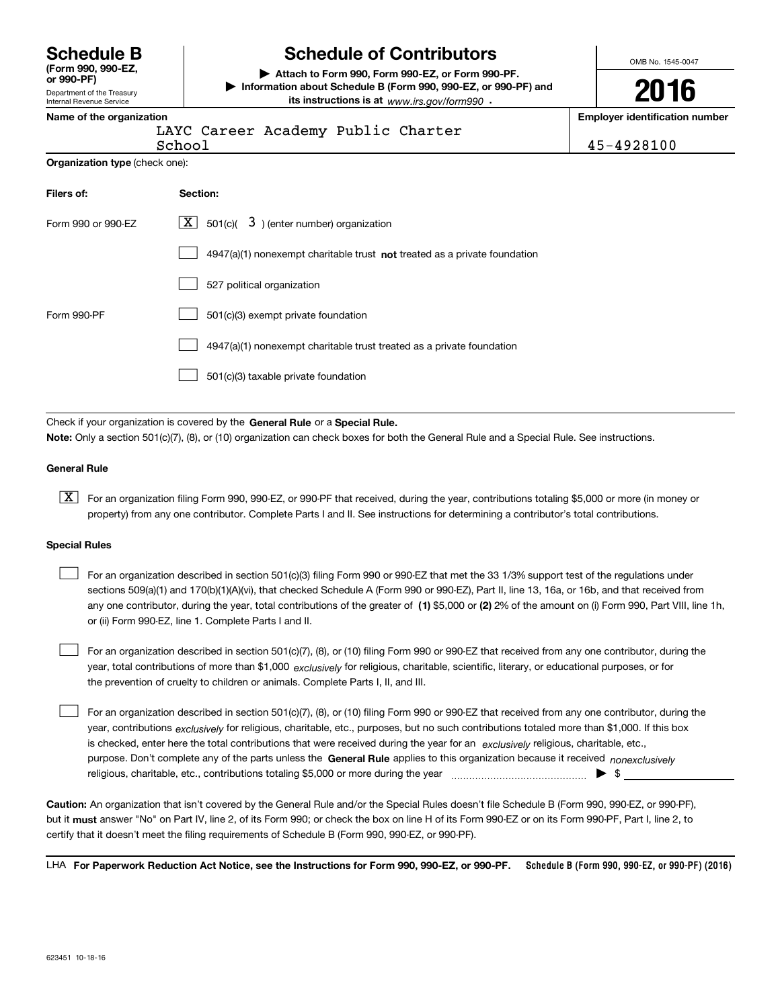| <b>Schedule B</b>  |
|--------------------|
| (Form 990, 990-EZ, |

Department of the Treasury Internal Revenue Service **or 990-PF)**

## **Schedule of Contributors**

**| Attach to Form 990, Form 990-EZ, or Form 990-PF. | Information about Schedule B (Form 990, 990-EZ, or 990-PF) and its instructions is at** www.irs.gov/form990  $\cdot$ 

OMB No. 1545-0047

**2016**

**Name of the organization Employer identification number**

School 45-4928100

|        | LAYC Career Academy Public Charter |  |
|--------|------------------------------------|--|
| School |                                    |  |

| Filers of:         | Section:                                                                  |
|--------------------|---------------------------------------------------------------------------|
| Form 990 or 990-EZ | $\lfloor x \rfloor$ 501(c)( 3) (enter number) organization                |
|                    | 4947(a)(1) nonexempt charitable trust not treated as a private foundation |
|                    | 527 political organization                                                |
| Form 990-PF        | 501(c)(3) exempt private foundation                                       |
|                    | 4947(a)(1) nonexempt charitable trust treated as a private foundation     |
|                    | 501(c)(3) taxable private foundation                                      |

Check if your organization is covered by the **General Rule** or a **Special Rule. Note:**  Only a section 501(c)(7), (8), or (10) organization can check boxes for both the General Rule and a Special Rule. See instructions.

### **General Rule**

 $\boxed{\textbf{X}}$  For an organization filing Form 990, 990-EZ, or 990-PF that received, during the year, contributions totaling \$5,000 or more (in money or property) from any one contributor. Complete Parts I and II. See instructions for determining a contributor's total contributions.

#### **Special Rules**

 $\mathcal{L}^{\text{max}}$ 

any one contributor, during the year, total contributions of the greater of  $\,$  (1) \$5,000 or (2) 2% of the amount on (i) Form 990, Part VIII, line 1h, For an organization described in section 501(c)(3) filing Form 990 or 990-EZ that met the 33 1/3% support test of the regulations under sections 509(a)(1) and 170(b)(1)(A)(vi), that checked Schedule A (Form 990 or 990-EZ), Part II, line 13, 16a, or 16b, and that received from or (ii) Form 990-EZ, line 1. Complete Parts I and II.  $\mathcal{L}^{\text{max}}$ 

year, total contributions of more than \$1,000 *exclusively* for religious, charitable, scientific, literary, or educational purposes, or for For an organization described in section 501(c)(7), (8), or (10) filing Form 990 or 990-EZ that received from any one contributor, during the the prevention of cruelty to children or animals. Complete Parts I, II, and III.  $\mathcal{L}^{\text{max}}$ 

purpose. Don't complete any of the parts unless the **General Rule** applies to this organization because it received *nonexclusively* year, contributions <sub>exclusively</sub> for religious, charitable, etc., purposes, but no such contributions totaled more than \$1,000. If this box is checked, enter here the total contributions that were received during the year for an  $\;$ exclusively religious, charitable, etc., For an organization described in section 501(c)(7), (8), or (10) filing Form 990 or 990-EZ that received from any one contributor, during the religious, charitable, etc., contributions totaling \$5,000 or more during the year  $\ldots$  $\ldots$  $\ldots$  $\ldots$  $\ldots$  $\ldots$ 

**Caution:**  An organization that isn't covered by the General Rule and/or the Special Rules doesn't file Schedule B (Form 990, 990-EZ, or 990-PF),  **must** but it answer "No" on Part IV, line 2, of its Form 990; or check the box on line H of its Form 990-EZ or on its Form 990-PF, Part I, line 2, to certify that it doesn't meet the filing requirements of Schedule B (Form 990, 990-EZ, or 990-PF).

**Schedule B (Form 990, 990-EZ, or 990-PF) (2016) For Paperwork Reduction Act Notice, see the Instructions for Form 990, 990-EZ, or 990-PF.** LHA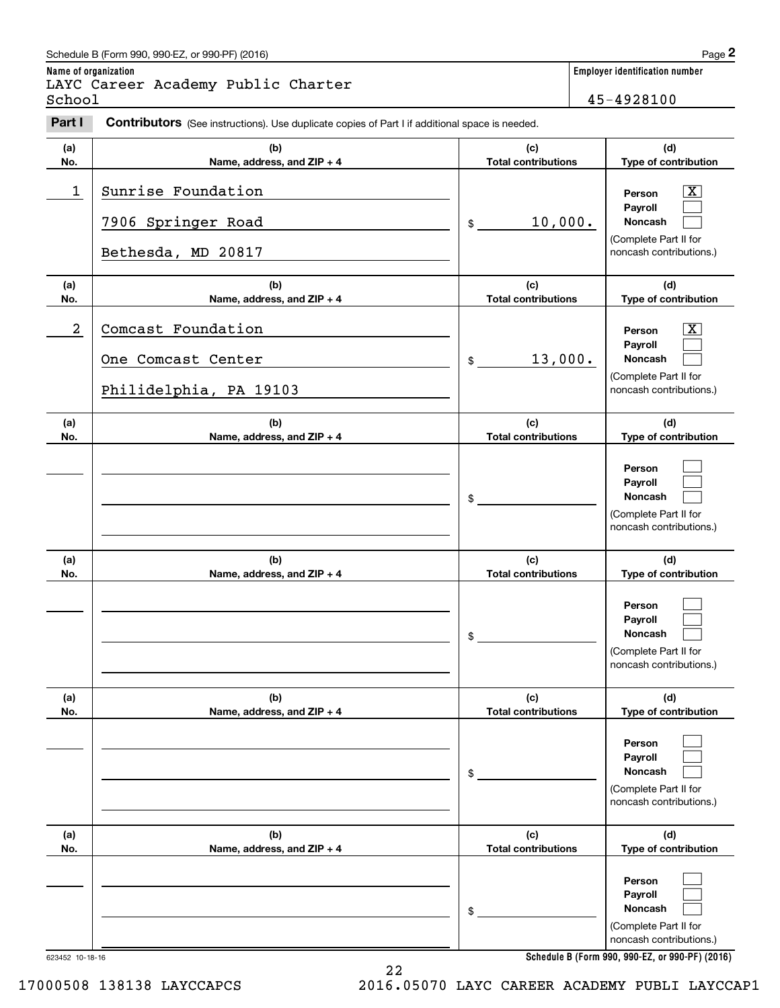| Schedule B (Form 990, 990-EZ, or 990-PF) (2016) | Page |
|-------------------------------------------------|------|
|-------------------------------------------------|------|

 $\mathcal{L}^{\text{max}}$  $\mathcal{L}^{\text{max}}$  $\mathcal{L}^{\text{max}}$ 

**(d)**

|                                | Schedule B (Form 990, 990-EZ, or 990-PF) (2016)                                                |                                   |  | Page 2                                                                                                    |
|--------------------------------|------------------------------------------------------------------------------------------------|-----------------------------------|--|-----------------------------------------------------------------------------------------------------------|
| Name of organization<br>School | LAYC Career Academy Public Charter                                                             |                                   |  | <b>Employer identification number</b><br>45-4928100                                                       |
| Part I                         | Contributors (See instructions). Use duplicate copies of Part I if additional space is needed. |                                   |  |                                                                                                           |
| (a)<br>No.                     | (b)<br>Name, address, and ZIP + 4                                                              | (c)<br><b>Total contributions</b> |  | (d)<br>Type of contribution                                                                               |
| 1                              | Sunrise Foundation<br>7906 Springer Road<br>Bethesda, MD 20817                                 | 10,000.<br>\$                     |  | $\overline{\text{X}}$<br>Person<br>Payroll<br>Noncash<br>(Complete Part II for<br>noncash contributions.) |
| (a)<br>No.                     | (b)<br>Name, address, and ZIP + 4                                                              | (c)<br><b>Total contributions</b> |  |                                                                                                           |
| $\boldsymbol{2}$               | Comcast Foundation<br>One Comcast Center<br>Philidelphia, PA 19103                             | 13,000.<br>\$                     |  | $\overline{\text{X}}$<br>Person<br>Payroll<br>Noncash<br>(Complete Part II for<br>noncash contributions.) |
| (a)<br>No.                     | (b)<br>Name, address, and ZIP + 4                                                              | (c)<br><b>Total contributions</b> |  | (d)<br>Type of contribution                                                                               |
|                                |                                                                                                | \$                                |  | Person<br>Payroll<br>Noncash<br>(Complete Part II for<br>noncash contributions.)                          |
| (a)<br>No.                     | (b)<br>Name, address, and ZIP + 4                                                              | (c)<br><b>Total contributions</b> |  | (d)<br>Type of contribution                                                                               |
|                                |                                                                                                | \$                                |  | Person<br>Payroll<br>Noncash<br>(Complete Part II for<br>noncash contributions.)                          |
| (a)<br>No.                     | (b)<br>Name, address, and ZIP + 4                                                              | (c)<br><b>Total contributions</b> |  | (d)<br>Type of contribution                                                                               |
|                                |                                                                                                | \$                                |  | Person<br>Payroll<br>Noncash<br>(Complete Part II for<br>noncash contributions.)                          |

**PersonPayrollNoncash Name, address, and ZIP + 4 (c) Total contributions Type of contribution Person**(Complete Part II for noncash contributions.)

\$

**Schedule B (Form 990, 990-EZ, or 990-PF) (2016)**

**PayrollNoncash**

(Complete Part II for noncash contributions.)

623452 10-18-16

**(a) No.**

17000508 138138 LAYCCAPCS 2016.05070 LAYC CAREER ACADEMY PUBLI LAYCCAP1

22

**(b)**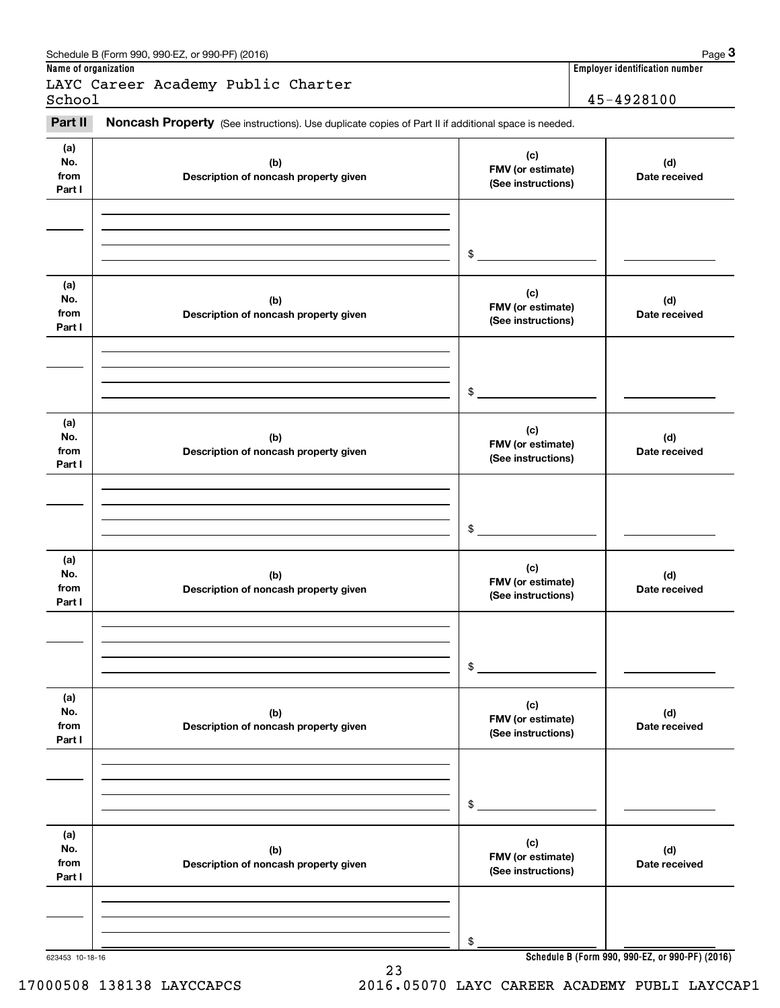|                              | Schedule B (Form 990, 990-EZ, or 990-PF) (2016)                                                     |                                                | Page 3                                          |
|------------------------------|-----------------------------------------------------------------------------------------------------|------------------------------------------------|-------------------------------------------------|
| Name of organization         |                                                                                                     |                                                | Employer identification number                  |
| School                       | LAYC Career Academy Public Charter                                                                  |                                                | 45-4928100                                      |
|                              |                                                                                                     |                                                |                                                 |
| Part II                      | Noncash Property (See instructions). Use duplicate copies of Part II if additional space is needed. |                                                |                                                 |
| (a)<br>No.<br>from<br>Part I | (b)<br>Description of noncash property given                                                        | (c)<br>FMV (or estimate)<br>(See instructions) | (d)<br>Date received                            |
|                              |                                                                                                     |                                                |                                                 |
|                              |                                                                                                     | \$                                             |                                                 |
| (a)<br>No.<br>from<br>Part I | (b)<br>Description of noncash property given                                                        | (c)<br>FMV (or estimate)<br>(See instructions) | (d)<br>Date received                            |
|                              |                                                                                                     | \$                                             |                                                 |
| (a)<br>No.<br>from<br>Part I | (b)<br>Description of noncash property given                                                        | (c)<br>FMV (or estimate)<br>(See instructions) | (d)<br>Date received                            |
|                              |                                                                                                     | \$                                             |                                                 |
| (a)<br>No.<br>from<br>Part I | (b)<br>Description of noncash property given                                                        | (c)<br>FMV (or estimate)<br>(See instructions) | (d)<br>Date received                            |
|                              |                                                                                                     | \$                                             |                                                 |
| (a)<br>No.<br>from<br>Part I | (b)<br>Description of noncash property given                                                        | (c)<br>FMV (or estimate)<br>(See instructions) | (d)<br>Date received                            |
|                              |                                                                                                     | \$                                             |                                                 |
| (a)<br>No.<br>from<br>Part I | (b)<br>Description of noncash property given                                                        | (c)<br>FMV (or estimate)<br>(See instructions) | (d)<br>Date received                            |
|                              |                                                                                                     | \$                                             |                                                 |
| 623453 10-18-16              |                                                                                                     |                                                | Schedule B (Form 990, 990-EZ, or 990-PF) (2016) |

23

17000508 138138 LAYCCAPCS 2016.05070 LAYC CAREER ACADEMY PUBLI LAYCCAP1

**Schedule B (Form 990, 990-EZ, or 990-PF) (2016)**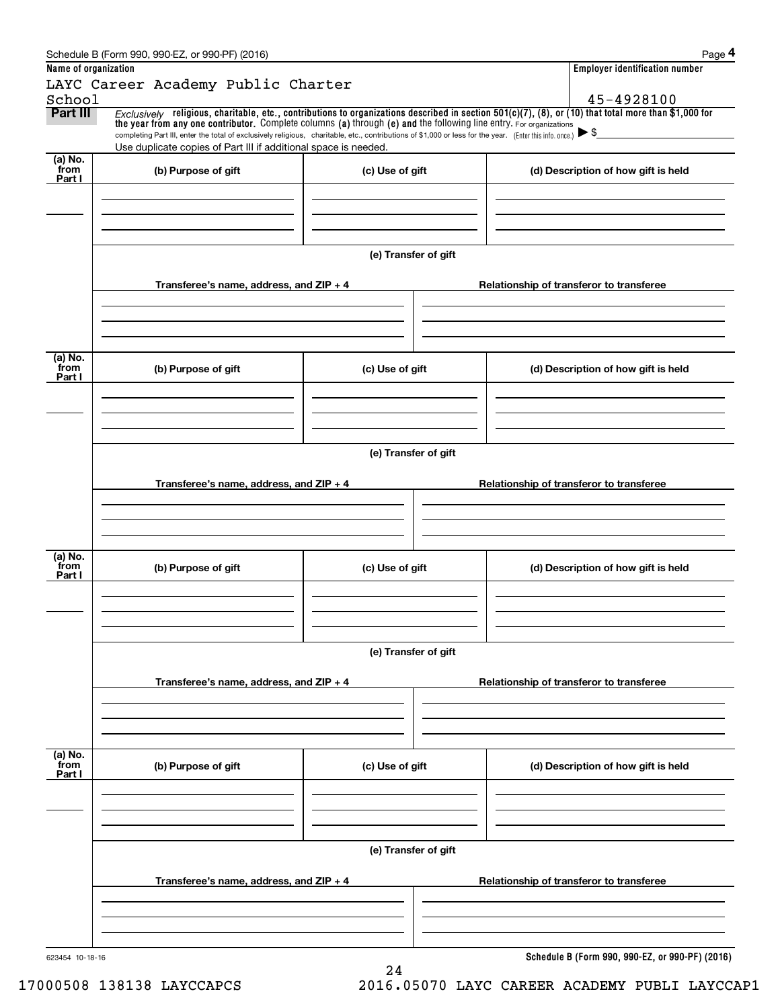|                      | Schedule B (Form 990, 990-EZ, or 990-PF) (2016)                                                                                                                                                                                                                                 |                 |                                          | Page 4                                          |  |  |  |  |
|----------------------|---------------------------------------------------------------------------------------------------------------------------------------------------------------------------------------------------------------------------------------------------------------------------------|-----------------|------------------------------------------|-------------------------------------------------|--|--|--|--|
| Name of organization |                                                                                                                                                                                                                                                                                 |                 |                                          | <b>Employer identification number</b>           |  |  |  |  |
|                      | LAYC Career Academy Public Charter                                                                                                                                                                                                                                              |                 |                                          |                                                 |  |  |  |  |
| School               |                                                                                                                                                                                                                                                                                 |                 |                                          | 45-4928100                                      |  |  |  |  |
| Part III             | Exclusively religious, charitable, etc., contributions to organizations described in section $501(c)(7)$ , (8), or (10) that total more than \$1,000 for<br>the year from any one contributor. Complete columns (a) through (e) and the following line entry. For organizations |                 |                                          |                                                 |  |  |  |  |
|                      | completing Part III, enter the total of exclusively religious, charitable, etc., contributions of \$1,000 or less for the year. (Enter this info. once.) $\blacktriangleright$ \$                                                                                               |                 |                                          |                                                 |  |  |  |  |
| (a) No.              | Use duplicate copies of Part III if additional space is needed.                                                                                                                                                                                                                 |                 |                                          |                                                 |  |  |  |  |
| from<br>Part I       | (b) Purpose of gift                                                                                                                                                                                                                                                             | (c) Use of gift |                                          | (d) Description of how gift is held             |  |  |  |  |
|                      |                                                                                                                                                                                                                                                                                 |                 |                                          |                                                 |  |  |  |  |
|                      |                                                                                                                                                                                                                                                                                 |                 |                                          |                                                 |  |  |  |  |
|                      |                                                                                                                                                                                                                                                                                 |                 |                                          |                                                 |  |  |  |  |
|                      |                                                                                                                                                                                                                                                                                 |                 |                                          |                                                 |  |  |  |  |
|                      | (e) Transfer of gift                                                                                                                                                                                                                                                            |                 |                                          |                                                 |  |  |  |  |
|                      |                                                                                                                                                                                                                                                                                 |                 |                                          |                                                 |  |  |  |  |
|                      | Transferee's name, address, and $ZIP + 4$                                                                                                                                                                                                                                       |                 | Relationship of transferor to transferee |                                                 |  |  |  |  |
|                      |                                                                                                                                                                                                                                                                                 |                 |                                          |                                                 |  |  |  |  |
|                      |                                                                                                                                                                                                                                                                                 |                 |                                          |                                                 |  |  |  |  |
|                      |                                                                                                                                                                                                                                                                                 |                 |                                          |                                                 |  |  |  |  |
| (a) No.              |                                                                                                                                                                                                                                                                                 |                 |                                          |                                                 |  |  |  |  |
| from<br>Part I       | (b) Purpose of gift                                                                                                                                                                                                                                                             | (c) Use of gift |                                          | (d) Description of how gift is held             |  |  |  |  |
|                      |                                                                                                                                                                                                                                                                                 |                 |                                          |                                                 |  |  |  |  |
|                      |                                                                                                                                                                                                                                                                                 |                 |                                          |                                                 |  |  |  |  |
|                      |                                                                                                                                                                                                                                                                                 |                 |                                          |                                                 |  |  |  |  |
|                      |                                                                                                                                                                                                                                                                                 |                 |                                          |                                                 |  |  |  |  |
|                      | (e) Transfer of gift                                                                                                                                                                                                                                                            |                 |                                          |                                                 |  |  |  |  |
|                      | Transferee's name, address, and $ZIP + 4$                                                                                                                                                                                                                                       |                 | Relationship of transferor to transferee |                                                 |  |  |  |  |
|                      |                                                                                                                                                                                                                                                                                 |                 |                                          |                                                 |  |  |  |  |
|                      |                                                                                                                                                                                                                                                                                 |                 |                                          |                                                 |  |  |  |  |
|                      |                                                                                                                                                                                                                                                                                 |                 |                                          |                                                 |  |  |  |  |
| (a) No.              |                                                                                                                                                                                                                                                                                 |                 |                                          |                                                 |  |  |  |  |
| from<br>Part I       | (b) Purpose of gift                                                                                                                                                                                                                                                             | (c) Use of gift |                                          | (d) Description of how gift is held             |  |  |  |  |
|                      |                                                                                                                                                                                                                                                                                 |                 |                                          |                                                 |  |  |  |  |
|                      |                                                                                                                                                                                                                                                                                 |                 |                                          |                                                 |  |  |  |  |
|                      |                                                                                                                                                                                                                                                                                 |                 |                                          |                                                 |  |  |  |  |
|                      |                                                                                                                                                                                                                                                                                 |                 |                                          |                                                 |  |  |  |  |
|                      | (e) Transfer of gift                                                                                                                                                                                                                                                            |                 |                                          |                                                 |  |  |  |  |
|                      |                                                                                                                                                                                                                                                                                 |                 |                                          |                                                 |  |  |  |  |
|                      | Transferee's name, address, and $ZIP + 4$                                                                                                                                                                                                                                       |                 |                                          | Relationship of transferor to transferee        |  |  |  |  |
|                      |                                                                                                                                                                                                                                                                                 |                 |                                          |                                                 |  |  |  |  |
|                      |                                                                                                                                                                                                                                                                                 |                 |                                          |                                                 |  |  |  |  |
|                      |                                                                                                                                                                                                                                                                                 |                 |                                          |                                                 |  |  |  |  |
| (a) No.<br>from      | (b) Purpose of gift                                                                                                                                                                                                                                                             | (c) Use of gift |                                          | (d) Description of how gift is held             |  |  |  |  |
| Part I               |                                                                                                                                                                                                                                                                                 |                 |                                          |                                                 |  |  |  |  |
|                      |                                                                                                                                                                                                                                                                                 |                 |                                          |                                                 |  |  |  |  |
|                      |                                                                                                                                                                                                                                                                                 |                 |                                          |                                                 |  |  |  |  |
|                      |                                                                                                                                                                                                                                                                                 |                 |                                          |                                                 |  |  |  |  |
|                      | (e) Transfer of gift                                                                                                                                                                                                                                                            |                 |                                          |                                                 |  |  |  |  |
|                      |                                                                                                                                                                                                                                                                                 |                 |                                          |                                                 |  |  |  |  |
|                      | Transferee's name, address, and $ZIP + 4$                                                                                                                                                                                                                                       |                 |                                          | Relationship of transferor to transferee        |  |  |  |  |
|                      |                                                                                                                                                                                                                                                                                 |                 |                                          |                                                 |  |  |  |  |
|                      |                                                                                                                                                                                                                                                                                 |                 |                                          |                                                 |  |  |  |  |
|                      |                                                                                                                                                                                                                                                                                 |                 |                                          |                                                 |  |  |  |  |
| 623454 10-18-16      |                                                                                                                                                                                                                                                                                 |                 |                                          | Schedule B (Form 990, 990-EZ, or 990-PF) (2016) |  |  |  |  |
|                      |                                                                                                                                                                                                                                                                                 | 24              |                                          |                                                 |  |  |  |  |

17000508 138138 LAYCCAPCS 2016.05070 LAYC CAREER ACADEMY PUBLI LAYCCAP1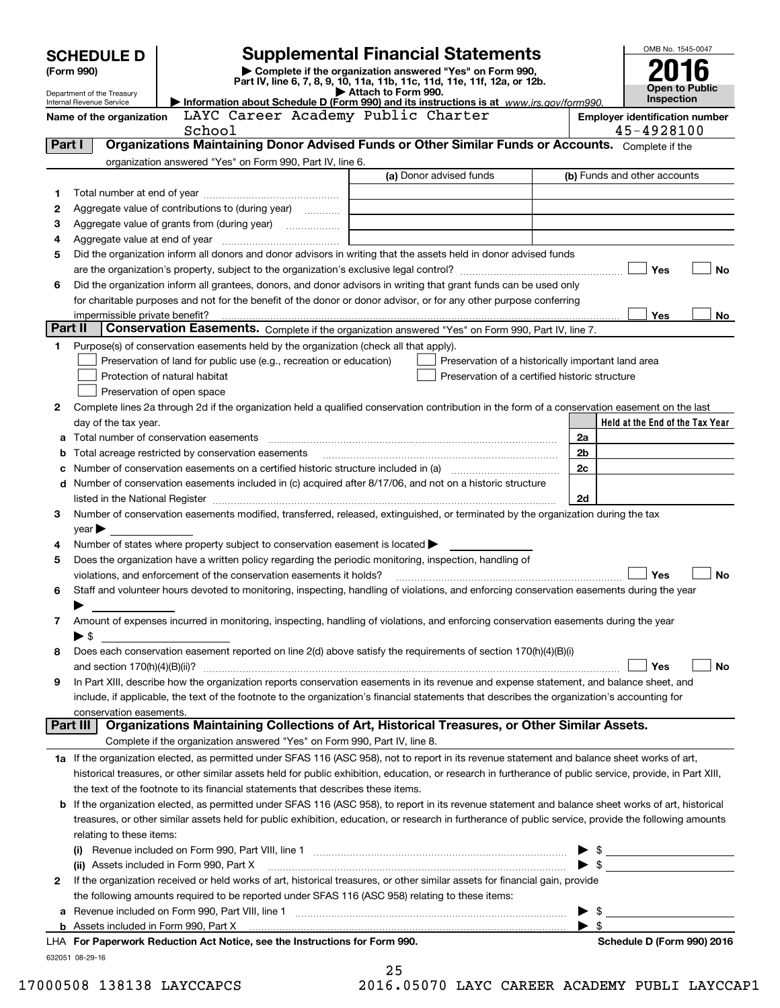|         | <b>SCHEDULE D</b>                                                                                                      |  |  |                                                                                  |  | <b>Supplemental Financial Statements</b>                                                                                                                                                                                                                                                                                                                          |  |                                                     | OMB No. 1545-0047               |
|---------|------------------------------------------------------------------------------------------------------------------------|--|--|----------------------------------------------------------------------------------|--|-------------------------------------------------------------------------------------------------------------------------------------------------------------------------------------------------------------------------------------------------------------------------------------------------------------------------------------------------------------------|--|-----------------------------------------------------|---------------------------------|
|         | Complete if the organization answered "Yes" on Form 990,<br>(Form 990)                                                 |  |  |                                                                                  |  |                                                                                                                                                                                                                                                                                                                                                                   |  |                                                     |                                 |
|         | Department of the Treasury                                                                                             |  |  |                                                                                  |  | Part IV, line 6, 7, 8, 9, 10, 11a, 11b, 11c, 11d, 11e, 11f, 12a, or 12b.<br>Attach to Form 990.                                                                                                                                                                                                                                                                   |  |                                                     | Open to Public                  |
|         | Information about Schedule D (Form 990) and its instructions is at $www.irs.gov/form990$ .<br>Internal Revenue Service |  |  |                                                                                  |  |                                                                                                                                                                                                                                                                                                                                                                   |  | Inspection                                          |                                 |
|         | LAYC Career Academy Public Charter<br>Name of the organization<br>School                                               |  |  |                                                                                  |  |                                                                                                                                                                                                                                                                                                                                                                   |  | <b>Employer identification number</b><br>45-4928100 |                                 |
| Part I  |                                                                                                                        |  |  |                                                                                  |  | Organizations Maintaining Donor Advised Funds or Other Similar Funds or Accounts. Complete if the                                                                                                                                                                                                                                                                 |  |                                                     |                                 |
|         |                                                                                                                        |  |  | organization answered "Yes" on Form 990, Part IV, line 6.                        |  |                                                                                                                                                                                                                                                                                                                                                                   |  |                                                     |                                 |
|         |                                                                                                                        |  |  |                                                                                  |  | (a) Donor advised funds                                                                                                                                                                                                                                                                                                                                           |  |                                                     | (b) Funds and other accounts    |
| 1.      |                                                                                                                        |  |  |                                                                                  |  |                                                                                                                                                                                                                                                                                                                                                                   |  |                                                     |                                 |
| 2       |                                                                                                                        |  |  | Aggregate value of contributions to (during year)                                |  |                                                                                                                                                                                                                                                                                                                                                                   |  |                                                     |                                 |
| З       |                                                                                                                        |  |  |                                                                                  |  |                                                                                                                                                                                                                                                                                                                                                                   |  |                                                     |                                 |
| 4       |                                                                                                                        |  |  |                                                                                  |  |                                                                                                                                                                                                                                                                                                                                                                   |  |                                                     |                                 |
| 5       |                                                                                                                        |  |  |                                                                                  |  | Did the organization inform all donors and donor advisors in writing that the assets held in donor advised funds                                                                                                                                                                                                                                                  |  |                                                     |                                 |
| 6       |                                                                                                                        |  |  |                                                                                  |  | Did the organization inform all grantees, donors, and donor advisors in writing that grant funds can be used only                                                                                                                                                                                                                                                 |  |                                                     | Yes<br>No                       |
|         |                                                                                                                        |  |  |                                                                                  |  | for charitable purposes and not for the benefit of the donor or donor advisor, or for any other purpose conferring                                                                                                                                                                                                                                                |  |                                                     |                                 |
|         |                                                                                                                        |  |  |                                                                                  |  |                                                                                                                                                                                                                                                                                                                                                                   |  |                                                     | Yes<br>No                       |
| Part II |                                                                                                                        |  |  |                                                                                  |  | Conservation Easements. Complete if the organization answered "Yes" on Form 990, Part IV, line 7.                                                                                                                                                                                                                                                                 |  |                                                     |                                 |
| 1       |                                                                                                                        |  |  |                                                                                  |  | Purpose(s) of conservation easements held by the organization (check all that apply).                                                                                                                                                                                                                                                                             |  |                                                     |                                 |
|         |                                                                                                                        |  |  | Preservation of land for public use (e.g., recreation or education)              |  | Preservation of a historically important land area                                                                                                                                                                                                                                                                                                                |  |                                                     |                                 |
|         | Protection of natural habitat                                                                                          |  |  |                                                                                  |  | Preservation of a certified historic structure                                                                                                                                                                                                                                                                                                                    |  |                                                     |                                 |
|         | Preservation of open space                                                                                             |  |  |                                                                                  |  |                                                                                                                                                                                                                                                                                                                                                                   |  |                                                     |                                 |
| 2       |                                                                                                                        |  |  |                                                                                  |  | Complete lines 2a through 2d if the organization held a qualified conservation contribution in the form of a conservation easement on the last                                                                                                                                                                                                                    |  |                                                     |                                 |
|         | day of the tax year.                                                                                                   |  |  |                                                                                  |  |                                                                                                                                                                                                                                                                                                                                                                   |  |                                                     | Held at the End of the Tax Year |
|         |                                                                                                                        |  |  |                                                                                  |  | a Total number of conservation easements [11] matter consumer conservation of the state of conservation easements                                                                                                                                                                                                                                                 |  | 2a                                                  |                                 |
| b       | Total acreage restricted by conservation easements                                                                     |  |  |                                                                                  |  |                                                                                                                                                                                                                                                                                                                                                                   |  | 2 <sub>b</sub>                                      |                                 |
| c       |                                                                                                                        |  |  |                                                                                  |  | Number of conservation easements on a certified historic structure included in (a) manufacture included in (a)                                                                                                                                                                                                                                                    |  | 2c                                                  |                                 |
|         |                                                                                                                        |  |  |                                                                                  |  | d Number of conservation easements included in (c) acquired after 8/17/06, and not on a historic structure                                                                                                                                                                                                                                                        |  |                                                     |                                 |
| 3       |                                                                                                                        |  |  |                                                                                  |  | listed in the National Register [11, 1200] [12] The National Register [11, 1200] [12] The National Register [11, 1200] [12] The National Register [11, 1200] [12] The National Register [11, 1200] [12] The National Register<br>Number of conservation easements modified, transferred, released, extinguished, or terminated by the organization during the tax |  | 2d                                                  |                                 |
|         | $\mathsf{year}$                                                                                                        |  |  |                                                                                  |  |                                                                                                                                                                                                                                                                                                                                                                   |  |                                                     |                                 |
| 4       |                                                                                                                        |  |  | Number of states where property subject to conservation easement is located >    |  |                                                                                                                                                                                                                                                                                                                                                                   |  |                                                     |                                 |
| 5       |                                                                                                                        |  |  |                                                                                  |  | Does the organization have a written policy regarding the periodic monitoring, inspection, handling of                                                                                                                                                                                                                                                            |  |                                                     |                                 |
|         |                                                                                                                        |  |  | violations, and enforcement of the conservation easements it holds?              |  |                                                                                                                                                                                                                                                                                                                                                                   |  |                                                     | Yes<br>No                       |
| 6       |                                                                                                                        |  |  |                                                                                  |  | Staff and volunteer hours devoted to monitoring, inspecting, handling of violations, and enforcing conservation easements during the year                                                                                                                                                                                                                         |  |                                                     |                                 |
|         |                                                                                                                        |  |  |                                                                                  |  |                                                                                                                                                                                                                                                                                                                                                                   |  |                                                     |                                 |
| 7       |                                                                                                                        |  |  |                                                                                  |  | Amount of expenses incurred in monitoring, inspecting, handling of violations, and enforcing conservation easements during the year                                                                                                                                                                                                                               |  |                                                     |                                 |
|         | $\blacktriangleright$ \$                                                                                               |  |  |                                                                                  |  |                                                                                                                                                                                                                                                                                                                                                                   |  |                                                     |                                 |
| 8       |                                                                                                                        |  |  |                                                                                  |  | Does each conservation easement reported on line 2(d) above satisfy the requirements of section 170(h)(4)(B)(i)                                                                                                                                                                                                                                                   |  |                                                     |                                 |
|         |                                                                                                                        |  |  |                                                                                  |  |                                                                                                                                                                                                                                                                                                                                                                   |  |                                                     | Yes<br>No                       |
| 9       |                                                                                                                        |  |  |                                                                                  |  | In Part XIII, describe how the organization reports conservation easements in its revenue and expense statement, and balance sheet, and                                                                                                                                                                                                                           |  |                                                     |                                 |
|         |                                                                                                                        |  |  |                                                                                  |  | include, if applicable, the text of the footnote to the organization's financial statements that describes the organization's accounting for                                                                                                                                                                                                                      |  |                                                     |                                 |
|         | conservation easements.<br>Part III                                                                                    |  |  |                                                                                  |  | Organizations Maintaining Collections of Art, Historical Treasures, or Other Similar Assets.                                                                                                                                                                                                                                                                      |  |                                                     |                                 |
|         |                                                                                                                        |  |  | Complete if the organization answered "Yes" on Form 990, Part IV, line 8.        |  |                                                                                                                                                                                                                                                                                                                                                                   |  |                                                     |                                 |
|         |                                                                                                                        |  |  |                                                                                  |  | 1a If the organization elected, as permitted under SFAS 116 (ASC 958), not to report in its revenue statement and balance sheet works of art,                                                                                                                                                                                                                     |  |                                                     |                                 |
|         |                                                                                                                        |  |  |                                                                                  |  | historical treasures, or other similar assets held for public exhibition, education, or research in furtherance of public service, provide, in Part XIII,                                                                                                                                                                                                         |  |                                                     |                                 |
|         |                                                                                                                        |  |  | the text of the footnote to its financial statements that describes these items. |  |                                                                                                                                                                                                                                                                                                                                                                   |  |                                                     |                                 |
|         |                                                                                                                        |  |  |                                                                                  |  | <b>b</b> If the organization elected, as permitted under SFAS 116 (ASC 958), to report in its revenue statement and balance sheet works of art, historical                                                                                                                                                                                                        |  |                                                     |                                 |
|         |                                                                                                                        |  |  |                                                                                  |  | treasures, or other similar assets held for public exhibition, education, or research in furtherance of public service, provide the following amounts                                                                                                                                                                                                             |  |                                                     |                                 |
|         | relating to these items:                                                                                               |  |  |                                                                                  |  |                                                                                                                                                                                                                                                                                                                                                                   |  |                                                     |                                 |
|         |                                                                                                                        |  |  |                                                                                  |  | (i) Revenue included on Form 990, Part VIII, line 1 <b>manually contained</b> in the incrementation of the second on Form 990, Part VIII, line 1                                                                                                                                                                                                                  |  |                                                     | $\frac{1}{2}$                   |
|         | (ii) Assets included in Form 990, Part X                                                                               |  |  |                                                                                  |  |                                                                                                                                                                                                                                                                                                                                                                   |  |                                                     |                                 |
| 2       |                                                                                                                        |  |  |                                                                                  |  | If the organization received or held works of art, historical treasures, or other similar assets for financial gain, provide                                                                                                                                                                                                                                      |  |                                                     |                                 |
|         |                                                                                                                        |  |  |                                                                                  |  | the following amounts required to be reported under SFAS 116 (ASC 958) relating to these items:                                                                                                                                                                                                                                                                   |  |                                                     |                                 |
| a       |                                                                                                                        |  |  |                                                                                  |  |                                                                                                                                                                                                                                                                                                                                                                   |  | -\$<br>▶                                            |                                 |
|         |                                                                                                                        |  |  |                                                                                  |  |                                                                                                                                                                                                                                                                                                                                                                   |  | $\blacktriangleright$ s                             |                                 |
|         |                                                                                                                        |  |  | LHA For Paperwork Reduction Act Notice, see the Instructions for Form 990.       |  |                                                                                                                                                                                                                                                                                                                                                                   |  |                                                     | Schedule D (Form 990) 2016      |
|         | 632051 08-29-16                                                                                                        |  |  |                                                                                  |  | つに                                                                                                                                                                                                                                                                                                                                                                |  |                                                     |                                 |

|   | 2 J |              |  |  |
|---|-----|--------------|--|--|
| 1 |     | <b>05070</b> |  |  |

17000508 138138 LAYCCAPCS 2016.05070 LAYC CAREER ACADEMY PUBLI LAYCCAP1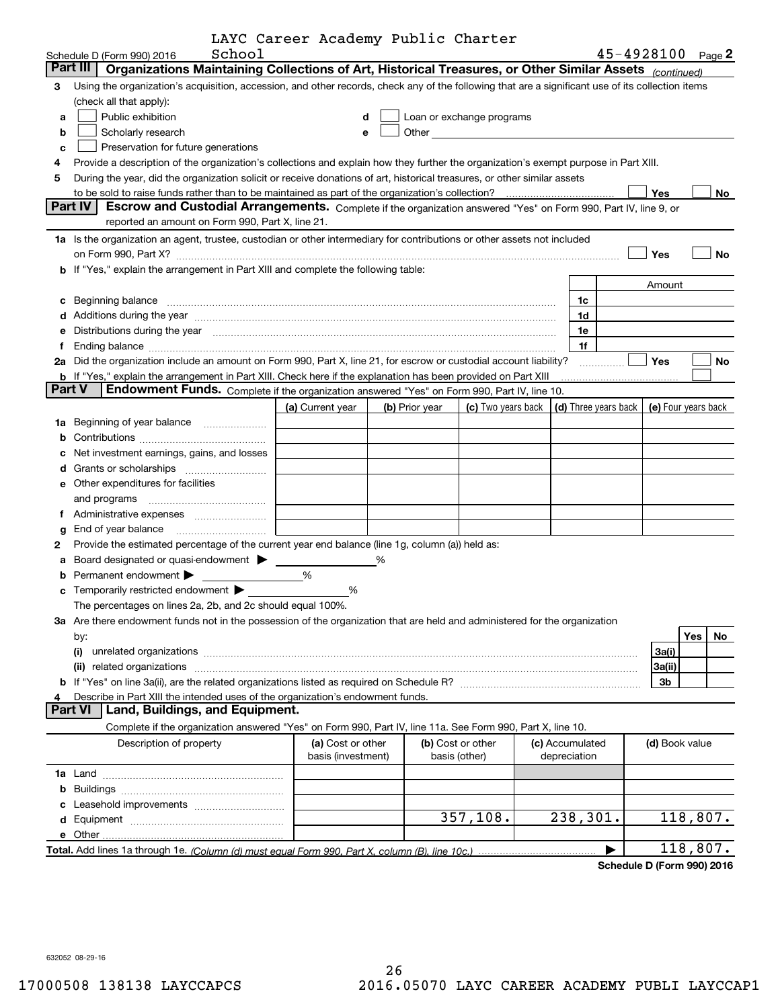|               |                                                                                                                                                                                                                                | LAYC Career Academy Public Charter           |   |                |                                    |  |                                 |  |                     |                   |
|---------------|--------------------------------------------------------------------------------------------------------------------------------------------------------------------------------------------------------------------------------|----------------------------------------------|---|----------------|------------------------------------|--|---------------------------------|--|---------------------|-------------------|
|               | School<br>Schedule D (Form 990) 2016                                                                                                                                                                                           |                                              |   |                |                                    |  |                                 |  |                     | 45-4928100 Page 2 |
|               | Part III<br>Organizations Maintaining Collections of Art, Historical Treasures, or Other Similar Assets (continued)                                                                                                            |                                              |   |                |                                    |  |                                 |  |                     |                   |
| 3             | Using the organization's acquisition, accession, and other records, check any of the following that are a significant use of its collection items                                                                              |                                              |   |                |                                    |  |                                 |  |                     |                   |
|               | (check all that apply):                                                                                                                                                                                                        |                                              |   |                |                                    |  |                                 |  |                     |                   |
| a             | Public exhibition                                                                                                                                                                                                              | d                                            |   |                | Loan or exchange programs          |  |                                 |  |                     |                   |
| b             | Scholarly research                                                                                                                                                                                                             | e                                            |   |                |                                    |  |                                 |  |                     |                   |
| c             | Preservation for future generations                                                                                                                                                                                            |                                              |   |                |                                    |  |                                 |  |                     |                   |
| 4             | Provide a description of the organization's collections and explain how they further the organization's exempt purpose in Part XIII.                                                                                           |                                              |   |                |                                    |  |                                 |  |                     |                   |
| 5             | During the year, did the organization solicit or receive donations of art, historical treasures, or other similar assets                                                                                                       |                                              |   |                |                                    |  |                                 |  |                     |                   |
|               |                                                                                                                                                                                                                                |                                              |   |                |                                    |  |                                 |  | <b>Yes</b>          | No                |
|               | Part IV<br>Escrow and Custodial Arrangements. Complete if the organization answered "Yes" on Form 990, Part IV, line 9, or                                                                                                     |                                              |   |                |                                    |  |                                 |  |                     |                   |
|               | reported an amount on Form 990, Part X, line 21.                                                                                                                                                                               |                                              |   |                |                                    |  |                                 |  |                     |                   |
|               | 1a Is the organization an agent, trustee, custodian or other intermediary for contributions or other assets not included                                                                                                       |                                              |   |                |                                    |  |                                 |  |                     |                   |
|               | on Form 990, Part X? [11] The Content of The Content of The Content of The Content of The Content of The Content of The Content of The Content of The Content of The Content of The Content of The Content of The Content of T |                                              |   |                |                                    |  |                                 |  | Yes                 | No                |
|               | <b>b</b> If "Yes," explain the arrangement in Part XIII and complete the following table:                                                                                                                                      |                                              |   |                |                                    |  |                                 |  |                     |                   |
|               |                                                                                                                                                                                                                                |                                              |   |                |                                    |  |                                 |  | Amount              |                   |
|               | c Beginning balance measurements and the contract of the contract of the contract of the contract of the contract of the contract of the contract of the contract of the contract of the contract of the contract of the contr |                                              |   |                |                                    |  | 1c                              |  |                     |                   |
|               | d Additions during the year measurements are also contained a state of the year measurement of the year measurement of the state of the state of the state of the state of the state of the state of the state of the state of |                                              |   |                |                                    |  | 1d                              |  |                     |                   |
|               | e Distributions during the year manufactured and continuum and contract the year manufactured and contract the                                                                                                                 |                                              |   |                |                                    |  | 1e<br>1f                        |  |                     |                   |
| f             | 2a Did the organization include an amount on Form 990, Part X, line 21, for escrow or custodial account liability?                                                                                                             |                                              |   |                |                                    |  |                                 |  | <b>Yes</b>          | No                |
|               | <b>b</b> If "Yes," explain the arrangement in Part XIII. Check here if the explanation has been provided on Part XIII                                                                                                          |                                              |   |                |                                    |  |                                 |  |                     |                   |
| <b>Part V</b> | Endowment Funds. Complete if the organization answered "Yes" on Form 990, Part IV, line 10.                                                                                                                                    |                                              |   |                |                                    |  |                                 |  |                     |                   |
|               |                                                                                                                                                                                                                                | (a) Current year                             |   | (b) Prior year | (c) Two years back                 |  | (d) Three years back            |  | (e) Four years back |                   |
|               | 1a Beginning of year balance                                                                                                                                                                                                   | <u> 1999 - John Barnett, f</u>               |   |                |                                    |  |                                 |  |                     |                   |
|               |                                                                                                                                                                                                                                |                                              |   |                |                                    |  |                                 |  |                     |                   |
|               | c Net investment earnings, gains, and losses                                                                                                                                                                                   |                                              |   |                |                                    |  |                                 |  |                     |                   |
|               |                                                                                                                                                                                                                                |                                              |   |                |                                    |  |                                 |  |                     |                   |
|               | <b>e</b> Other expenditures for facilities                                                                                                                                                                                     |                                              |   |                |                                    |  |                                 |  |                     |                   |
|               | and programs                                                                                                                                                                                                                   |                                              |   |                |                                    |  |                                 |  |                     |                   |
|               |                                                                                                                                                                                                                                | the control of the control of the control of |   |                |                                    |  |                                 |  |                     |                   |
|               | End of year balance                                                                                                                                                                                                            |                                              |   |                |                                    |  |                                 |  |                     |                   |
| g<br>2        | Provide the estimated percentage of the current year end balance (line 1g, column (a)) held as:                                                                                                                                |                                              |   |                |                                    |  |                                 |  |                     |                   |
|               | a Board designated or quasi-endowment > _____                                                                                                                                                                                  |                                              | % |                |                                    |  |                                 |  |                     |                   |
| b             | Permanent endowment >                                                                                                                                                                                                          | %                                            |   |                |                                    |  |                                 |  |                     |                   |
|               |                                                                                                                                                                                                                                | %                                            |   |                |                                    |  |                                 |  |                     |                   |
|               | The percentages on lines 2a, 2b, and 2c should equal 100%.                                                                                                                                                                     |                                              |   |                |                                    |  |                                 |  |                     |                   |
|               | 3a Are there endowment funds not in the possession of the organization that are held and administered for the organization                                                                                                     |                                              |   |                |                                    |  |                                 |  |                     |                   |
|               |                                                                                                                                                                                                                                |                                              |   |                |                                    |  |                                 |  |                     | Yes<br>No         |
|               | by:<br>(i)                                                                                                                                                                                                                     |                                              |   |                |                                    |  |                                 |  | 3a(i)               |                   |
|               | (ii)                                                                                                                                                                                                                           |                                              |   |                |                                    |  |                                 |  | 3a(ii)              |                   |
|               |                                                                                                                                                                                                                                |                                              |   |                |                                    |  |                                 |  | 3b                  |                   |
| 4             | Describe in Part XIII the intended uses of the organization's endowment funds.                                                                                                                                                 |                                              |   |                |                                    |  |                                 |  |                     |                   |
|               | <b>Part VI</b><br>Land, Buildings, and Equipment.                                                                                                                                                                              |                                              |   |                |                                    |  |                                 |  |                     |                   |
|               | Complete if the organization answered "Yes" on Form 990, Part IV, line 11a. See Form 990, Part X, line 10.                                                                                                                     |                                              |   |                |                                    |  |                                 |  |                     |                   |
|               | Description of property                                                                                                                                                                                                        | (a) Cost or other<br>basis (investment)      |   |                | (b) Cost or other<br>basis (other) |  | (c) Accumulated<br>depreciation |  | (d) Book value      |                   |
|               |                                                                                                                                                                                                                                |                                              |   |                |                                    |  |                                 |  |                     |                   |
|               |                                                                                                                                                                                                                                |                                              |   |                |                                    |  |                                 |  |                     |                   |
|               |                                                                                                                                                                                                                                |                                              |   |                |                                    |  |                                 |  |                     |                   |
|               |                                                                                                                                                                                                                                |                                              |   |                | 357,108.                           |  | 238, 301.                       |  |                     | 118,807.          |
|               |                                                                                                                                                                                                                                |                                              |   |                |                                    |  |                                 |  |                     |                   |
|               |                                                                                                                                                                                                                                |                                              |   |                |                                    |  |                                 |  |                     | 118,807.          |
|               |                                                                                                                                                                                                                                |                                              |   |                |                                    |  |                                 |  |                     |                   |

**Schedule D (Form 990) 2016**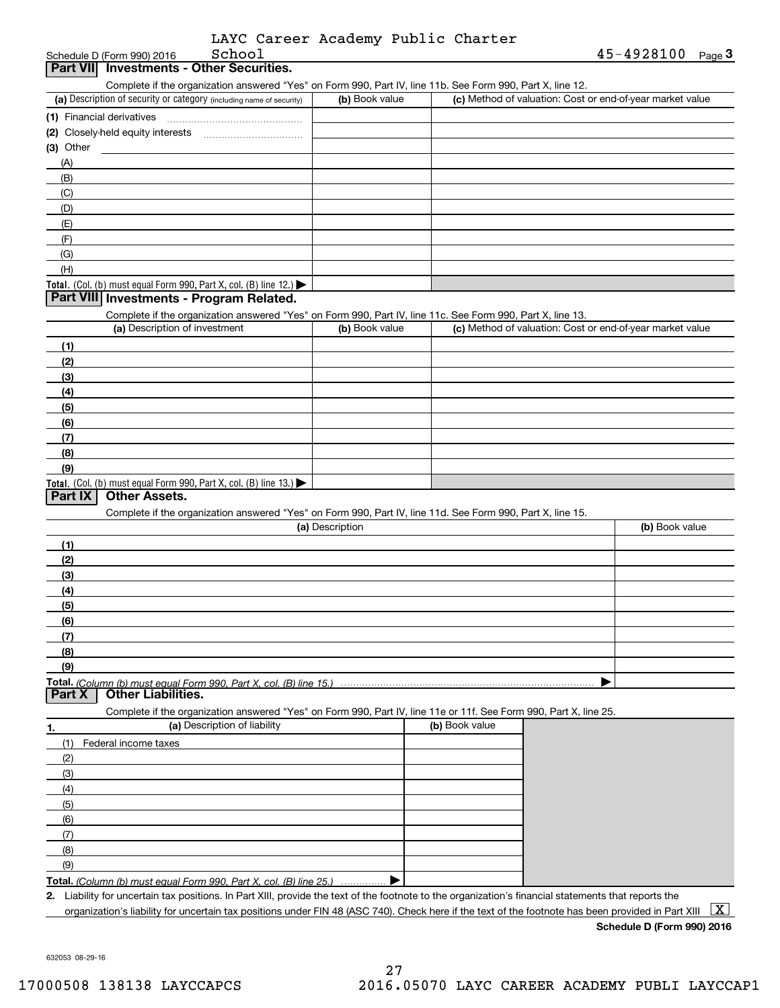|  | LAYC Career Academy Public Charter |  |
|--|------------------------------------|--|
|  |                                    |  |

|                            | School<br>Schedule D (Form 990) 2016                                                                                                              |                 |                | 45-4928100<br>$Page$ <sup>3</sup>                         |
|----------------------------|---------------------------------------------------------------------------------------------------------------------------------------------------|-----------------|----------------|-----------------------------------------------------------|
|                            | <b>Part VII</b> Investments - Other Securities.                                                                                                   |                 |                |                                                           |
|                            | Complete if the organization answered "Yes" on Form 990, Part IV, line 11b. See Form 990, Part X, line 12.                                        |                 |                |                                                           |
|                            | (a) Description of security or category (including name of security)                                                                              | (b) Book value  |                | (c) Method of valuation: Cost or end-of-year market value |
|                            | (1) Financial derivatives                                                                                                                         |                 |                |                                                           |
|                            |                                                                                                                                                   |                 |                |                                                           |
| $(3)$ Other                |                                                                                                                                                   |                 |                |                                                           |
| (A)                        |                                                                                                                                                   |                 |                |                                                           |
| (B)<br>(C)                 |                                                                                                                                                   |                 |                |                                                           |
| (D)                        |                                                                                                                                                   |                 |                |                                                           |
| (E)                        |                                                                                                                                                   |                 |                |                                                           |
| (F)                        |                                                                                                                                                   |                 |                |                                                           |
| (G)                        |                                                                                                                                                   |                 |                |                                                           |
| (H)                        |                                                                                                                                                   |                 |                |                                                           |
|                            | Total. (Col. (b) must equal Form $990$ , Part X, col. (B) line 12.)                                                                               |                 |                |                                                           |
|                            | Part VIII Investments - Program Related.                                                                                                          |                 |                |                                                           |
|                            | Complete if the organization answered "Yes" on Form 990, Part IV, line 11c. See Form 990, Part X, line 13.                                        |                 |                |                                                           |
|                            | (a) Description of investment                                                                                                                     | (b) Book value  |                | (c) Method of valuation: Cost or end-of-year market value |
| (1)                        |                                                                                                                                                   |                 |                |                                                           |
| (2)                        |                                                                                                                                                   |                 |                |                                                           |
| (3)                        |                                                                                                                                                   |                 |                |                                                           |
| (4)                        |                                                                                                                                                   |                 |                |                                                           |
| (5)                        |                                                                                                                                                   |                 |                |                                                           |
| (6)                        |                                                                                                                                                   |                 |                |                                                           |
| (7)                        |                                                                                                                                                   |                 |                |                                                           |
| (8)                        |                                                                                                                                                   |                 |                |                                                           |
| (9)                        |                                                                                                                                                   |                 |                |                                                           |
|                            |                                                                                                                                                   |                 |                |                                                           |
|                            | Total. (Col. (b) must equal Form 990, Part X, col. (B) line 13.)                                                                                  |                 |                |                                                           |
| <b>Part IX</b>             | <b>Other Assets.</b>                                                                                                                              |                 |                |                                                           |
|                            | Complete if the organization answered "Yes" on Form 990, Part IV, line 11d. See Form 990, Part X, line 15.                                        |                 |                |                                                           |
|                            |                                                                                                                                                   | (a) Description |                | (b) Book value                                            |
| (1)                        |                                                                                                                                                   |                 |                |                                                           |
| (2)                        |                                                                                                                                                   |                 |                |                                                           |
| (3)                        |                                                                                                                                                   |                 |                |                                                           |
| (4)                        |                                                                                                                                                   |                 |                |                                                           |
| (5)                        |                                                                                                                                                   |                 |                |                                                           |
| (6)                        |                                                                                                                                                   |                 |                |                                                           |
| (7)                        |                                                                                                                                                   |                 |                |                                                           |
| (8)                        |                                                                                                                                                   |                 |                |                                                           |
| (9)                        |                                                                                                                                                   |                 |                |                                                           |
|                            | <b>Other Liabilities.</b>                                                                                                                         |                 |                |                                                           |
|                            |                                                                                                                                                   |                 |                |                                                           |
|                            | Complete if the organization answered "Yes" on Form 990, Part IV, line 11e or 11f. See Form 990, Part X, line 25.<br>(a) Description of liability |                 | (b) Book value |                                                           |
|                            |                                                                                                                                                   |                 |                |                                                           |
| (1)                        | Federal income taxes                                                                                                                              |                 |                |                                                           |
| (2)<br>(3)                 |                                                                                                                                                   |                 |                |                                                           |
| (4)                        |                                                                                                                                                   |                 |                |                                                           |
| (5)                        |                                                                                                                                                   |                 |                |                                                           |
| (6)                        |                                                                                                                                                   |                 |                |                                                           |
| (7)                        |                                                                                                                                                   |                 |                |                                                           |
| (8)                        |                                                                                                                                                   |                 |                |                                                           |
| <b>Part X</b><br>1.<br>(9) |                                                                                                                                                   |                 |                |                                                           |

**Schedule D (Form 990) 2016**

632053 08-29-16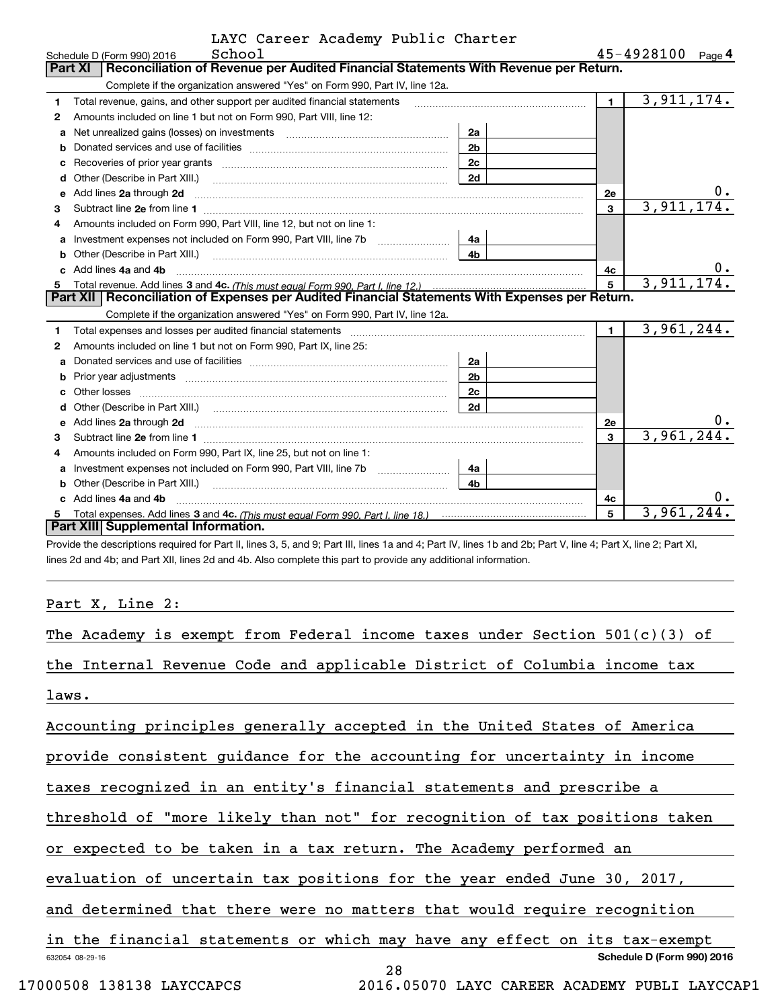| LAYC Career Academy Public Charter |  |
|------------------------------------|--|
|------------------------------------|--|

| 45-4928100 |  |  |  | Page $4$ |
|------------|--|--|--|----------|
|------------|--|--|--|----------|

|   | School<br>Schedule D (Form 990) 2016                                                                                                                                                                                                |                |                | 45-4928100 Page 4 |  |  |  |
|---|-------------------------------------------------------------------------------------------------------------------------------------------------------------------------------------------------------------------------------------|----------------|----------------|-------------------|--|--|--|
|   | Reconciliation of Revenue per Audited Financial Statements With Revenue per Return.<br>Part XI                                                                                                                                      |                |                |                   |  |  |  |
|   | Complete if the organization answered "Yes" on Form 990, Part IV, line 12a.                                                                                                                                                         |                |                |                   |  |  |  |
| 1 | Total revenue, gains, and other support per audited financial statements                                                                                                                                                            |                | $\mathbf{1}$   | 3,911,174.        |  |  |  |
| 2 | Amounts included on line 1 but not on Form 990, Part VIII, line 12:                                                                                                                                                                 |                |                |                   |  |  |  |
| a | Net unrealized gains (losses) on investments [11] matter contracts and the unrealized gains (losses) on investments                                                                                                                 | 2a             |                |                   |  |  |  |
|   |                                                                                                                                                                                                                                     | 2 <sub>b</sub> |                |                   |  |  |  |
| с |                                                                                                                                                                                                                                     | 2c             |                |                   |  |  |  |
| d | Other (Describe in Part XIII.) <b>Construction Contract Construction</b> Chern Construction Construction Construction                                                                                                               | 2d             |                |                   |  |  |  |
| е | Add lines 2a through 2d                                                                                                                                                                                                             |                | <b>2e</b>      | υ.                |  |  |  |
| 3 |                                                                                                                                                                                                                                     |                | $\overline{3}$ | 3,911,174.        |  |  |  |
| 4 | Amounts included on Form 990. Part VIII. line 12, but not on line 1:                                                                                                                                                                |                |                |                   |  |  |  |
| а | Investment expenses not included on Form 990, Part VIII, line 7b                                                                                                                                                                    | 4a             |                |                   |  |  |  |
| b | Other (Describe in Part XIII.) <b>Construction Contract Construction</b> Chern Construction Chern Chern Chern Chern Chern Chern Chern Chern Chern Chern Chern Chern Chern Chern Chern Chern Chern Chern Chern Chern Chern Chern Che | 4 <sub>b</sub> |                |                   |  |  |  |
|   | Add lines 4a and 4b<br>C.                                                                                                                                                                                                           |                |                | 0.                |  |  |  |
|   |                                                                                                                                                                                                                                     |                | 5              | 3,911,174.        |  |  |  |
|   | Part XII   Reconciliation of Expenses per Audited Financial Statements With Expenses per Return.                                                                                                                                    |                |                |                   |  |  |  |
|   | Complete if the organization answered "Yes" on Form 990, Part IV, line 12a.                                                                                                                                                         |                |                |                   |  |  |  |
| 1 | Total expenses and losses per audited financial statements                                                                                                                                                                          |                | $\mathbf{1}$   | 3,961,244.        |  |  |  |
| 2 | Amounts included on line 1 but not on Form 990, Part IX, line 25:                                                                                                                                                                   |                |                |                   |  |  |  |
| a |                                                                                                                                                                                                                                     | 2a             |                |                   |  |  |  |
| b |                                                                                                                                                                                                                                     | 2 <sub>b</sub> |                |                   |  |  |  |
| c |                                                                                                                                                                                                                                     | 2с             |                |                   |  |  |  |
| d |                                                                                                                                                                                                                                     | 2d             |                |                   |  |  |  |
| е | Add lines 2a through 2d <b>must be a constructed as the constant of the constant of the constant of the construction</b>                                                                                                            |                | <b>2e</b>      | υ.                |  |  |  |
| з |                                                                                                                                                                                                                                     |                | 3              | 3,961,244.        |  |  |  |
|   | Amounts included on Form 990, Part IX, line 25, but not on line 1:                                                                                                                                                                  |                |                |                   |  |  |  |
| a |                                                                                                                                                                                                                                     | 4a             |                |                   |  |  |  |
| b | Other (Describe in Part XIII.)                                                                                                                                                                                                      | 4 <sub>b</sub> |                |                   |  |  |  |
| c | Add lines 4a and 4b                                                                                                                                                                                                                 |                | 4с             | υ.                |  |  |  |
| 5 | Total expenses. Add lines 3 and 4c. (This must equal Form 990. Part I. line 18.) <i>manumanon</i> manumanon.                                                                                                                        |                | 5              | 3,961,244         |  |  |  |
|   | Part XIII Supplemental Information.                                                                                                                                                                                                 |                |                |                   |  |  |  |
|   | Dravida the descriptions required for Dart II, lines 2, E. and Q. Dart III, lines 1e and 4: Dart IV, lines 1b and Qb: Dart V, line, 4: Dart V, line, 9: Dart VI.                                                                    |                |                |                   |  |  |  |

Provide the descriptions required for Part II, lines 3, 5, and 9; Part III, lines 1a and 4; Part IV, lines 1b and 2b; Part V, line 4; Part X, line 2; Part XI, lines 2d and 4b; and Part XII, lines 2d and 4b. Also complete this part to provide any additional information.

## Part X, Line 2:

| The Academy is exempt from Federal income taxes under Section $501(c)(3)$ of |
|------------------------------------------------------------------------------|
| the Internal Revenue Code and applicable District of Columbia income tax     |
| laws.                                                                        |
| Accounting principles generally accepted in the United States of America     |
| provide consistent guidance for the accounting for uncertainty in income     |
| taxes recognized in an entity's financial statements and prescribe a         |
| threshold of "more likely than not" for recognition of tax positions taken   |
| or expected to be taken in a tax return. The Academy performed an            |
| evaluation of uncertain tax positions for the year ended June 30, 2017,      |
| and determined that there were no matters that would require recognition     |
| in the financial statements or which may have any effect on its tax-exempt   |
| Schedule D (Form 990) 2016<br>632054 08-29-16<br>28                          |
| 17000508 138138 LAYCCAPCS<br>2016.05070 LAYC CAREER ACADEMY PUBLI LAYCCAP1   |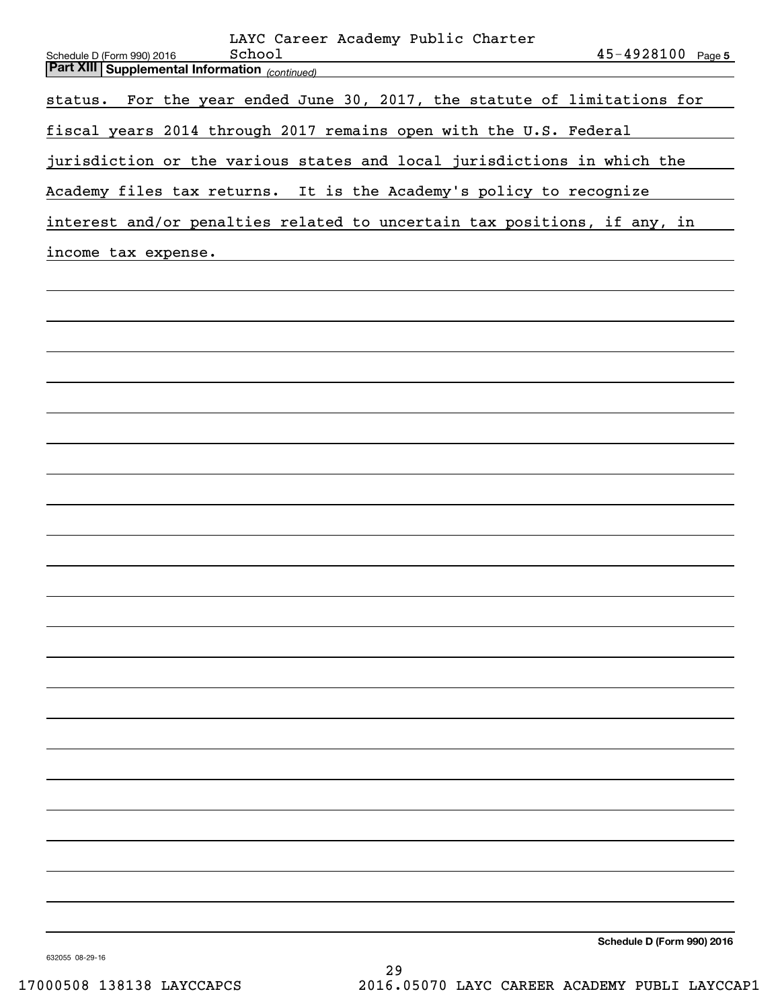| LAYC Career Academy Public Charter                                                                                   |
|----------------------------------------------------------------------------------------------------------------------|
| School<br>45-4928100 Page 5<br>Schedule D (Form 990) 2016<br><b>Part XIII   Supplemental Information</b> (continued) |
|                                                                                                                      |
| status. For the year ended June 30, 2017, the statute of limitations for                                             |
| fiscal years 2014 through 2017 remains open with the U.S. Federal                                                    |
| jurisdiction or the various states and local jurisdictions in which the                                              |
| Academy files tax returns. It is the Academy's policy to recognize                                                   |
| interest and/or penalties related to uncertain tax positions, if any, in                                             |
| income tax expense.                                                                                                  |
|                                                                                                                      |
|                                                                                                                      |
|                                                                                                                      |
|                                                                                                                      |
|                                                                                                                      |
|                                                                                                                      |
|                                                                                                                      |
|                                                                                                                      |
|                                                                                                                      |
|                                                                                                                      |
|                                                                                                                      |
|                                                                                                                      |
|                                                                                                                      |
|                                                                                                                      |
|                                                                                                                      |
|                                                                                                                      |
|                                                                                                                      |
|                                                                                                                      |
|                                                                                                                      |
|                                                                                                                      |
|                                                                                                                      |
|                                                                                                                      |
|                                                                                                                      |
|                                                                                                                      |
|                                                                                                                      |
|                                                                                                                      |
| Schedule D (Form 990) 2016<br>632055 08-29-16                                                                        |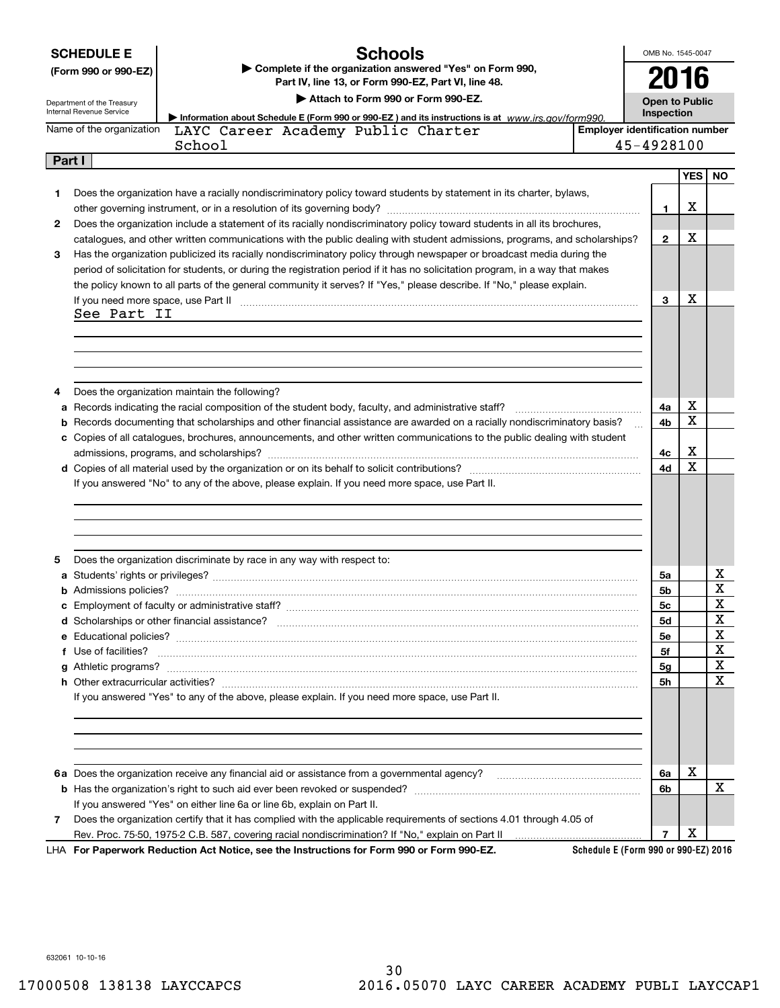|        | Schools<br><b>SCHEDULE E</b>                                                                                                      | OMB No. 1545-0047     |            |             |
|--------|-----------------------------------------------------------------------------------------------------------------------------------|-----------------------|------------|-------------|
|        | Complete if the organization answered "Yes" on Form 990,<br>(Form 990 or 990-EZ)                                                  |                       | 2016       |             |
|        | Part IV, line 13, or Form 990-EZ, Part VI, line 48.                                                                               |                       |            |             |
|        | Attach to Form 990 or Form 990-EZ.<br>Department of the Treasury                                                                  | <b>Open to Public</b> |            |             |
|        | Internal Revenue Service<br>Information about Schedule E (Form 990 or 990-EZ) and its instructions is at www.irs.gov/form990.     | Inspection            |            |             |
|        | Name of the organization<br>LAYC Career Academy Public Charter<br><b>Employer identification number</b>                           |                       |            |             |
|        | School                                                                                                                            | 45-4928100            |            |             |
| Part I |                                                                                                                                   |                       |            |             |
|        |                                                                                                                                   |                       | <b>YES</b> | NO.         |
| 1      | Does the organization have a racially nondiscriminatory policy toward students by statement in its charter, bylaws,               |                       |            |             |
|        |                                                                                                                                   | 1                     | х          |             |
| 2      | Does the organization include a statement of its racially nondiscriminatory policy toward students in all its brochures,          |                       |            |             |
|        | catalogues, and other written communications with the public dealing with student admissions, programs, and scholarships?         | $\mathbf{2}$          | х          |             |
| 3      | Has the organization publicized its racially nondiscriminatory policy through newspaper or broadcast media during the             |                       |            |             |
|        | period of solicitation for students, or during the registration period if it has no solicitation program, in a way that makes     |                       |            |             |
|        | the policy known to all parts of the general community it serves? If "Yes," please describe. If "No," please explain.             |                       |            |             |
|        |                                                                                                                                   | 3                     | х          |             |
|        | See Part II                                                                                                                       |                       |            |             |
|        |                                                                                                                                   |                       |            |             |
|        |                                                                                                                                   |                       |            |             |
|        |                                                                                                                                   |                       |            |             |
|        |                                                                                                                                   |                       |            |             |
| 4      | Does the organization maintain the following?                                                                                     |                       |            |             |
| а      | Records indicating the racial composition of the student body, faculty, and administrative staff?                                 | 4a                    | х          |             |
| b      | Records documenting that scholarships and other financial assistance are awarded on a racially nondiscriminatory basis?           | 4b                    | Χ          |             |
|        | c Copies of all catalogues, brochures, announcements, and other written communications to the public dealing with student         |                       |            |             |
|        |                                                                                                                                   | 4с                    | х          |             |
|        |                                                                                                                                   | 4d                    | X          |             |
|        | If you answered "No" to any of the above, please explain. If you need more space, use Part II.                                    |                       |            |             |
|        |                                                                                                                                   |                       |            |             |
|        |                                                                                                                                   |                       |            |             |
|        |                                                                                                                                   |                       |            |             |
|        |                                                                                                                                   |                       |            |             |
| 5      | Does the organization discriminate by race in any way with respect to:                                                            |                       |            |             |
|        |                                                                                                                                   | 5a                    |            | x           |
|        |                                                                                                                                   | 5b                    |            | X           |
|        |                                                                                                                                   | 5c                    |            | $\mathbf x$ |
|        |                                                                                                                                   | 5d                    |            | x           |
|        |                                                                                                                                   | 5e                    |            | х           |
|        | f Use of facilities?                                                                                                              | 5f                    |            | X           |
|        |                                                                                                                                   | 5g                    |            | X           |
|        |                                                                                                                                   | <b>5h</b>             |            | x           |
|        | If you answered "Yes" to any of the above, please explain. If you need more space, use Part II.                                   |                       |            |             |
|        |                                                                                                                                   |                       |            |             |
|        |                                                                                                                                   |                       |            |             |
|        |                                                                                                                                   |                       |            |             |
|        |                                                                                                                                   |                       |            |             |
|        |                                                                                                                                   |                       |            |             |
|        |                                                                                                                                   | 6a                    | х          |             |
|        |                                                                                                                                   | 6b                    |            | x           |
|        | If you answered "Yes" on either line 6a or line 6b, explain on Part II.                                                           |                       |            |             |
| 7      | Does the organization certify that it has complied with the applicable requirements of sections 4.01 through 4.05 of              |                       |            |             |
|        |                                                                                                                                   | 7                     | х          |             |
|        | Schedule E (Form 990 or 990-EZ) 2016<br>LHA For Paperwork Reduction Act Notice, see the Instructions for Form 990 or Form 990-EZ. |                       |            |             |

632061 10-10-16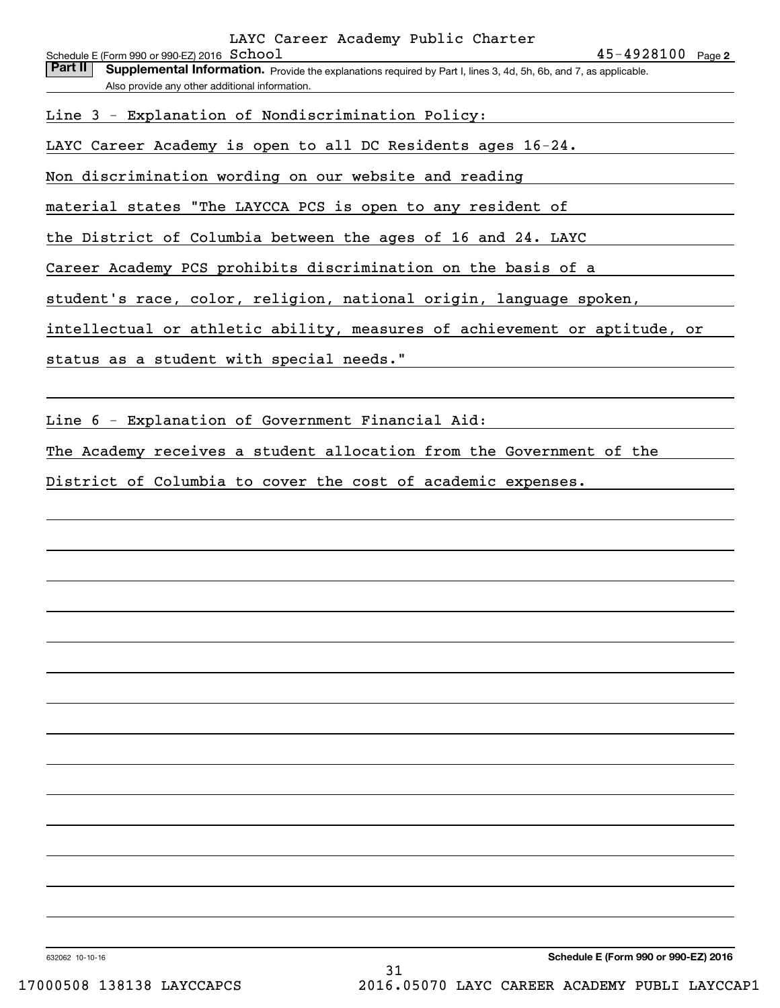| LAYC Career Academy Public Charter                                                                                           |                       |  |
|------------------------------------------------------------------------------------------------------------------------------|-----------------------|--|
| Schedule E (Form 990 or 990-EZ) 2016 $School$                                                                                | $45 - 4928100$ Page 2 |  |
| Part II<br>Supplemental Information. Provide the explanations required by Part I, lines 3, 4d, 5h, 6b, and 7, as applicable. |                       |  |
| Also provide any other additional information.                                                                               |                       |  |
| Line 3 - Explanation of Nondiscrimination Policy:                                                                            |                       |  |
| LAYC Career Academy is open to all DC Residents ages $16-24$ .                                                               |                       |  |
| Non discrimination wording on our website and reading                                                                        |                       |  |
| material states "The LAYCCA PCS is open to any resident of                                                                   |                       |  |
| the District of Columbia between the ages of 16 and 24. LAYC                                                                 |                       |  |
| Career Academy PCS prohibits discrimination on the basis of a                                                                |                       |  |
| student's race, color, religion, national origin, language spoken,                                                           |                       |  |
| intellectual or athletic ability, measures of achievement or aptitude, or                                                    |                       |  |
| status as a student with special needs."                                                                                     |                       |  |
|                                                                                                                              |                       |  |

Line 6 - Explanation of Government Financial Aid:

The Academy receives a student allocation from the Government of the

District of Columbia to cover the cost of academic expenses.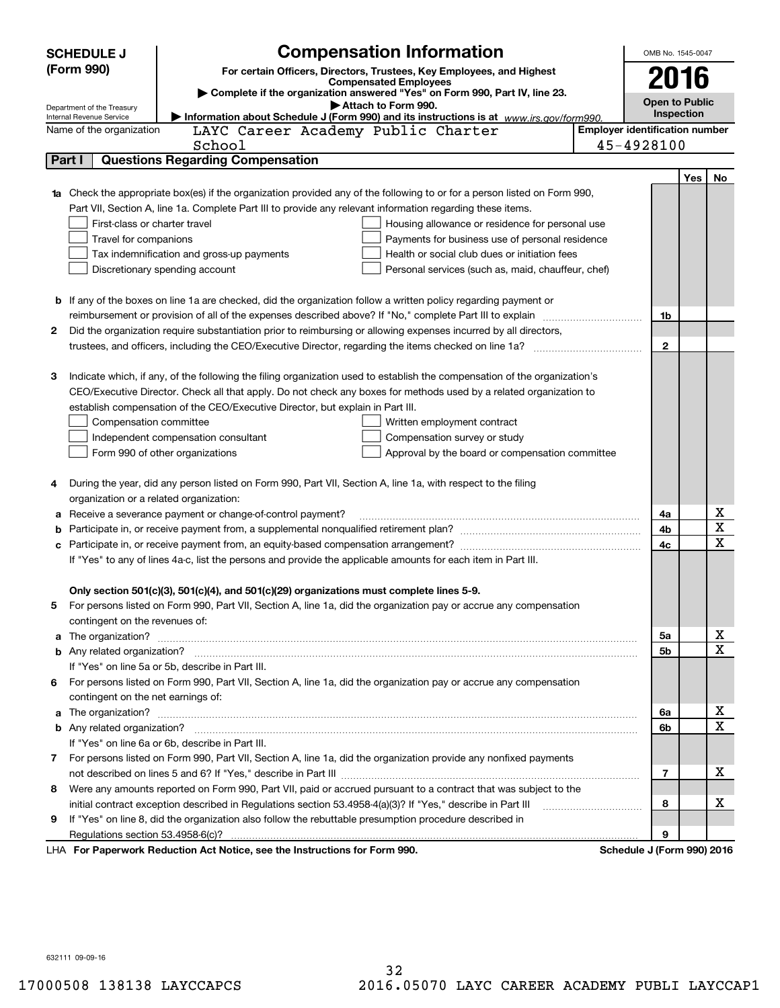|    | <b>SCHEDULE J</b>                       | <b>Compensation Information</b>                                                                                                                                                                      |                                                    |                                       | OMB No. 1545-0047          |     |             |  |
|----|-----------------------------------------|------------------------------------------------------------------------------------------------------------------------------------------------------------------------------------------------------|----------------------------------------------------|---------------------------------------|----------------------------|-----|-------------|--|
|    | (Form 990)                              | For certain Officers, Directors, Trustees, Key Employees, and Highest                                                                                                                                |                                                    |                                       |                            |     |             |  |
|    |                                         | <b>Compensated Employees</b>                                                                                                                                                                         |                                                    |                                       | 2016                       |     |             |  |
|    | Department of the Treasury              | Complete if the organization answered "Yes" on Form 990, Part IV, line 23.<br>Attach to Form 990.                                                                                                    |                                                    |                                       | <b>Open to Public</b>      |     |             |  |
|    | Internal Revenue Service                | Information about Schedule J (Form 990) and its instructions is at www.irs.gov/form990.                                                                                                              |                                                    |                                       | Inspection                 |     |             |  |
|    | Name of the organization                | LAYC Career Academy Public Charter                                                                                                                                                                   |                                                    | <b>Employer identification number</b> |                            |     |             |  |
|    |                                         | School                                                                                                                                                                                               |                                                    |                                       | 45-4928100                 |     |             |  |
|    | Part I                                  | <b>Questions Regarding Compensation</b>                                                                                                                                                              |                                                    |                                       |                            |     |             |  |
|    |                                         |                                                                                                                                                                                                      |                                                    |                                       |                            | Yes | No          |  |
|    |                                         | Check the appropriate box(es) if the organization provided any of the following to or for a person listed on Form 990,                                                                               |                                                    |                                       |                            |     |             |  |
|    |                                         | Part VII, Section A, line 1a. Complete Part III to provide any relevant information regarding these items.                                                                                           |                                                    |                                       |                            |     |             |  |
|    | First-class or charter travel           |                                                                                                                                                                                                      | Housing allowance or residence for personal use    |                                       |                            |     |             |  |
|    | Travel for companions                   |                                                                                                                                                                                                      | Payments for business use of personal residence    |                                       |                            |     |             |  |
|    |                                         | Tax indemnification and gross-up payments                                                                                                                                                            | Health or social club dues or initiation fees      |                                       |                            |     |             |  |
|    |                                         | Discretionary spending account                                                                                                                                                                       | Personal services (such as, maid, chauffeur, chef) |                                       |                            |     |             |  |
|    |                                         |                                                                                                                                                                                                      |                                                    |                                       |                            |     |             |  |
|    |                                         | <b>b</b> If any of the boxes on line 1a are checked, did the organization follow a written policy regarding payment or                                                                               |                                                    |                                       |                            |     |             |  |
|    |                                         | reimbursement or provision of all of the expenses described above? If "No," complete Part III to explain                                                                                             |                                                    |                                       | 1b                         |     |             |  |
| 2  |                                         | Did the organization require substantiation prior to reimbursing or allowing expenses incurred by all directors,                                                                                     |                                                    |                                       |                            |     |             |  |
|    |                                         |                                                                                                                                                                                                      |                                                    |                                       | $\mathbf{2}$               |     |             |  |
|    |                                         |                                                                                                                                                                                                      |                                                    |                                       |                            |     |             |  |
| з  |                                         | Indicate which, if any, of the following the filing organization used to establish the compensation of the organization's                                                                            |                                                    |                                       |                            |     |             |  |
|    |                                         | CEO/Executive Director. Check all that apply. Do not check any boxes for methods used by a related organization to<br>establish compensation of the CEO/Executive Director, but explain in Part III. |                                                    |                                       |                            |     |             |  |
|    | Compensation committee                  |                                                                                                                                                                                                      | Written employment contract                        |                                       |                            |     |             |  |
|    |                                         | Independent compensation consultant                                                                                                                                                                  | Compensation survey or study                       |                                       |                            |     |             |  |
|    |                                         | Form 990 of other organizations                                                                                                                                                                      | Approval by the board or compensation committee    |                                       |                            |     |             |  |
|    |                                         |                                                                                                                                                                                                      |                                                    |                                       |                            |     |             |  |
| 4  |                                         | During the year, did any person listed on Form 990, Part VII, Section A, line 1a, with respect to the filing                                                                                         |                                                    |                                       |                            |     |             |  |
|    | organization or a related organization: |                                                                                                                                                                                                      |                                                    |                                       |                            |     |             |  |
| а  |                                         | Receive a severance payment or change-of-control payment?                                                                                                                                            |                                                    |                                       | 4a                         |     | х           |  |
| b  |                                         |                                                                                                                                                                                                      |                                                    |                                       | 4b                         |     | X           |  |
| c  |                                         | Participate in, or receive payment from, an equity-based compensation arrangement?                                                                                                                   |                                                    |                                       | 4c                         |     | X           |  |
|    |                                         | If "Yes" to any of lines 4a-c, list the persons and provide the applicable amounts for each item in Part III.                                                                                        |                                                    |                                       |                            |     |             |  |
|    |                                         |                                                                                                                                                                                                      |                                                    |                                       |                            |     |             |  |
|    |                                         | Only section 501(c)(3), 501(c)(4), and 501(c)(29) organizations must complete lines 5-9.                                                                                                             |                                                    |                                       |                            |     |             |  |
|    |                                         | For persons listed on Form 990, Part VII, Section A, line 1a, did the organization pay or accrue any compensation                                                                                    |                                                    |                                       |                            |     |             |  |
|    | contingent on the revenues of:          |                                                                                                                                                                                                      |                                                    |                                       |                            |     |             |  |
| a  |                                         |                                                                                                                                                                                                      |                                                    |                                       | 5a                         |     | x           |  |
|    |                                         |                                                                                                                                                                                                      |                                                    |                                       | 5b                         |     | X           |  |
|    |                                         | If "Yes" on line 5a or 5b, describe in Part III.                                                                                                                                                     |                                                    |                                       |                            |     |             |  |
| 6. |                                         | For persons listed on Form 990, Part VII, Section A, line 1a, did the organization pay or accrue any compensation                                                                                    |                                                    |                                       |                            |     |             |  |
|    | contingent on the net earnings of:      |                                                                                                                                                                                                      |                                                    |                                       |                            |     |             |  |
| a  |                                         |                                                                                                                                                                                                      |                                                    |                                       | 6a                         |     | x           |  |
|    |                                         |                                                                                                                                                                                                      |                                                    |                                       | 6b                         |     | $\mathbf X$ |  |
|    |                                         | If "Yes" on line 6a or 6b, describe in Part III.                                                                                                                                                     |                                                    |                                       |                            |     |             |  |
|    |                                         | 7 For persons listed on Form 990, Part VII, Section A, line 1a, did the organization provide any nonfixed payments                                                                                   |                                                    |                                       |                            |     |             |  |
|    |                                         |                                                                                                                                                                                                      |                                                    |                                       | 7                          |     | х           |  |
| 8  |                                         | Were any amounts reported on Form 990, Part VII, paid or accrued pursuant to a contract that was subject to the                                                                                      |                                                    |                                       |                            |     |             |  |
|    |                                         | initial contract exception described in Regulations section 53.4958-4(a)(3)? If "Yes," describe in Part III                                                                                          |                                                    |                                       | 8                          |     | х           |  |
| 9  |                                         | If "Yes" on line 8, did the organization also follow the rebuttable presumption procedure described in                                                                                               |                                                    |                                       |                            |     |             |  |
|    | Regulations section 53.4958-6(c)?       |                                                                                                                                                                                                      |                                                    |                                       | 9                          |     |             |  |
|    |                                         | LHA For Paperwork Reduction Act Notice, see the Instructions for Form 990.                                                                                                                           |                                                    |                                       | Schedule J (Form 990) 2016 |     |             |  |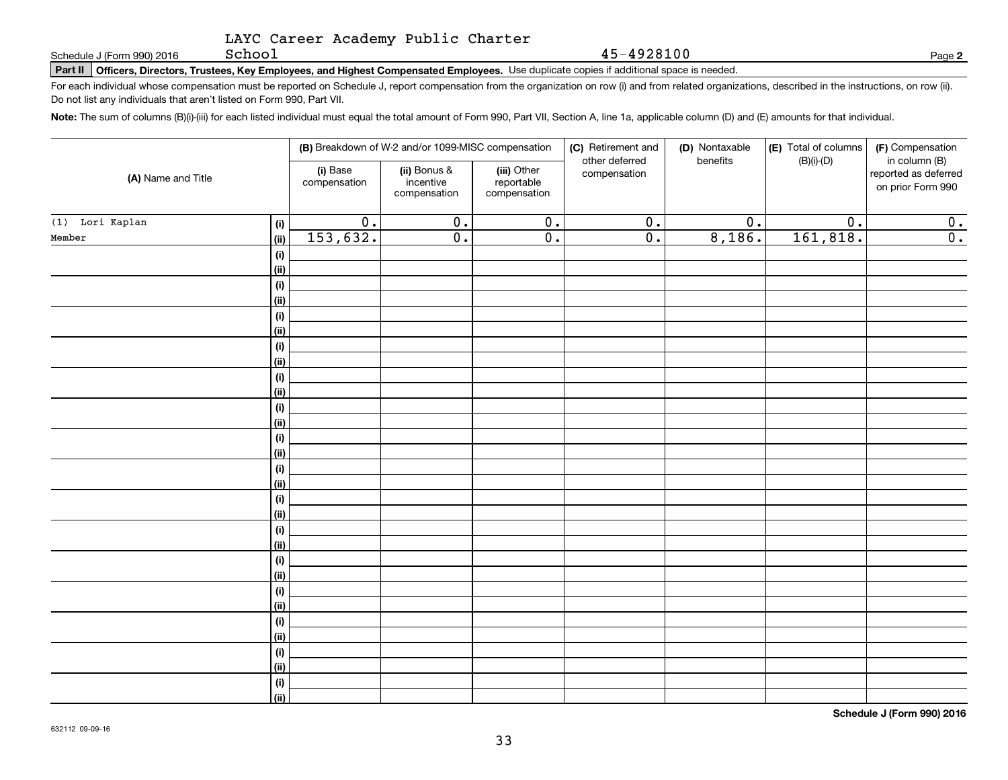**Part II Officers, Directors, Trustees, Key Employees, and Highest Compensated Employees.**  Schedule J (Form 990) 2016 Page Use duplicate copies if additional space is needed.

For each individual whose compensation must be reported on Schedule J, report compensation from the organization on row (i) and from related organizations, described in the instructions, on row (ii). Do not list any individuals that aren't listed on Form 990, Part VII.

**Note:**  The sum of columns (B)(i)-(iii) for each listed individual must equal the total amount of Form 990, Part VII, Section A, line 1a, applicable column (D) and (E) amounts for that individual.

|                    |                    |                          | (B) Breakdown of W-2 and/or 1099-MISC compensation |                                           | (C) Retirement and<br>other deferred | (D) Nontaxable<br>benefits | (E) Total of columns<br>$(B)(i)-(D)$ | (F) Compensation<br>in column (B)         |
|--------------------|--------------------|--------------------------|----------------------------------------------------|-------------------------------------------|--------------------------------------|----------------------------|--------------------------------------|-------------------------------------------|
| (A) Name and Title |                    | (i) Base<br>compensation | (ii) Bonus &<br>incentive<br>compensation          | (iii) Other<br>reportable<br>compensation | compensation                         |                            |                                      | reported as deferred<br>on prior Form 990 |
| (1) Lori Kaplan    | (i)                | $\overline{0}$ .         | $\overline{0}$ .                                   | $\overline{0}$ .                          | $\overline{0}$ .                     | $\overline{0}$ .           | $\overline{0}$ .                     | 0.                                        |
| Member             | (ii)               | 153,632.                 | $\overline{0}$ .                                   | $\overline{0}$ .                          | $\overline{0}$ .                     | 8,186.                     | 161,818.                             | $\overline{0}$ .                          |
|                    | (i)                |                          |                                                    |                                           |                                      |                            |                                      |                                           |
|                    | <u>(ii)</u>        |                          |                                                    |                                           |                                      |                            |                                      |                                           |
|                    | $(\sf{i})$         |                          |                                                    |                                           |                                      |                            |                                      |                                           |
|                    | <u>(ii)</u>        |                          |                                                    |                                           |                                      |                            |                                      |                                           |
|                    | $(\sf{i})$         |                          |                                                    |                                           |                                      |                            |                                      |                                           |
|                    | <u>(ii)</u>        |                          |                                                    |                                           |                                      |                            |                                      |                                           |
|                    | $(\sf{i})$         |                          |                                                    |                                           |                                      |                            |                                      |                                           |
|                    | <u>(ii)</u>        |                          |                                                    |                                           |                                      |                            |                                      |                                           |
|                    | (i)                |                          |                                                    |                                           |                                      |                            |                                      |                                           |
|                    | <u>(ii)</u>        |                          |                                                    |                                           |                                      |                            |                                      |                                           |
|                    | (i)                |                          |                                                    |                                           |                                      |                            |                                      |                                           |
|                    | <u>(ii)</u>        |                          |                                                    |                                           |                                      |                            |                                      |                                           |
|                    | (i)<br><u>(ii)</u> |                          |                                                    |                                           |                                      |                            |                                      |                                           |
|                    | (i)                |                          |                                                    |                                           |                                      |                            |                                      |                                           |
|                    | <u>(ii)</u>        |                          |                                                    |                                           |                                      |                            |                                      |                                           |
|                    | (i)                |                          |                                                    |                                           |                                      |                            |                                      |                                           |
|                    | <u>(ii)</u>        |                          |                                                    |                                           |                                      |                            |                                      |                                           |
|                    | (i)                |                          |                                                    |                                           |                                      |                            |                                      |                                           |
|                    | <u>(ii)</u>        |                          |                                                    |                                           |                                      |                            |                                      |                                           |
|                    | (i)                |                          |                                                    |                                           |                                      |                            |                                      |                                           |
|                    | <u>(ii)</u>        |                          |                                                    |                                           |                                      |                            |                                      |                                           |
|                    | (i)                |                          |                                                    |                                           |                                      |                            |                                      |                                           |
|                    | <u>(ii)</u>        |                          |                                                    |                                           |                                      |                            |                                      |                                           |
|                    | (i)                |                          |                                                    |                                           |                                      |                            |                                      |                                           |
|                    | <u>(ii)</u>        |                          |                                                    |                                           |                                      |                            |                                      |                                           |
|                    | (i)                |                          |                                                    |                                           |                                      |                            |                                      |                                           |
|                    | <u>(ii)</u>        |                          |                                                    |                                           |                                      |                            |                                      |                                           |
|                    | (i)                |                          |                                                    |                                           |                                      |                            |                                      |                                           |
|                    | (ii)               |                          |                                                    |                                           |                                      |                            |                                      |                                           |

**Schedule J (Form 990) 2016**

**2**

45-4928100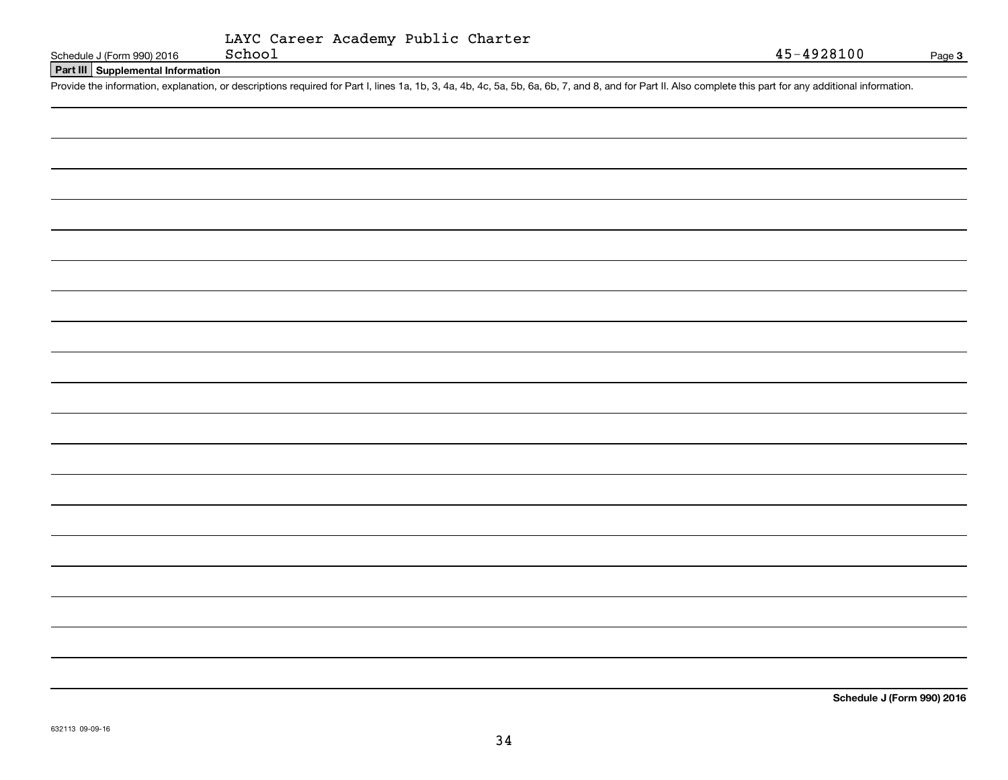| $chodula + (Em 000) 2016$ |  |  |  |
|---------------------------|--|--|--|

## **Part III Supplemental Information**

School 45-4928100<br>Part III Supplemental Information<br>Provide the information, explanation, or descriptions required for Part I, lines 1a, 1b, 3, 4a, 4b, 4c, 5a, 5b, 6a, 6b, 7, and 8, and for Part II. Also complete this part

**Schedule J (Form 990) 2016**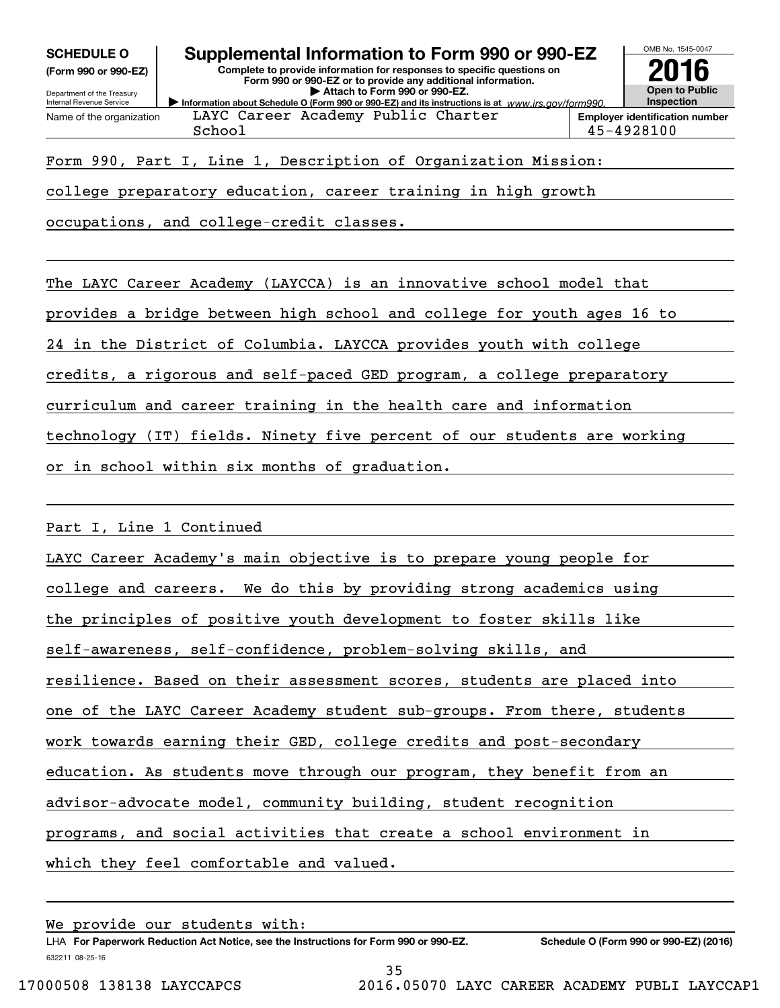Department of the Treasury **Complete to provide information for responses to specific questions on Form 990 or 990-EZ or to provide any additional information. | Attach to Form 990 or 990-EZ. (Form 990 or 990-EZ) SCHEDULE O Supplemental Information to Form 990 or 990-EZ**



School 19928100

Form 990, Part I, Line 1, Description of Organization Mission:

LAYC Career Academy Public Charter

college preparatory education, career training in high growth

occupations, and college-credit classes.

The LAYC Career Academy (LAYCCA) is an innovative school model that provides a bridge between high school and college for youth ages 16 to 24 in the District of Columbia. LAYCCA provides youth with college credits, a rigorous and self-paced GED program, a college preparatory curriculum and career training in the health care and information technology (IT) fields. Ninety five percent of our students are working or in school within six months of graduation.

Part I, Line 1 Continued

Internal Revenue Service

Name of the organization

LAYC Career Academy's main objective is to prepare young people for

college and careers. We do this by providing strong academics using

the principles of positive youth development to foster skills like

self-awareness, self-confidence, problem-solving skills, and

resilience. Based on their assessment scores, students are placed into

one of the LAYC Career Academy student sub-groups. From there, students

work towards earning their GED, college credits and post-secondary

education. As students move through our program, they benefit from an

advisor-advocate model, community building, student recognition

programs, and social activities that create a school environment in

which they feel comfortable and valued.

We provide our students with: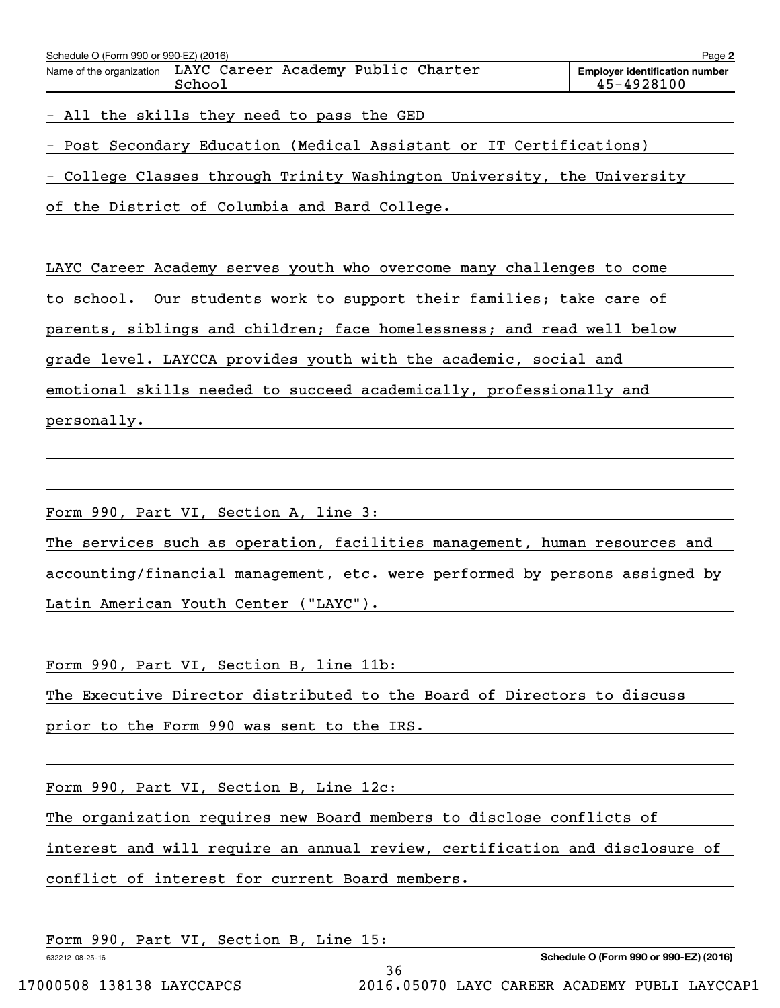| Schedule O (Form 990 or 990-EZ) (2016)                                   | Page 2                                              |
|--------------------------------------------------------------------------|-----------------------------------------------------|
| LAYC Career Academy Public Charter<br>Name of the organization<br>School | <b>Employer identification number</b><br>45-4928100 |
| - All the skills they need to pass the GED                               |                                                     |
| - Post Secondary Education (Medical Assistant or IT Certifications)      |                                                     |
| - College Classes through Trinity Washington University, the University  |                                                     |
| of the District of Columbia and Bard College.                            |                                                     |
|                                                                          |                                                     |
| LAYC Career Academy serves youth who overcome many challenges to come    |                                                     |
| Our students work to support their families; take care of<br>to school.  |                                                     |
| parents, siblings and children; face homelessness; and read well below   |                                                     |
| grade level. LAYCCA provides youth with the academic, social and         |                                                     |
| emotional skills needed to succeed academically, professionally and      |                                                     |
| personally.                                                              |                                                     |
|                                                                          |                                                     |
|                                                                          |                                                     |
| Form 990, Part VI, Section A, line 3:                                    |                                                     |

The services such as operation, facilities management, human resources and accounting/financial management, etc. were performed by persons assigned by Latin American Youth Center ("LAYC").

Form 990, Part VI, Section B, line 11b:

The Executive Director distributed to the Board of Directors to discuss

prior to the Form 990 was sent to the IRS.

Form 990, Part VI, Section B, Line 12c:

The organization requires new Board members to disclose conflicts of

interest and will require an annual review, certification and disclosure of

36

conflict of interest for current Board members.

Form 990, Part VI, Section B, Line 15:

632212 08-25-16

**Schedule O (Form 990 or 990-EZ) (2016)**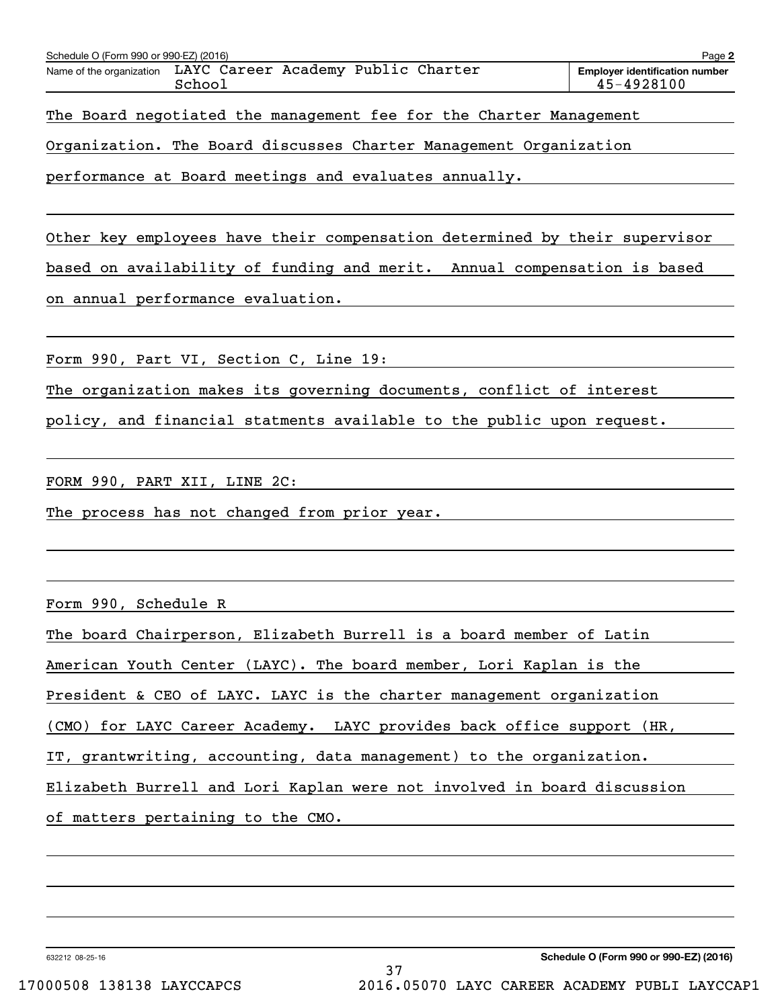| Schedule O (Form 990 or 990-EZ) (2016)                             |                                                                       | Page 2                                              |  |  |  |  |  |
|--------------------------------------------------------------------|-----------------------------------------------------------------------|-----------------------------------------------------|--|--|--|--|--|
|                                                                    | Name of the organization LAYC Career Academy Public Charter<br>School | <b>Employer identification number</b><br>45-4928100 |  |  |  |  |  |
| The Board negotiated the management fee for the Charter Management |                                                                       |                                                     |  |  |  |  |  |
| Organization. The Board discusses Charter Management Organization  |                                                                       |                                                     |  |  |  |  |  |

performance at Board meetings and evaluates annually.

Other key employees have their compensation determined by their supervisor

based on availability of funding and merit. Annual compensation is based

on annual performance evaluation.

Form 990, Part VI, Section C, Line 19:

The organization makes its governing documents, conflict of interest

policy, and financial statments available to the public upon request.

FORM 990, PART XII, LINE 2C:

The process has not changed from prior year.

Form 990, Schedule R

| The board Chairperson, Elizabeth Burrell is a board member of Latin     |
|-------------------------------------------------------------------------|
| American Youth Center (LAYC). The board member, Lori Kaplan is the      |
| President & CEO of LAYC. LAYC is the charter management organization    |
| (CMO) for LAYC Career Academy. LAYC provides back office support (HR,   |
| IT, grantwriting, accounting, data management) to the organization.     |
| Elizabeth Burrell and Lori Kaplan were not involved in board discussion |
| of matters pertaining to the CMO.                                       |
|                                                                         |

632212 08-25-16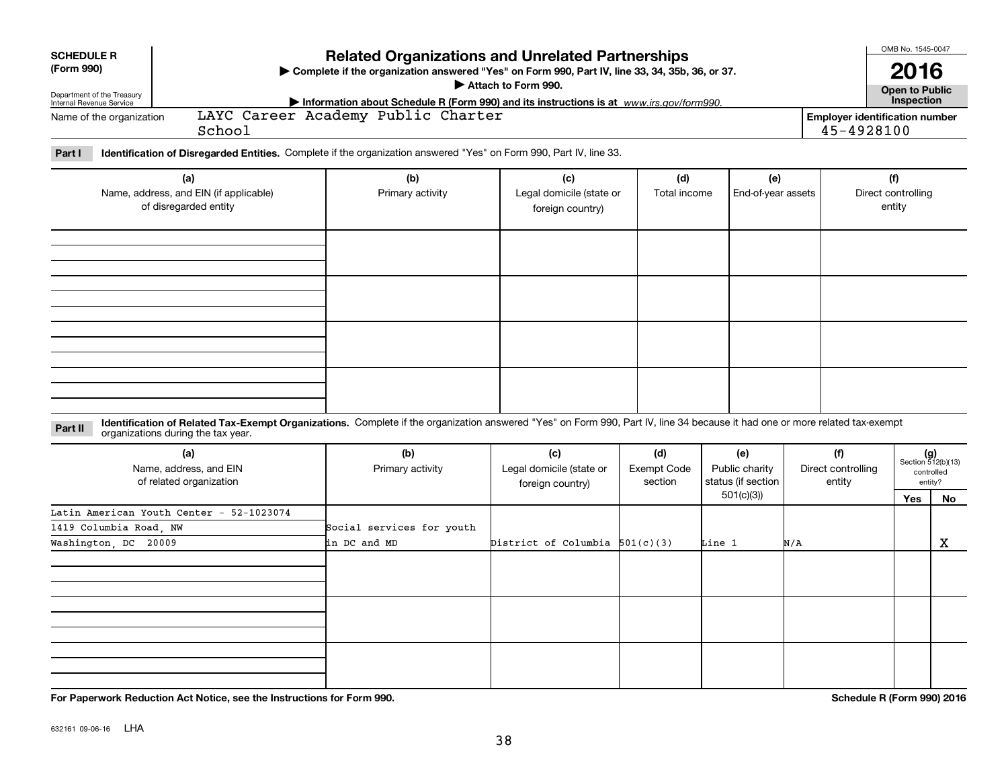| <b>SCHEDULE R</b>          |                                                                                                                                                                                    |                                       |  |  |  |  |
|----------------------------|------------------------------------------------------------------------------------------------------------------------------------------------------------------------------------|---------------------------------------|--|--|--|--|
| (Form 990)                 | <b>Related Organizations and Unrelated Partnerships</b><br>▶ Complete if the organization answered "Yes" on Form 990, Part IV, line 33, 34, 35b, 36, or 37.<br>Attach to Form 990. |                                       |  |  |  |  |
| Department of the Treasury |                                                                                                                                                                                    | Open to Public                        |  |  |  |  |
| Internal Revenue Service   | Information about Schedule R (Form 990) and its instructions is at $www.irs.gov/form990.$                                                                                          |                                       |  |  |  |  |
| Name of the organization   | LAYC Career Academy Public Charter                                                                                                                                                 | <b>Employer identification number</b> |  |  |  |  |
|                            | School                                                                                                                                                                             | 45-4928100                            |  |  |  |  |

**Part I Identification of Disregarded Entities.**  Complete if the organization answered "Yes" on Form 990, Part IV, line 33.

| (a)<br>Name, address, and EIN (if applicable)<br>of disregarded entity | (b)<br>Primary activity | (c)<br>Legal domicile (state or<br>foreign country) | (d)<br>Total income | (e)<br>End-of-year assets | (f)<br>Direct controlling<br>entity |
|------------------------------------------------------------------------|-------------------------|-----------------------------------------------------|---------------------|---------------------------|-------------------------------------|
|                                                                        |                         |                                                     |                     |                           |                                     |
|                                                                        |                         |                                                     |                     |                           |                                     |
|                                                                        |                         |                                                     |                     |                           |                                     |
|                                                                        |                         |                                                     |                     |                           |                                     |

#### **Identification of Related Tax-Exempt Organizations.** Complete if the organization answered "Yes" on Form 990, Part IV, line 34 because it had one or more related tax-exempt **Part II** organizations during the tax year.

| (a)<br>Name, address, and EIN<br>of related organization | (b)<br>Primary activity   | (c)<br>Legal domicile (state or<br>foreign country) | (d)<br><b>Exempt Code</b><br>section | (e)<br>Public charity<br>status (if section | (f)<br>Direct controlling<br>entity |     | $(g)$<br>Section 512(b)(13)<br>controlled<br>entity? |
|----------------------------------------------------------|---------------------------|-----------------------------------------------------|--------------------------------------|---------------------------------------------|-------------------------------------|-----|------------------------------------------------------|
|                                                          |                           |                                                     |                                      | 501(c)(3))                                  |                                     | Yes | No                                                   |
| Latin American Youth Center - 52-1023074                 |                           |                                                     |                                      |                                             |                                     |     |                                                      |
| 1419 Columbia Road, NW                                   | Social services for youth |                                                     |                                      |                                             |                                     |     |                                                      |
| Washington, DC 20009                                     | in DC and MD              | District of Columbia $501(c)(3)$                    |                                      | Line 1                                      | N/A                                 |     | х                                                    |
|                                                          |                           |                                                     |                                      |                                             |                                     |     |                                                      |
|                                                          |                           |                                                     |                                      |                                             |                                     |     |                                                      |
|                                                          |                           |                                                     |                                      |                                             |                                     |     |                                                      |

**For Paperwork Reduction Act Notice, see the Instructions for Form 990. Schedule R (Form 990) 2016**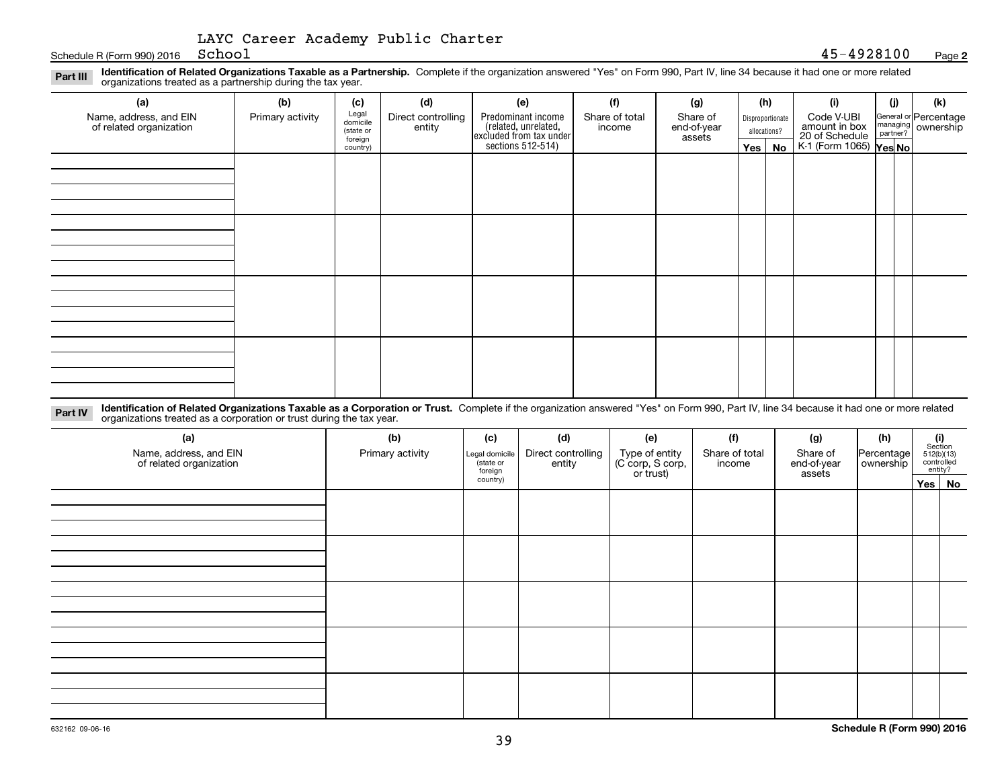| LAYC Career Academy Public Charter |
|------------------------------------|
|                                    |

Schedule R (Form 990) 2016  $School$ 

**Identification of Related Organizations Taxable as a Partnership.** Complete if the organization answered "Yes" on Form 990, Part IV, line 34 because it had one or more related **Part III** organizations treated as a partnership during the tax year.

| (a)                                               | (b)              | (c)                  | (d)                          | (e)                                                                 | (f)                      | (g)                     |              | (h)              | (i)                                                       | (i) |  | (k)                                                     |
|---------------------------------------------------|------------------|----------------------|------------------------------|---------------------------------------------------------------------|--------------------------|-------------------------|--------------|------------------|-----------------------------------------------------------|-----|--|---------------------------------------------------------|
| Name, address, and EIN<br>of related organization | Primary activity | Legal<br>domicile    | Direct controlling<br>entity | Predominant income                                                  | Share of total<br>income | Share of<br>end-of-year |              | Disproportionate | Code V-UBI                                                |     |  | General or Percentage<br>managing ownership<br>partner? |
|                                                   |                  | (state or<br>foreign |                              | related, unrelated,<br>excluded from tax under<br>sections 512-514) |                          | assets                  | allocations? |                  | amount in box<br>20 of Schedule<br>K-1 (Form 1065) Yes No |     |  |                                                         |
|                                                   |                  | country)             |                              |                                                                     |                          |                         |              | Yes   No         |                                                           |     |  |                                                         |
|                                                   |                  |                      |                              |                                                                     |                          |                         |              |                  |                                                           |     |  |                                                         |
|                                                   |                  |                      |                              |                                                                     |                          |                         |              |                  |                                                           |     |  |                                                         |
|                                                   |                  |                      |                              |                                                                     |                          |                         |              |                  |                                                           |     |  |                                                         |
|                                                   |                  |                      |                              |                                                                     |                          |                         |              |                  |                                                           |     |  |                                                         |
|                                                   |                  |                      |                              |                                                                     |                          |                         |              |                  |                                                           |     |  |                                                         |
|                                                   |                  |                      |                              |                                                                     |                          |                         |              |                  |                                                           |     |  |                                                         |
|                                                   |                  |                      |                              |                                                                     |                          |                         |              |                  |                                                           |     |  |                                                         |
|                                                   |                  |                      |                              |                                                                     |                          |                         |              |                  |                                                           |     |  |                                                         |
|                                                   |                  |                      |                              |                                                                     |                          |                         |              |                  |                                                           |     |  |                                                         |
|                                                   |                  |                      |                              |                                                                     |                          |                         |              |                  |                                                           |     |  |                                                         |
|                                                   |                  |                      |                              |                                                                     |                          |                         |              |                  |                                                           |     |  |                                                         |
|                                                   |                  |                      |                              |                                                                     |                          |                         |              |                  |                                                           |     |  |                                                         |
|                                                   |                  |                      |                              |                                                                     |                          |                         |              |                  |                                                           |     |  |                                                         |
|                                                   |                  |                      |                              |                                                                     |                          |                         |              |                  |                                                           |     |  |                                                         |
|                                                   |                  |                      |                              |                                                                     |                          |                         |              |                  |                                                           |     |  |                                                         |
|                                                   |                  |                      |                              |                                                                     |                          |                         |              |                  |                                                           |     |  |                                                         |
|                                                   |                  |                      |                              |                                                                     |                          |                         |              |                  |                                                           |     |  |                                                         |

**Identification of Related Organizations Taxable as a Corporation or Trust.** Complete if the organization answered "Yes" on Form 990, Part IV, line 34 because it had one or more related **Part IV** organizations treated as a corporation or trust during the tax year.

| (a)<br>Name, address, and EIN<br>of related organization | (b)<br>Primary activity | (c)<br>Legal domicile<br>(state or<br>foreign | (d)<br>Direct controlling<br>entity | (e)<br>Type of entity<br>(C corp, S corp,<br>or trust) | (f)<br>Share of total<br>income | (g)<br>Share of<br>end-of-year<br>assets | (h)<br>Percentage<br>ownership |  | $\begin{array}{c} \textbf{(i)}\\ \text{Section}\\ 512 \text{(b)} \text{(13)}\\ \text{controlled}\\ \text{entity?} \end{array}$ |
|----------------------------------------------------------|-------------------------|-----------------------------------------------|-------------------------------------|--------------------------------------------------------|---------------------------------|------------------------------------------|--------------------------------|--|--------------------------------------------------------------------------------------------------------------------------------|
|                                                          |                         | country)                                      |                                     |                                                        |                                 |                                          |                                |  | Yes No                                                                                                                         |
|                                                          |                         |                                               |                                     |                                                        |                                 |                                          |                                |  |                                                                                                                                |
|                                                          |                         |                                               |                                     |                                                        |                                 |                                          |                                |  |                                                                                                                                |
|                                                          |                         |                                               |                                     |                                                        |                                 |                                          |                                |  |                                                                                                                                |
|                                                          |                         |                                               |                                     |                                                        |                                 |                                          |                                |  |                                                                                                                                |
|                                                          |                         |                                               |                                     |                                                        |                                 |                                          |                                |  |                                                                                                                                |
|                                                          |                         |                                               |                                     |                                                        |                                 |                                          |                                |  |                                                                                                                                |
|                                                          |                         |                                               |                                     |                                                        |                                 |                                          |                                |  |                                                                                                                                |
|                                                          |                         |                                               |                                     |                                                        |                                 |                                          |                                |  |                                                                                                                                |
|                                                          |                         |                                               |                                     |                                                        |                                 |                                          |                                |  |                                                                                                                                |
|                                                          |                         |                                               |                                     |                                                        |                                 |                                          |                                |  |                                                                                                                                |
|                                                          |                         |                                               |                                     |                                                        |                                 |                                          |                                |  |                                                                                                                                |
|                                                          |                         |                                               |                                     |                                                        |                                 |                                          |                                |  |                                                                                                                                |
|                                                          |                         |                                               |                                     |                                                        |                                 |                                          |                                |  |                                                                                                                                |
|                                                          |                         |                                               |                                     |                                                        |                                 |                                          |                                |  |                                                                                                                                |
|                                                          |                         |                                               |                                     |                                                        |                                 |                                          |                                |  |                                                                                                                                |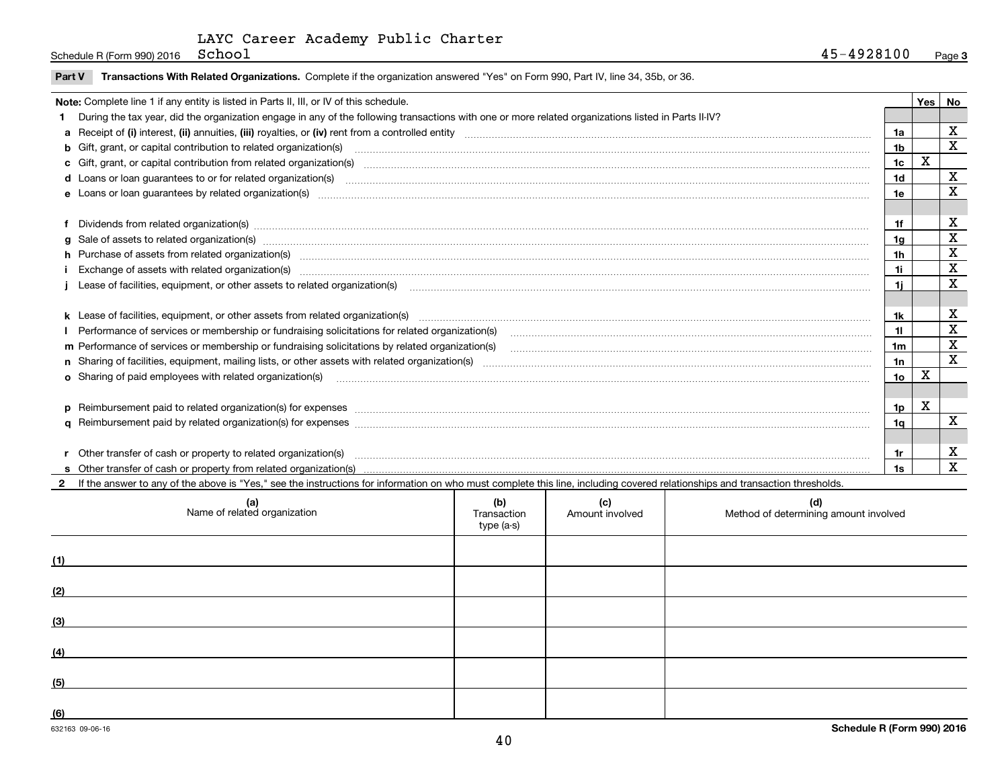Schedule R (Form 990) 2016  $School$ 

|  | Part V Transactions With Related Organizations. Complete if the organization answered "Yes" on Form 990, Part IV, line 34, 35b, or 36. |  |  |
|--|----------------------------------------------------------------------------------------------------------------------------------------|--|--|
|--|----------------------------------------------------------------------------------------------------------------------------------------|--|--|

| Note: Complete line 1 if any entity is listed in Parts II, III, or IV of this schedule. |                                                                                                                                                                                                                                |                |             |                         |  |  |
|-----------------------------------------------------------------------------------------|--------------------------------------------------------------------------------------------------------------------------------------------------------------------------------------------------------------------------------|----------------|-------------|-------------------------|--|--|
|                                                                                         | During the tax year, did the organization engage in any of the following transactions with one or more related organizations listed in Parts II-IV?                                                                            |                |             |                         |  |  |
|                                                                                         |                                                                                                                                                                                                                                | 1a             |             | X                       |  |  |
|                                                                                         | <b>b</b> Gift, grant, or capital contribution to related organization(s)                                                                                                                                                       | 1 <sub>b</sub> |             | $\mathbf x$             |  |  |
|                                                                                         | c Gift, grant, or capital contribution from related organization(s) manufaction(s) and contribution from related organization(s) manufaction contribution from related organization(s) manufaction contribution from related o | 1c             | $\mathbf X$ |                         |  |  |
|                                                                                         | <b>d</b> Loans or loan quarantees to or for related organization(s)                                                                                                                                                            | 1d             |             | X                       |  |  |
|                                                                                         | <b>e</b> Loans or loan guarantees by related organization(s)                                                                                                                                                                   | 1e             |             | X                       |  |  |
|                                                                                         |                                                                                                                                                                                                                                |                |             |                         |  |  |
|                                                                                         | f Dividends from related organization(s) manufactured and content to the content of the content of the content of the content of the content of the content of the content of the content of the content of the content of the |                |             | X                       |  |  |
|                                                                                         | g Sale of assets to related organization(s) www.assetsion.com/www.assetsion.com/www.assetsion.com/www.assetsion.com/www.assetsion.com/www.assetsion.com/www.assetsion.com/www.assetsion.com/www.assetsion.com/www.assetsion.co | 1a             |             | X                       |  |  |
|                                                                                         | h Purchase of assets from related organization(s) manufactured content to content the content of the content of the content of the content of the content of the content of the content of the content of the content of the c | 1h             |             | X                       |  |  |
|                                                                                         | Exchange of assets with related organization(s) encontraction and contact and contact and contact and contact and contact and contact and contact and contact and contact and contact and contact and contact and contact and  | 1i.            |             | X                       |  |  |
|                                                                                         | Lease of facilities, equipment, or other assets to related organization(s) mature content to content the content of facilities, equipment, or other assets to related organization(s) matured content and content to content a | 1i.            |             | X                       |  |  |
|                                                                                         |                                                                                                                                                                                                                                |                |             |                         |  |  |
|                                                                                         |                                                                                                                                                                                                                                | 1k             |             | X                       |  |  |
|                                                                                         | I Performance of services or membership or fundraising solicitations for related organization(s)                                                                                                                               | 11             |             | $\overline{\mathbf{x}}$ |  |  |
|                                                                                         | m Performance of services or membership or fundraising solicitations by related organization(s)                                                                                                                                | 1m             |             | X                       |  |  |
|                                                                                         |                                                                                                                                                                                                                                | 1n             |             | X                       |  |  |
|                                                                                         |                                                                                                                                                                                                                                | 1o             | x           |                         |  |  |
|                                                                                         |                                                                                                                                                                                                                                |                |             |                         |  |  |
|                                                                                         | p Reimbursement paid to related organization(s) for expenses [1111] and the content of the content of the content of the content of the content of the content of the content of the content of the content of the content of  | 1p             | X           |                         |  |  |
|                                                                                         |                                                                                                                                                                                                                                | 1a             |             | х                       |  |  |
|                                                                                         |                                                                                                                                                                                                                                |                |             |                         |  |  |
|                                                                                         | Other transfer of cash or property to related organization(s)                                                                                                                                                                  |                |             | х                       |  |  |
|                                                                                         |                                                                                                                                                                                                                                | 1s             |             | $\mathbf X$             |  |  |

**2**If the answer to any of the above is "Yes," see the instructions for information on who must complete this line, including covered relationships and transaction thresholds.

| (a)<br>Name of related organization | (b)<br>Transaction<br>type (a-s) | (c)<br>Amount involved | (d)<br>Method of determining amount involved |
|-------------------------------------|----------------------------------|------------------------|----------------------------------------------|
| (1)                                 |                                  |                        |                                              |
| (2)                                 |                                  |                        |                                              |
| (3)                                 |                                  |                        |                                              |
| (4)                                 |                                  |                        |                                              |
| (5)                                 |                                  |                        |                                              |
| (6)                                 |                                  |                        |                                              |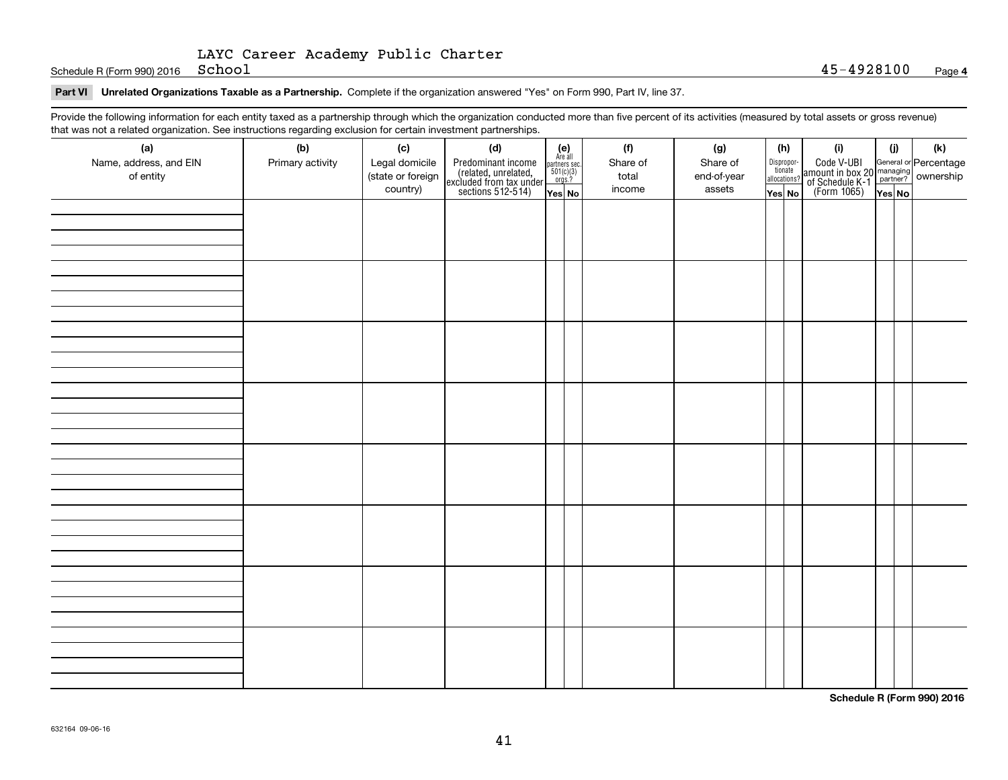$S$ chedule R (Form 990) 2016  $S$ chool

#### **Part VI Unrelated Organizations Taxable as a Partnership. Complete if the organization answered "Yes" on Form 990, Part IV, line 37.**

Provide the following information for each entity taxed as a partnership through which the organization conducted more than five percent of its activities (measured by total assets or gross revenue) that was not a related organization. See instructions regarding exclusion for certain investment partnerships.

| that machieve a related erganization. See includitional regarding excludion for contain invectment partnerompe.<br>(a) | (b)              | (c)                                 | (d)                                                                                        |                                                                                                                  | (f)               | (g)                     |  | (h)                              | (i)                                                                                          | (i) | (k) |
|------------------------------------------------------------------------------------------------------------------------|------------------|-------------------------------------|--------------------------------------------------------------------------------------------|------------------------------------------------------------------------------------------------------------------|-------------------|-------------------------|--|----------------------------------|----------------------------------------------------------------------------------------------|-----|-----|
| Name, address, and EIN<br>of entity                                                                                    | Primary activity | Legal domicile<br>(state or foreign | Predominant income<br>(related, unrelated,<br>excluded from tax under<br>sections 512-514) | $\begin{array}{c} \textbf{(e)}\\ \text{Are all} \\ \text{partners sec.}\\ 501(c)(3)\\ \text{orgs.?} \end{array}$ | Share of<br>total | Share of<br>end-of-year |  | Disproportionate<br>allocations? | Code V-UBI<br>amount in box 20 managing<br>of Schedule K-1 partner?<br>(Form 1065)<br>ves No |     |     |
|                                                                                                                        |                  | country)                            |                                                                                            | Yes No                                                                                                           | income            | assets                  |  | Yes No                           |                                                                                              |     |     |
|                                                                                                                        |                  |                                     |                                                                                            |                                                                                                                  |                   |                         |  |                                  |                                                                                              |     |     |
|                                                                                                                        |                  |                                     |                                                                                            |                                                                                                                  |                   |                         |  |                                  |                                                                                              |     |     |
|                                                                                                                        |                  |                                     |                                                                                            |                                                                                                                  |                   |                         |  |                                  |                                                                                              |     |     |
|                                                                                                                        |                  |                                     |                                                                                            |                                                                                                                  |                   |                         |  |                                  |                                                                                              |     |     |
|                                                                                                                        |                  |                                     |                                                                                            |                                                                                                                  |                   |                         |  |                                  |                                                                                              |     |     |
|                                                                                                                        |                  |                                     |                                                                                            |                                                                                                                  |                   |                         |  |                                  |                                                                                              |     |     |
|                                                                                                                        |                  |                                     |                                                                                            |                                                                                                                  |                   |                         |  |                                  |                                                                                              |     |     |
|                                                                                                                        |                  |                                     |                                                                                            |                                                                                                                  |                   |                         |  |                                  |                                                                                              |     |     |
|                                                                                                                        |                  |                                     |                                                                                            |                                                                                                                  |                   |                         |  |                                  |                                                                                              |     |     |
|                                                                                                                        |                  |                                     |                                                                                            |                                                                                                                  |                   |                         |  |                                  |                                                                                              |     |     |
|                                                                                                                        |                  |                                     |                                                                                            |                                                                                                                  |                   |                         |  |                                  |                                                                                              |     |     |
|                                                                                                                        |                  |                                     |                                                                                            |                                                                                                                  |                   |                         |  |                                  |                                                                                              |     |     |
|                                                                                                                        |                  |                                     |                                                                                            |                                                                                                                  |                   |                         |  |                                  |                                                                                              |     |     |
|                                                                                                                        |                  |                                     |                                                                                            |                                                                                                                  |                   |                         |  |                                  |                                                                                              |     |     |
|                                                                                                                        |                  |                                     |                                                                                            |                                                                                                                  |                   |                         |  |                                  |                                                                                              |     |     |
|                                                                                                                        |                  |                                     |                                                                                            |                                                                                                                  |                   |                         |  |                                  |                                                                                              |     |     |
|                                                                                                                        |                  |                                     |                                                                                            |                                                                                                                  |                   |                         |  |                                  |                                                                                              |     |     |
|                                                                                                                        |                  |                                     |                                                                                            |                                                                                                                  |                   |                         |  |                                  |                                                                                              |     |     |
|                                                                                                                        |                  |                                     |                                                                                            |                                                                                                                  |                   |                         |  |                                  |                                                                                              |     |     |
|                                                                                                                        |                  |                                     |                                                                                            |                                                                                                                  |                   |                         |  |                                  |                                                                                              |     |     |
|                                                                                                                        |                  |                                     |                                                                                            |                                                                                                                  |                   |                         |  |                                  |                                                                                              |     |     |
|                                                                                                                        |                  |                                     |                                                                                            |                                                                                                                  |                   |                         |  |                                  |                                                                                              |     |     |
|                                                                                                                        |                  |                                     |                                                                                            |                                                                                                                  |                   |                         |  |                                  |                                                                                              |     |     |
|                                                                                                                        |                  |                                     |                                                                                            |                                                                                                                  |                   |                         |  |                                  |                                                                                              |     |     |
|                                                                                                                        |                  |                                     |                                                                                            |                                                                                                                  |                   |                         |  |                                  |                                                                                              |     |     |
|                                                                                                                        |                  |                                     |                                                                                            |                                                                                                                  |                   |                         |  |                                  |                                                                                              |     |     |
|                                                                                                                        |                  |                                     |                                                                                            |                                                                                                                  |                   |                         |  |                                  |                                                                                              |     |     |
|                                                                                                                        |                  |                                     |                                                                                            |                                                                                                                  |                   |                         |  |                                  |                                                                                              |     |     |
|                                                                                                                        |                  |                                     |                                                                                            |                                                                                                                  |                   |                         |  |                                  |                                                                                              |     |     |
|                                                                                                                        |                  |                                     |                                                                                            |                                                                                                                  |                   |                         |  |                                  |                                                                                              |     |     |
|                                                                                                                        |                  |                                     |                                                                                            |                                                                                                                  |                   |                         |  |                                  |                                                                                              |     |     |
|                                                                                                                        |                  |                                     |                                                                                            |                                                                                                                  |                   |                         |  |                                  |                                                                                              |     |     |
|                                                                                                                        |                  |                                     |                                                                                            |                                                                                                                  |                   |                         |  |                                  |                                                                                              |     |     |

**Schedule R (Form 990) 2016**